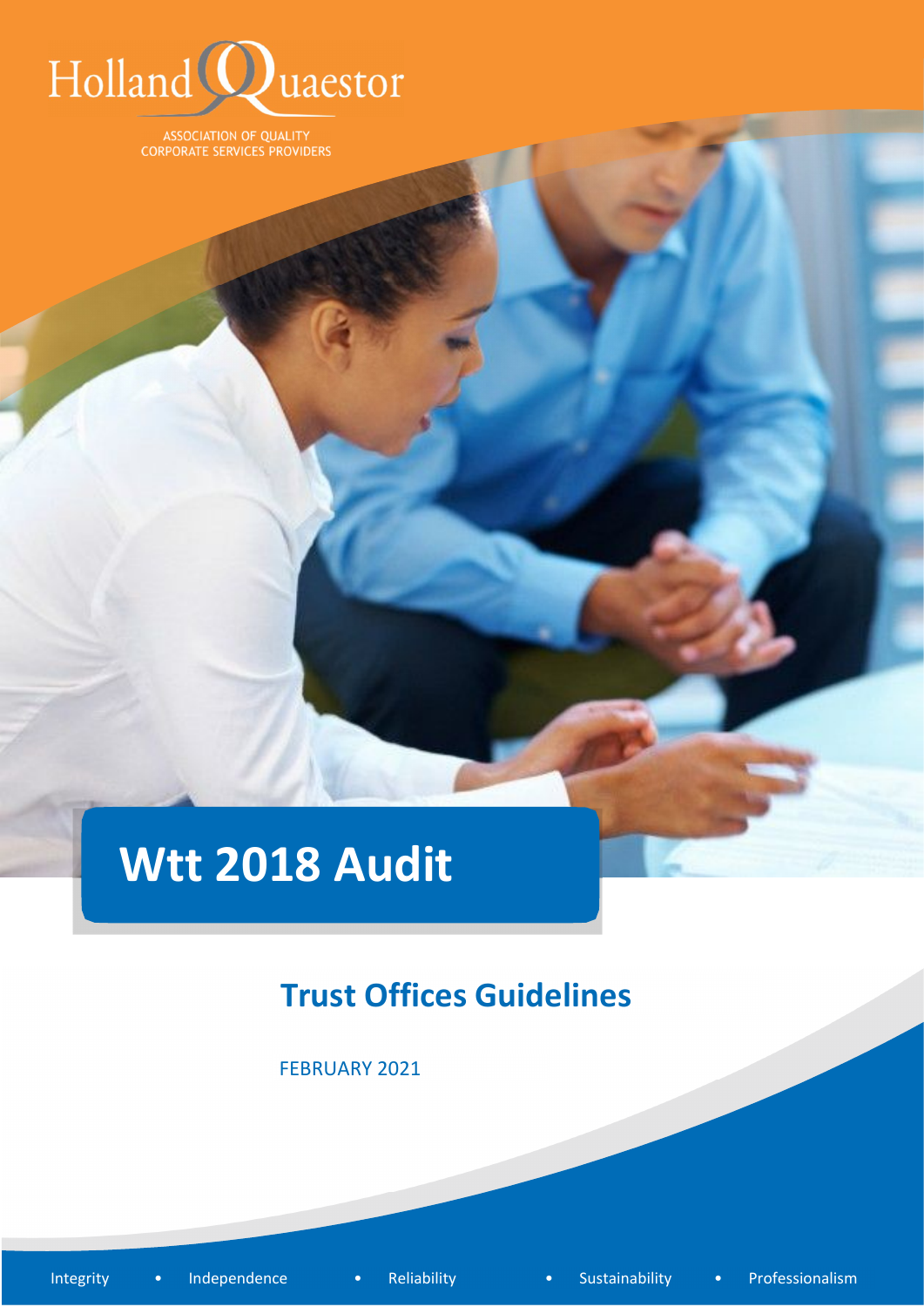

**ASSOCIATION OF OUALITY CORPORATE SERVICES PROVIDERS** 

# **Wtt 2018 Audit**

# **Trust Offices Guidelines**

FEBRUARY 2021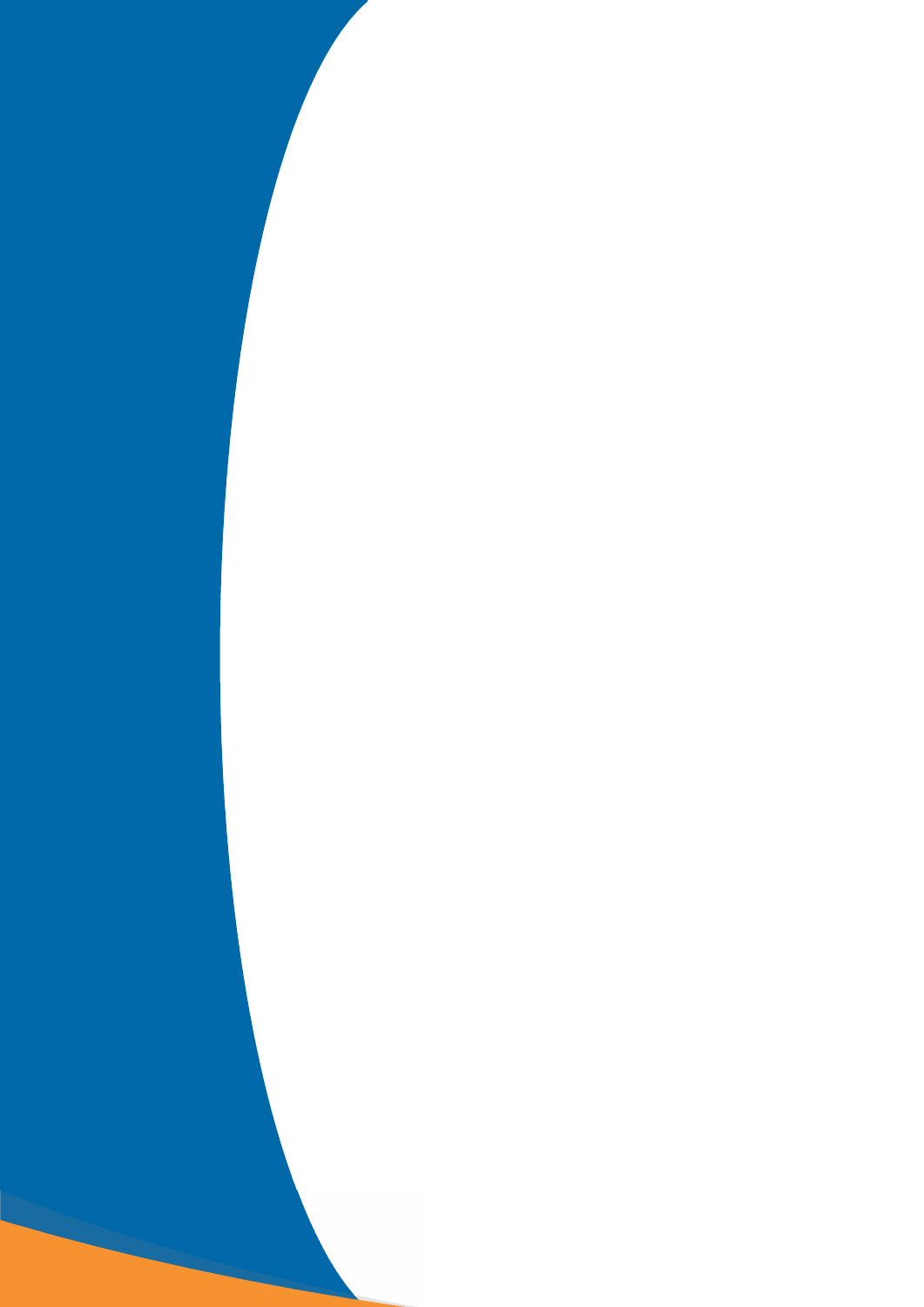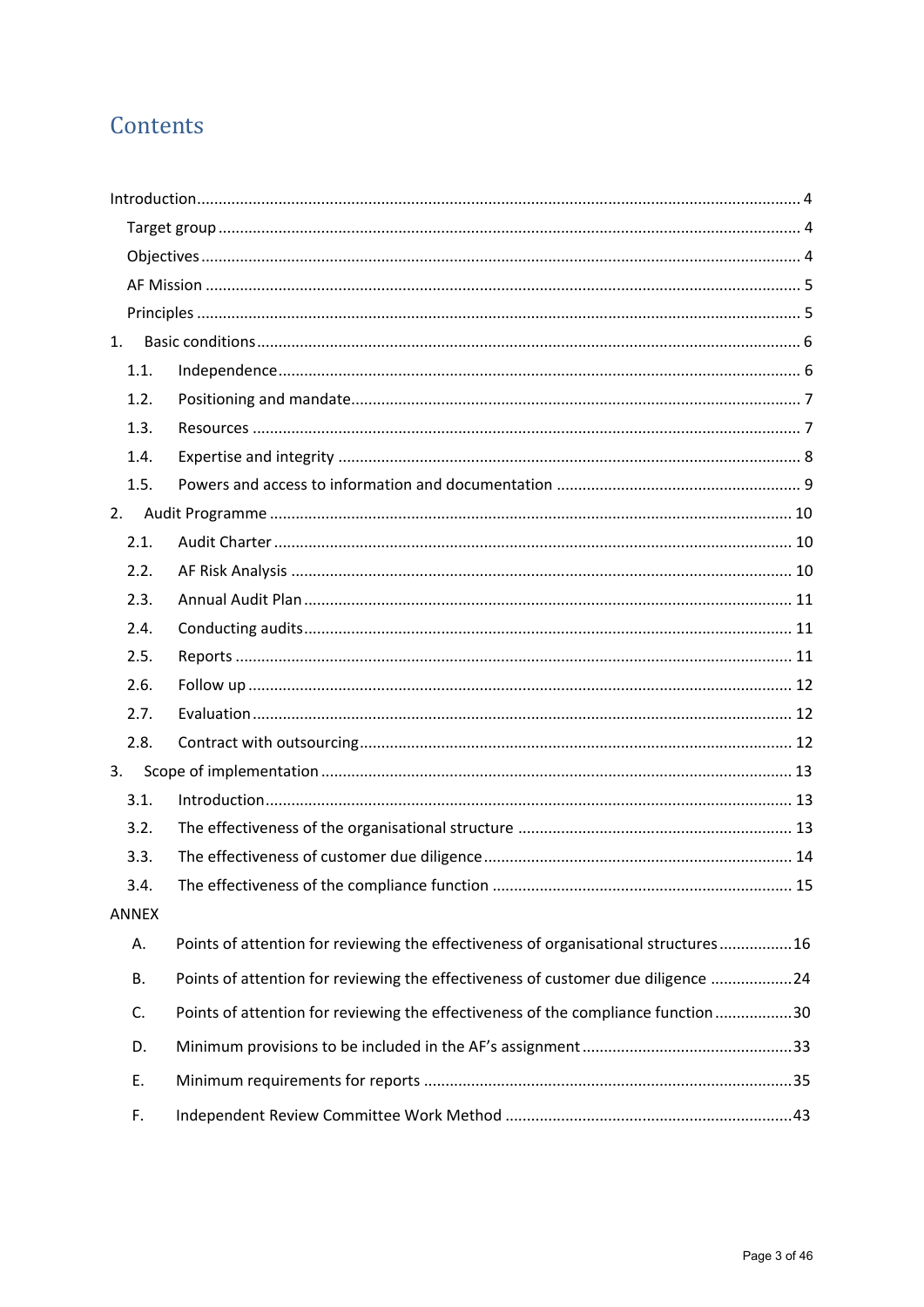# Contents

| 1.           |                                                                                    |  |
|--------------|------------------------------------------------------------------------------------|--|
| 1.1.         |                                                                                    |  |
| 1.2.         |                                                                                    |  |
| 1.3.         |                                                                                    |  |
| 1.4.         |                                                                                    |  |
| 1.5.         |                                                                                    |  |
|              |                                                                                    |  |
| 2.1.         |                                                                                    |  |
| 2.2.         |                                                                                    |  |
| 2.3.         |                                                                                    |  |
| 2.4.         |                                                                                    |  |
| 2.5.         |                                                                                    |  |
| 2.6.         |                                                                                    |  |
| 2.7.         |                                                                                    |  |
| 2.8.         |                                                                                    |  |
| 3.           |                                                                                    |  |
| 3.1.         |                                                                                    |  |
| 3.2.         |                                                                                    |  |
| 3.3.         |                                                                                    |  |
| 3.4.         |                                                                                    |  |
| <b>ANNEX</b> |                                                                                    |  |
| А.           | Points of attention for reviewing the effectiveness of organisational structures16 |  |
| <b>B.</b>    | Points of attention for reviewing the effectiveness of customer due diligence 24   |  |
| C.           | Points of attention for reviewing the effectiveness of the compliance function30   |  |
| D.           |                                                                                    |  |
| E.           |                                                                                    |  |
| F.           |                                                                                    |  |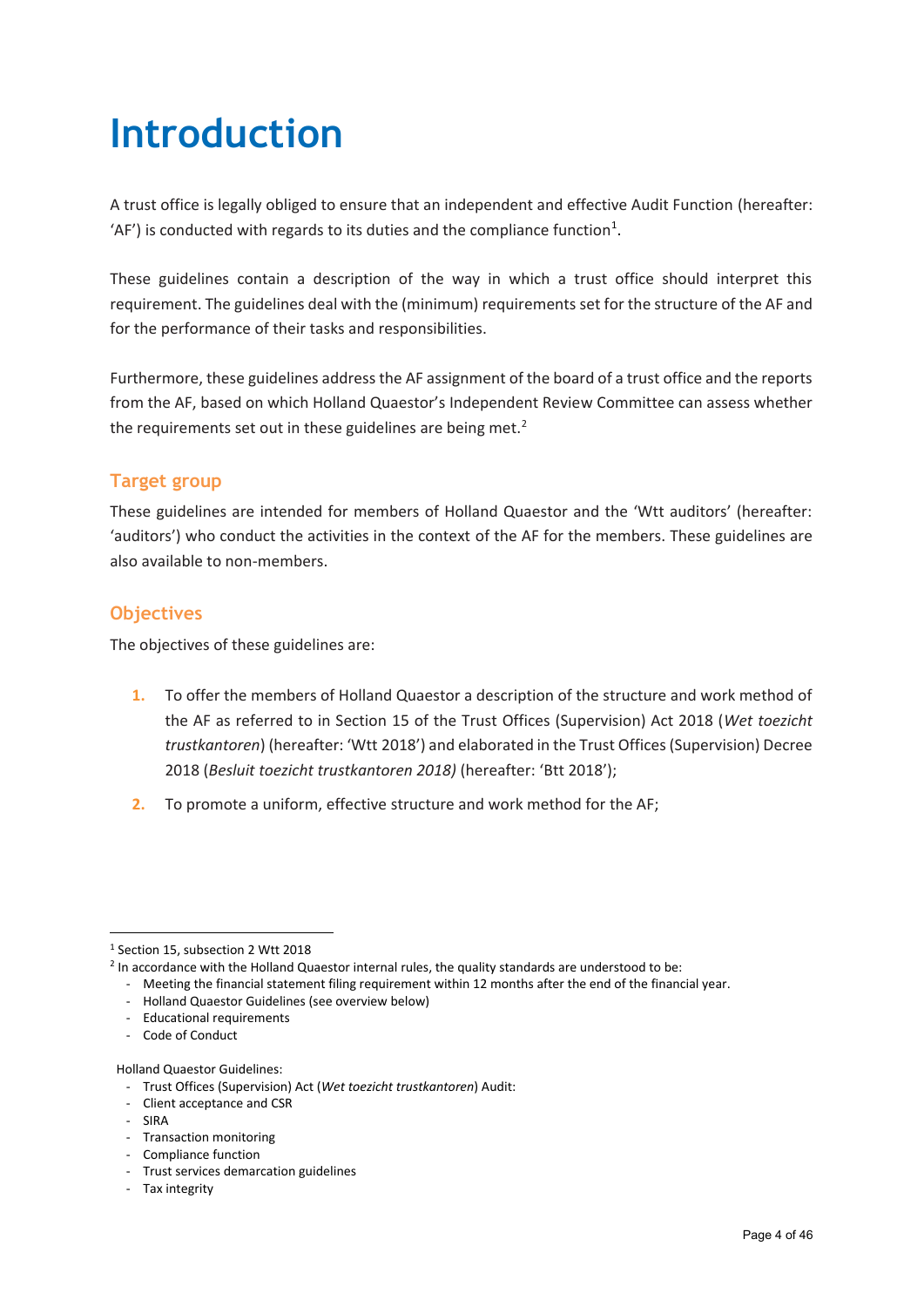# **Introduction**

A trust office is legally obliged to ensure that an independent and effective Audit Function (hereafter: 'AF') is conducted with regards to its duties and the compliance function<sup>1</sup>.

These guidelines contain a description of the way in which a trust office should interpret this requirement. The guidelines deal with the (minimum) requirements set for the structure of the AF and for the performance of their tasks and responsibilities.

Furthermore, these guidelines address the AF assignment of the board of a trust office and the reports from the AF, based on which Holland Quaestor's Independent Review Committee can assess whether the requirements set out in these guidelines are being met. $2$ 

## **Target group**

These guidelines are intended for members of Holland Quaestor and the 'Wtt auditors' (hereafter: 'auditors') who conduct the activities in the context of the AF for the members. These guidelines are also available to non-members.

# **Objectives**

The objectives of these guidelines are:

- **1.** To offer the members of Holland Quaestor a description of the structure and work method of the AF as referred to in Section 15 of the Trust Offices (Supervision) Act 2018 (*Wet toezicht trustkantoren*) (hereafter: 'Wtt 2018') and elaborated in the Trust Offices (Supervision) Decree 2018 (*Besluit toezicht trustkantoren 2018)* (hereafter: 'Btt 2018');
- **2.** To promote a uniform, effective structure and work method for the AF;

- Educational requirements
- Code of Conduct

Holland Quaestor Guidelines:

- Compliance function

- Tax integrity

<sup>&</sup>lt;sup>1</sup> Section 15, subsection 2 Wtt 2018

<sup>&</sup>lt;sup>2</sup> In accordance with the Holland Quaestor internal rules, the quality standards are understood to be:

<sup>-</sup> Meeting the financial statement filing requirement within 12 months after the end of the financial year.

<sup>-</sup> Holland Quaestor Guidelines (see overview below)

<sup>-</sup> Trust Offices (Supervision) Act (*Wet toezicht trustkantoren*) Audit:

<sup>-</sup> Client acceptance and CSR

<sup>-</sup> SIRA

<sup>-</sup> Transaction monitoring

<sup>-</sup> Trust services demarcation guidelines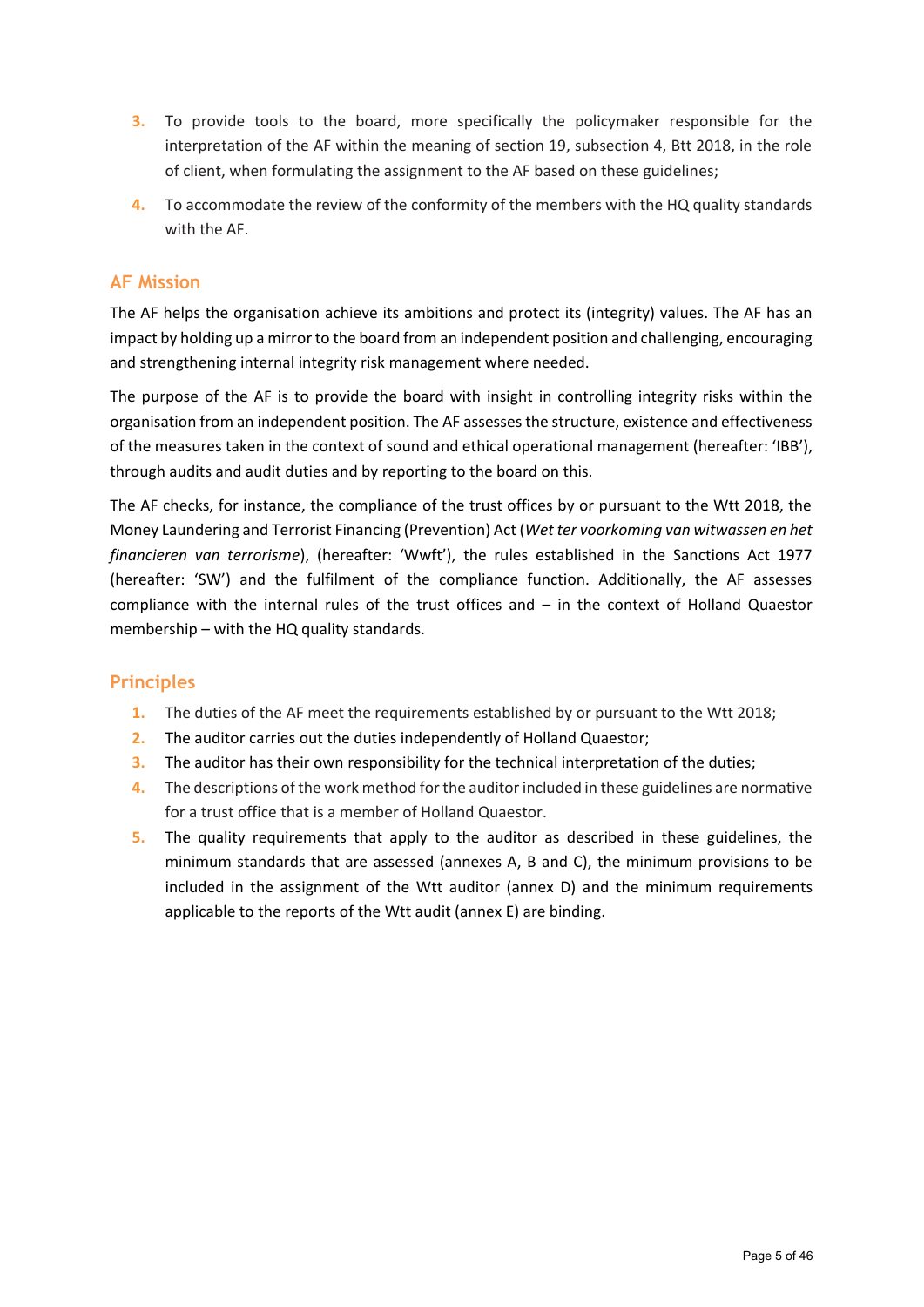- **3.** To provide tools to the board, more specifically the policymaker responsible for the interpretation of the AF within the meaning of section 19, subsection 4, Btt 2018, in the role of client, when formulating the assignment to the AF based on these guidelines;
- **4.** To accommodate the review of the conformity of the members with the HQ quality standards with the AF.

# **AF Mission**

The AF helps the organisation achieve its ambitions and protect its (integrity) values. The AF has an impact by holding up a mirror to the board from an independent position and challenging, encouraging and strengthening internal integrity risk management where needed.

The purpose of the AF is to provide the board with insight in controlling integrity risks within the organisation from an independent position. The AF assesses the structure, existence and effectiveness of the measures taken in the context of sound and ethical operational management (hereafter: 'IBB'), through audits and audit duties and by reporting to the board on this.

The AF checks, for instance, the compliance of the trust offices by or pursuant to the Wtt 2018, the Money Laundering and Terrorist Financing (Prevention) Act (*Wet ter voorkoming van witwassen en het financieren van terrorisme*), (hereafter: 'Wwft'), the rules established in the Sanctions Act 1977 (hereafter: 'SW') and the fulfilment of the compliance function. Additionally, the AF assesses compliance with the internal rules of the trust offices and – in the context of Holland Quaestor membership – with the HQ quality standards.

## **Principles**

- **1.** The duties of the AF meet the requirements established by or pursuant to the Wtt 2018;
- **2.** The auditor carries out the duties independently of Holland Quaestor;
- **3.** The auditor has their own responsibility for the technical interpretation of the duties;
- **4.** The descriptions of the work method for the auditor included in these guidelines are normative for a trust office that is a member of Holland Quaestor.
- **5.** The quality requirements that apply to the auditor as described in these guidelines, the minimum standards that are assessed (annexes A, B and C), the minimum provisions to be included in the assignment of the Wtt auditor (annex D) and the minimum requirements applicable to the reports of the Wtt audit (annex E) are binding.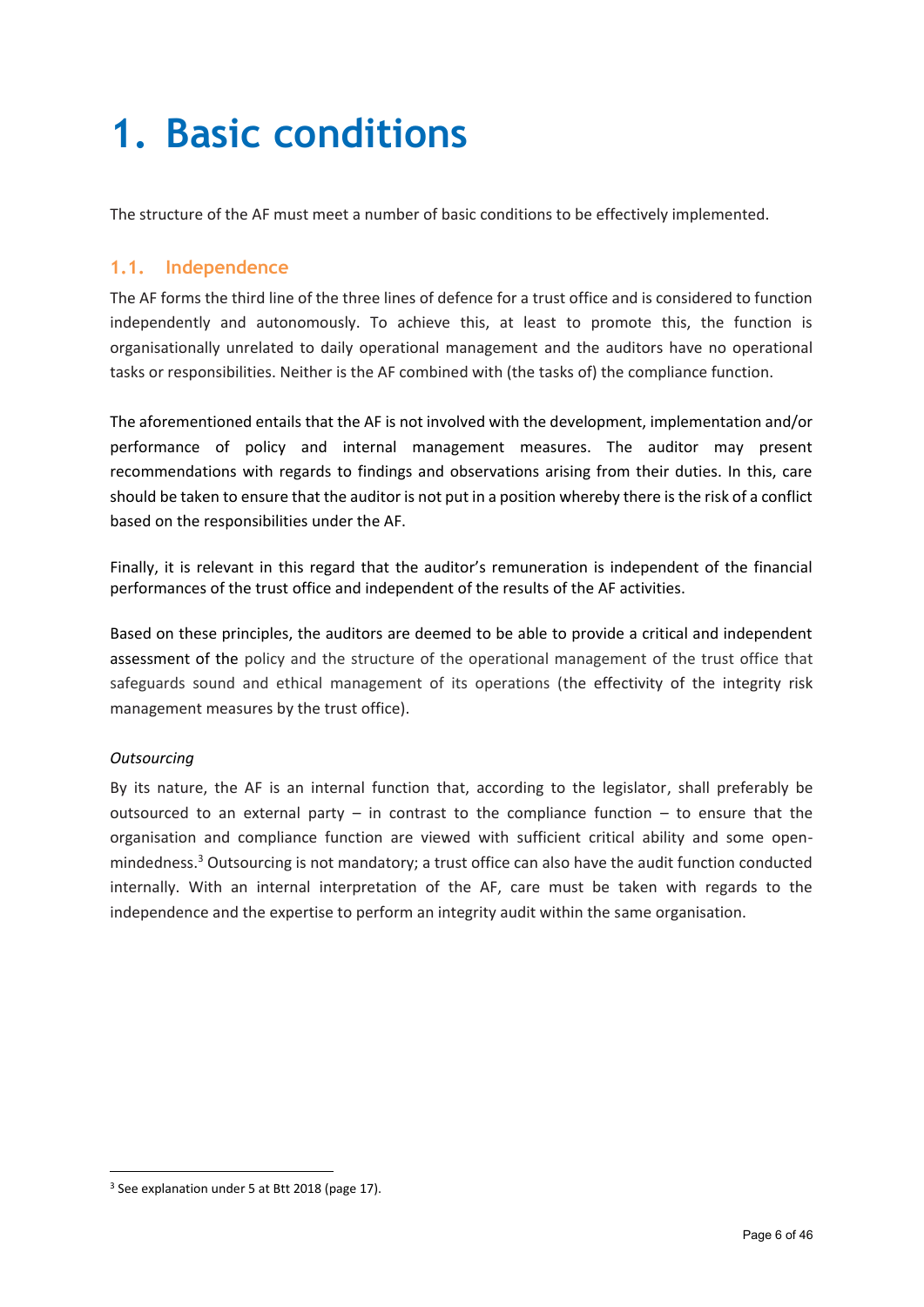# **1. Basic conditions**

The structure of the AF must meet a number of basic conditions to be effectively implemented.

## **1.1. Independence**

The AF forms the third line of the three lines of defence for a trust office and is considered to function independently and autonomously. To achieve this, at least to promote this, the function is organisationally unrelated to daily operational management and the auditors have no operational tasks or responsibilities. Neither is the AF combined with (the tasks of) the compliance function.

The aforementioned entails that the AF is not involved with the development, implementation and/or performance of policy and internal management measures. The auditor may present recommendations with regards to findings and observations arising from their duties. In this, care should be taken to ensure that the auditor is not put in a position whereby there is the risk of a conflict based on the responsibilities under the AF.

Finally, it is relevant in this regard that the auditor's remuneration is independent of the financial performances of the trust office and independent of the results of the AF activities.

Based on these principles, the auditors are deemed to be able to provide a critical and independent assessment of the policy and the structure of the operational management of the trust office that safeguards sound and ethical management of its operations (the effectivity of the integrity risk management measures by the trust office).

## *Outsourcing*

By its nature, the AF is an internal function that, according to the legislator, shall preferably be outsourced to an external party – in contrast to the compliance function – to ensure that the organisation and compliance function are viewed with sufficient critical ability and some openmindedness.<sup>3</sup> Outsourcing is not mandatory; a trust office can also have the audit function conducted internally. With an internal interpretation of the AF, care must be taken with regards to the independence and the expertise to perform an integrity audit within the same organisation.

<sup>&</sup>lt;sup>3</sup> See explanation under 5 at Btt 2018 (page 17).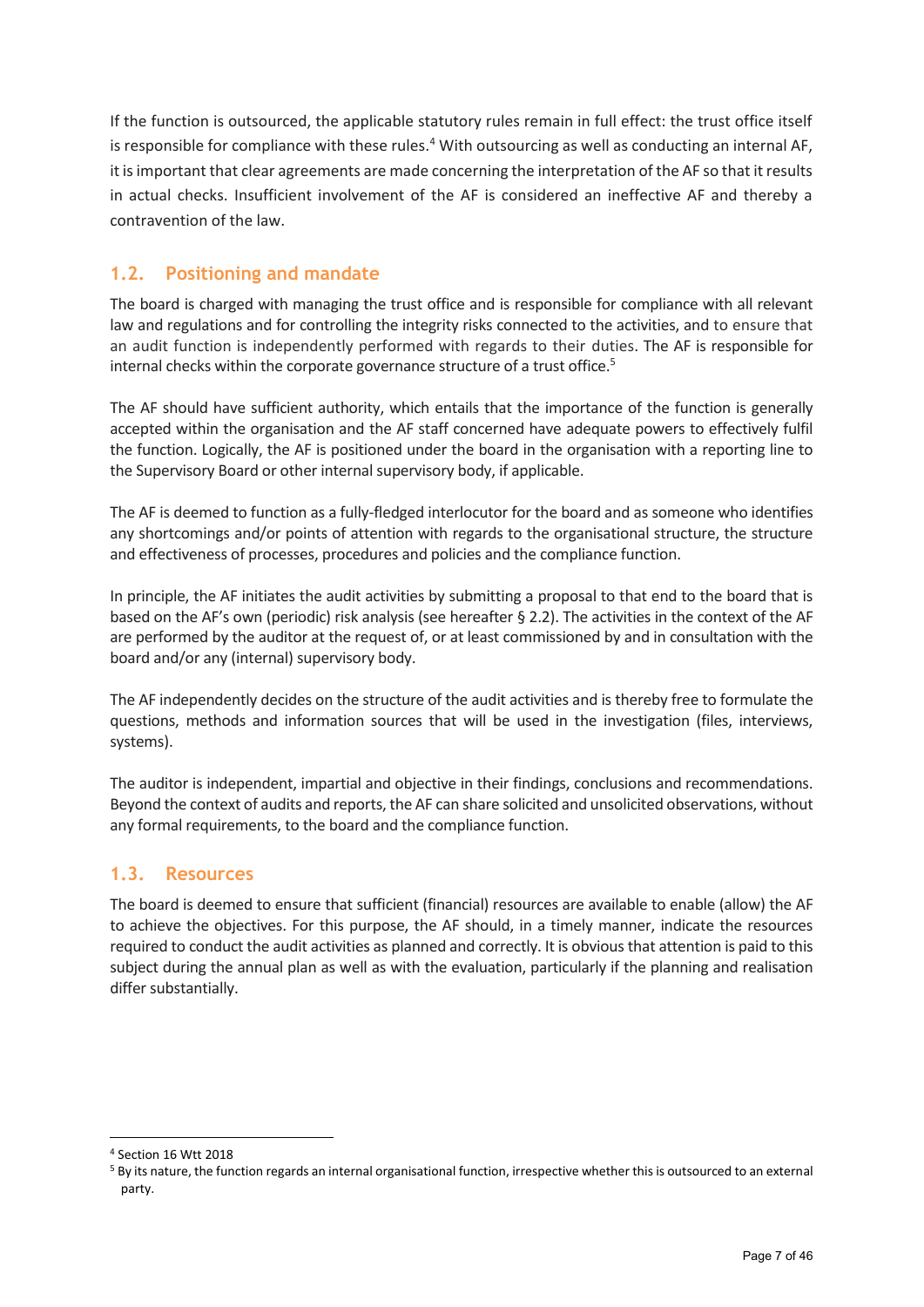If the function is outsourced, the applicable statutory rules remain in full effect: the trust office itself is responsible for compliance with these rules.<sup>4</sup> With outsourcing as well as conducting an internal AF, it is important that clear agreements are made concerning the interpretation of the AF so that it results in actual checks. Insufficient involvement of the AF is considered an ineffective AF and thereby a contravention of the law.

# **1.2. Positioning and mandate**

The board is charged with managing the trust office and is responsible for compliance with all relevant law and regulations and for controlling the integrity risks connected to the activities, and to ensure that an audit function is independently performed with regards to their duties. The AF is responsible for internal checks within the corporate governance structure of a trust office.<sup>5</sup>

The AF should have sufficient authority, which entails that the importance of the function is generally accepted within the organisation and the AF staff concerned have adequate powers to effectively fulfil the function. Logically, the AF is positioned under the board in the organisation with a reporting line to the Supervisory Board or other internal supervisory body, if applicable.

The AF is deemed to function as a fully-fledged interlocutor for the board and as someone who identifies any shortcomings and/or points of attention with regards to the organisational structure, the structure and effectiveness of processes, procedures and policies and the compliance function.

In principle, the AF initiates the audit activities by submitting a proposal to that end to the board that is based on the AF's own (periodic) risk analysis (see hereafter § 2.2). The activities in the context of the AF are performed by the auditor at the request of, or at least commissioned by and in consultation with the board and/or any (internal) supervisory body.

The AF independently decides on the structure of the audit activities and is thereby free to formulate the questions, methods and information sources that will be used in the investigation (files, interviews, systems).

The auditor is independent, impartial and objective in their findings, conclusions and recommendations. Beyond the context of audits and reports, the AF can share solicited and unsolicited observations, without any formal requirements, to the board and the compliance function.

# **1.3. Resources**

The board is deemed to ensure that sufficient (financial) resources are available to enable (allow) the AF to achieve the objectives. For this purpose, the AF should, in a timely manner, indicate the resources required to conduct the audit activities as planned and correctly. It is obvious that attention is paid to this subject during the annual plan as well as with the evaluation, particularly if the planning and realisation differ substantially.

<sup>4</sup> Section 16 Wtt 2018

<sup>5</sup> By its nature, the function regards an internal organisational function, irrespective whether this is outsourced to an external party.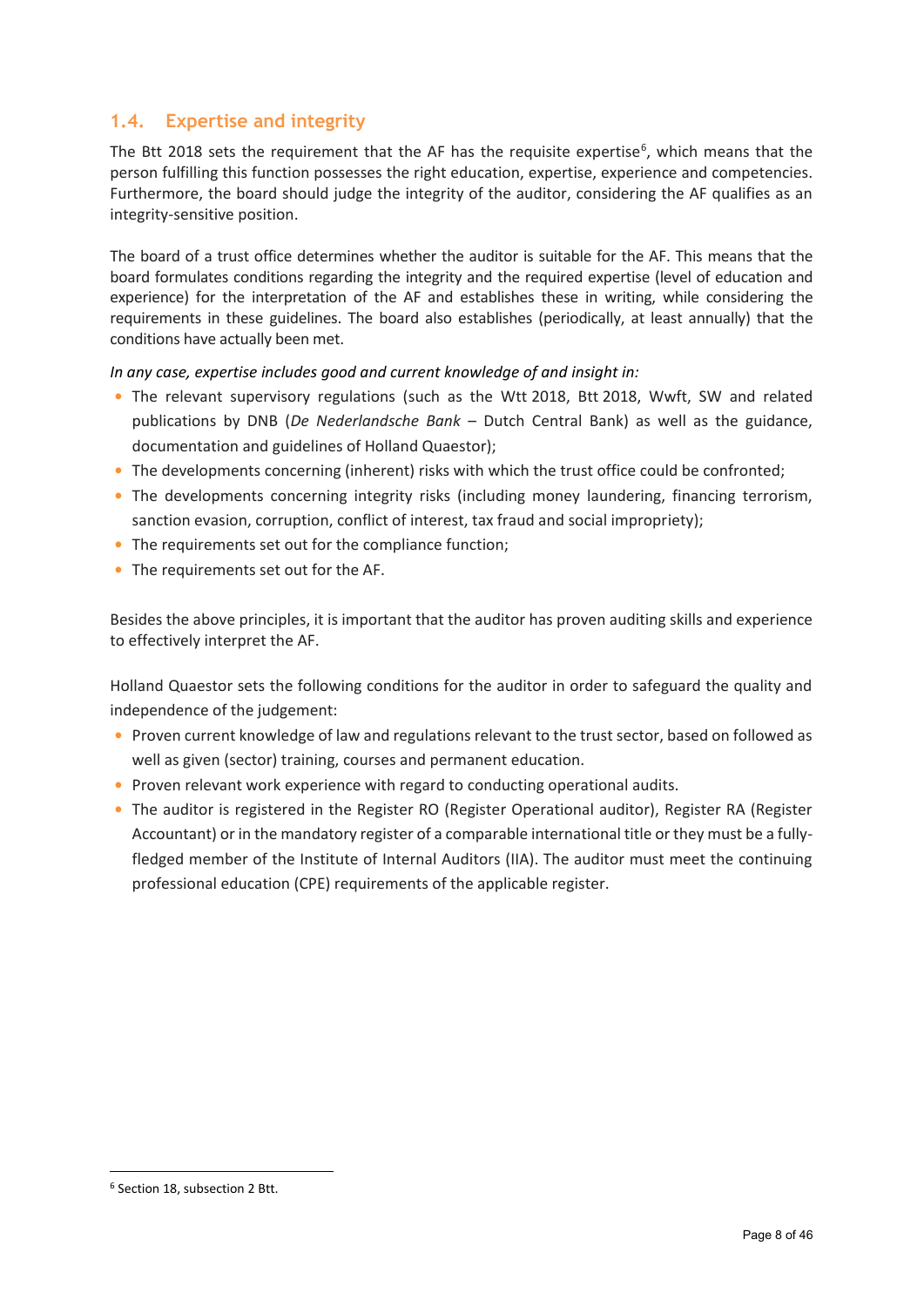## **1.4. Expertise and integrity**

The Btt 2018 sets the requirement that the AF has the requisite expertise<sup>6</sup>, which means that the person fulfilling this function possesses the right education, expertise, experience and competencies. Furthermore, the board should judge the integrity of the auditor, considering the AF qualifies as an integrity-sensitive position.

The board of a trust office determines whether the auditor is suitable for the AF. This means that the board formulates conditions regarding the integrity and the required expertise (level of education and experience) for the interpretation of the AF and establishes these in writing, while considering the requirements in these guidelines. The board also establishes (periodically, at least annually) that the conditions have actually been met.

*In any case, expertise includes good and current knowledge of and insight in:*

- **•** The relevant supervisory regulations (such as the Wtt 2018, Btt 2018, Wwft, SW and related publications by DNB (*De Nederlandsche Bank* – Dutch Central Bank) as well as the guidance, documentation and guidelines of Holland Quaestor);
- **•** The developments concerning (inherent) risks with which the trust office could be confronted;
- The developments concerning integrity risks (including money laundering, financing terrorism, sanction evasion, corruption, conflict of interest, tax fraud and social impropriety);
- **•** The requirements set out for the compliance function;
- **•** The requirements set out for the AF.

Besides the above principles, it is important that the auditor has proven auditing skills and experience to effectively interpret the AF.

Holland Quaestor sets the following conditions for the auditor in order to safeguard the quality and independence of the judgement:

- **•** Proven current knowledge of law and regulations relevant to the trust sector, based on followed as well as given (sector) training, courses and permanent education.
- **•** Proven relevant work experience with regard to conducting operational audits.
- **•** The auditor is registered in the Register RO (Register Operational auditor), Register RA (Register Accountant) or in the mandatory register of a comparable international title or they must be a fullyfledged member of the Institute of Internal Auditors (IIA). The auditor must meet the continuing professional education (CPE) requirements of the applicable register.

<sup>6</sup> Section 18, subsection 2 Btt.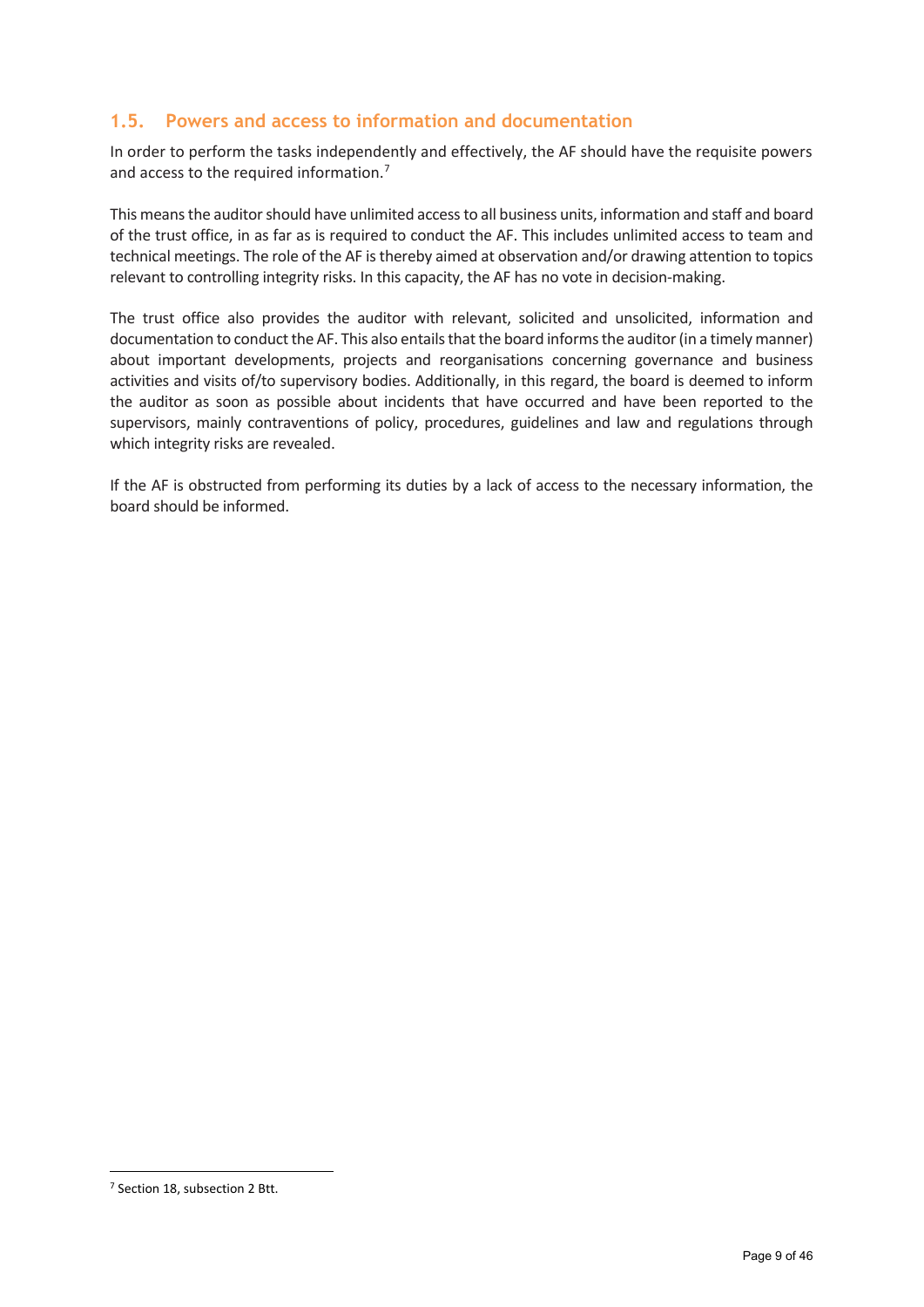## **1.5. Powers and access to information and documentation**

In order to perform the tasks independently and effectively, the AF should have the requisite powers and access to the required information.<sup>7</sup>

This means the auditor should have unlimited access to all business units, information and staff and board of the trust office, in as far as is required to conduct the AF. This includes unlimited access to team and technical meetings. The role of the AF is thereby aimed at observation and/or drawing attention to topics relevant to controlling integrity risks. In this capacity, the AF has no vote in decision-making.

The trust office also provides the auditor with relevant, solicited and unsolicited, information and documentation to conduct the AF. This also entails that the board informs the auditor (in a timely manner) about important developments, projects and reorganisations concerning governance and business activities and visits of/to supervisory bodies. Additionally, in this regard, the board is deemed to inform the auditor as soon as possible about incidents that have occurred and have been reported to the supervisors, mainly contraventions of policy, procedures, guidelines and law and regulations through which integrity risks are revealed.

If the AF is obstructed from performing its duties by a lack of access to the necessary information, the board should be informed.

<sup>7</sup> Section 18, subsection 2 Btt.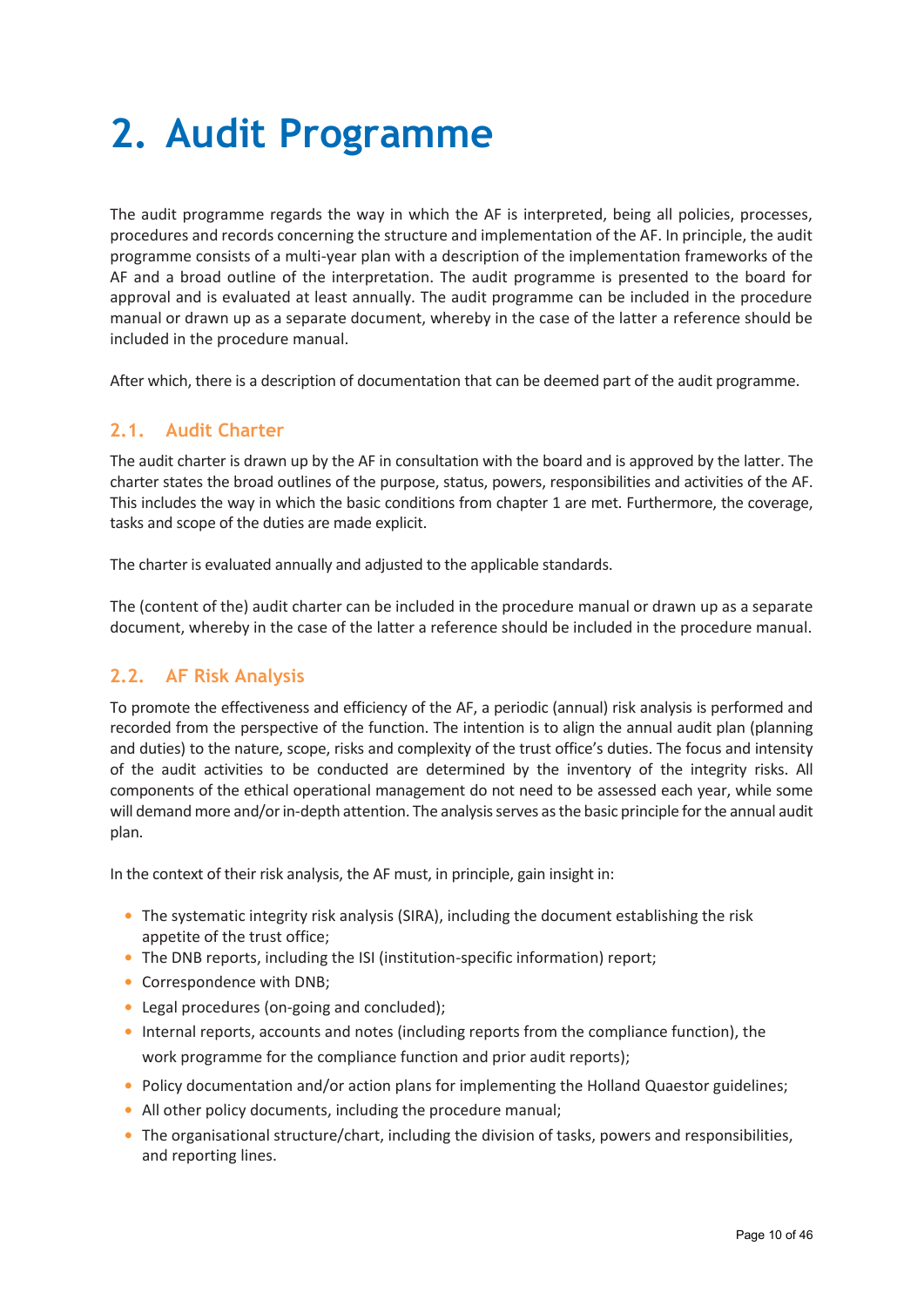# **2. Audit Programme**

The audit programme regards the way in which the AF is interpreted, being all policies, processes, procedures and records concerning the structure and implementation of the AF. In principle, the audit programme consists of a multi-year plan with a description of the implementation frameworks of the AF and a broad outline of the interpretation. The audit programme is presented to the board for approval and is evaluated at least annually. The audit programme can be included in the procedure manual or drawn up as a separate document, whereby in the case of the latter a reference should be included in the procedure manual.

After which, there is a description of documentation that can be deemed part of the audit programme.

# **2.1. Audit Charter**

The audit charter is drawn up by the AF in consultation with the board and is approved by the latter. The charter states the broad outlines of the purpose, status, powers, responsibilities and activities of the AF. This includes the way in which the basic conditions from chapter 1 are met. Furthermore, the coverage, tasks and scope of the duties are made explicit.

The charter is evaluated annually and adjusted to the applicable standards.

The (content of the) audit charter can be included in the procedure manual or drawn up as a separate document, whereby in the case of the latter a reference should be included in the procedure manual.

# **2.2. AF Risk Analysis**

To promote the effectiveness and efficiency of the AF, a periodic (annual) risk analysis is performed and recorded from the perspective of the function. The intention is to align the annual audit plan (planning and duties) to the nature, scope, risks and complexity of the trust office's duties. The focus and intensity of the audit activities to be conducted are determined by the inventory of the integrity risks. All components of the ethical operational management do not need to be assessed each year, while some will demand more and/or in-depth attention. The analysis serves as the basic principle for the annual audit plan.

In the context of their risk analysis, the AF must, in principle, gain insight in:

- **•** The systematic integrity risk analysis (SIRA), including the document establishing the risk appetite of the trust office;
- **•** The DNB reports, including the ISI (institution-specific information) report;
- **•** Correspondence with DNB;
- **•** Legal procedures (on-going and concluded);
- **•** Internal reports, accounts and notes (including reports from the compliance function), the work programme for the compliance function and prior audit reports);
- Policy documentation and/or action plans for implementing the Holland Quaestor guidelines;
- **•** All other policy documents, including the procedure manual;
- The organisational structure/chart, including the division of tasks, powers and responsibilities, and reporting lines.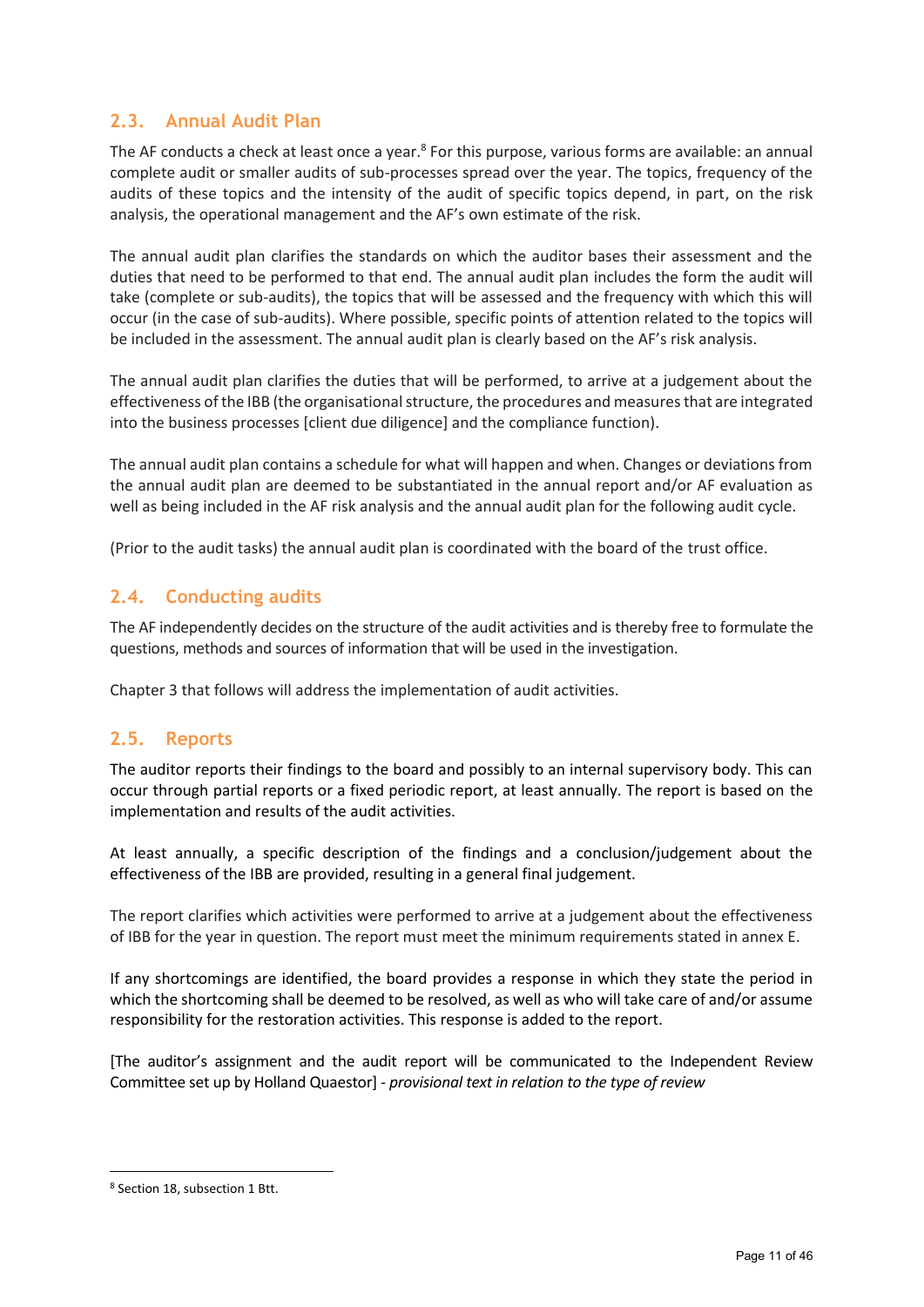## **2.3. Annual Audit Plan**

The AF conducts a check at least once a year.<sup>8</sup> For this purpose, various forms are available: an annual complete audit or smaller audits of sub-processes spread over the year. The topics, frequency of the audits of these topics and the intensity of the audit of specific topics depend, in part, on the risk analysis, the operational management and the AF's own estimate of the risk.

The annual audit plan clarifies the standards on which the auditor bases their assessment and the duties that need to be performed to that end. The annual audit plan includes the form the audit will take (complete or sub-audits), the topics that will be assessed and the frequency with which this will occur (in the case of sub-audits). Where possible, specific points of attention related to the topics will be included in the assessment. The annual audit plan is clearly based on the AF's risk analysis.

The annual audit plan clarifies the duties that will be performed, to arrive at a judgement about the effectiveness of the IBB (the organisational structure, the procedures and measures that are integrated into the business processes [client due diligence] and the compliance function).

The annual audit plan contains a schedule for what will happen and when. Changes or deviations from the annual audit plan are deemed to be substantiated in the annual report and/or AF evaluation as well as being included in the AF risk analysis and the annual audit plan for the following audit cycle.

(Prior to the audit tasks) the annual audit plan is coordinated with the board of the trust office.

# **2.4. Conducting audits**

The AF independently decides on the structure of the audit activities and is thereby free to formulate the questions, methods and sources of information that will be used in the investigation.

Chapter 3 that follows will address the implementation of audit activities.

## **2.5. Reports**

The auditor reports their findings to the board and possibly to an internal supervisory body. This can occur through partial reports or a fixed periodic report, at least annually. The report is based on the implementation and results of the audit activities.

At least annually, a specific description of the findings and a conclusion/judgement about the effectiveness of the IBB are provided, resulting in a general final judgement.

The report clarifies which activities were performed to arrive at a judgement about the effectiveness of IBB for the year in question. The report must meet the minimum requirements stated in annex E.

If any shortcomings are identified, the board provides a response in which they state the period in which the shortcoming shall be deemed to be resolved, as well as who will take care of and/or assume responsibility for the restoration activities. This response is added to the report.

[The auditor's assignment and the audit report will be communicated to the Independent Review Committee set up by Holland Quaestor] *- provisional text in relation to the type of review*

<sup>8</sup> Section 18, subsection 1 Btt.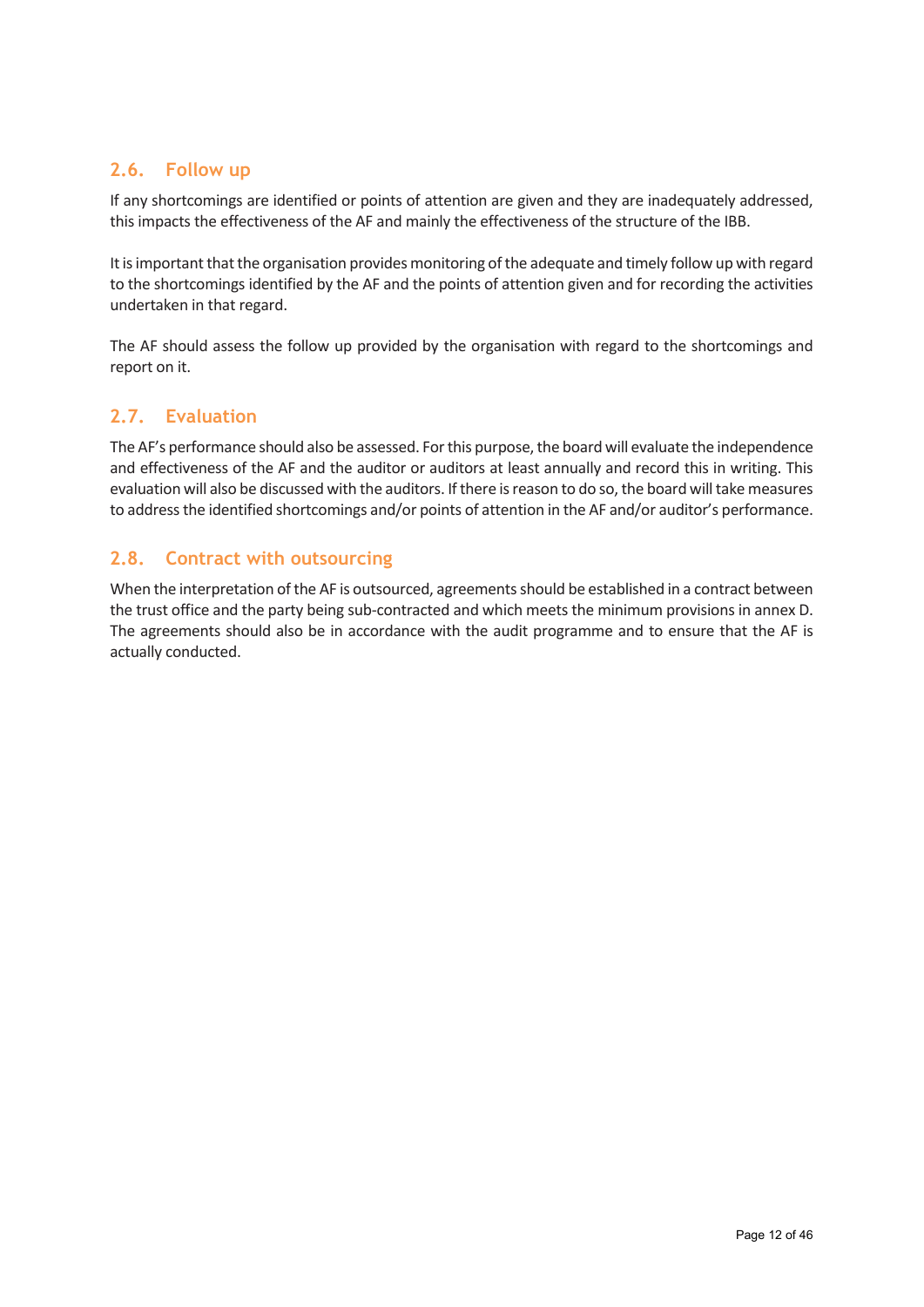## **2.6. Follow up**

If any shortcomings are identified or points of attention are given and they are inadequately addressed, this impacts the effectiveness of the AF and mainly the effectiveness of the structure of the IBB.

It is important that the organisation provides monitoring of the adequate and timely follow up with regard to the shortcomings identified by the AF and the points of attention given and for recording the activities undertaken in that regard.

The AF should assess the follow up provided by the organisation with regard to the shortcomings and report on it.

## **2.7. Evaluation**

The AF's performance should also be assessed. For this purpose, the board will evaluate the independence and effectiveness of the AF and the auditor or auditors at least annually and record this in writing. This evaluation will also be discussed with the auditors. If there is reason to do so, the board will take measures to address the identified shortcomings and/or points of attention in the AF and/or auditor's performance.

## **2.8. Contract with outsourcing**

When the interpretation of the AF is outsourced, agreements should be established in a contract between the trust office and the party being sub-contracted and which meets the minimum provisions in annex D. The agreements should also be in accordance with the audit programme and to ensure that the AF is actually conducted.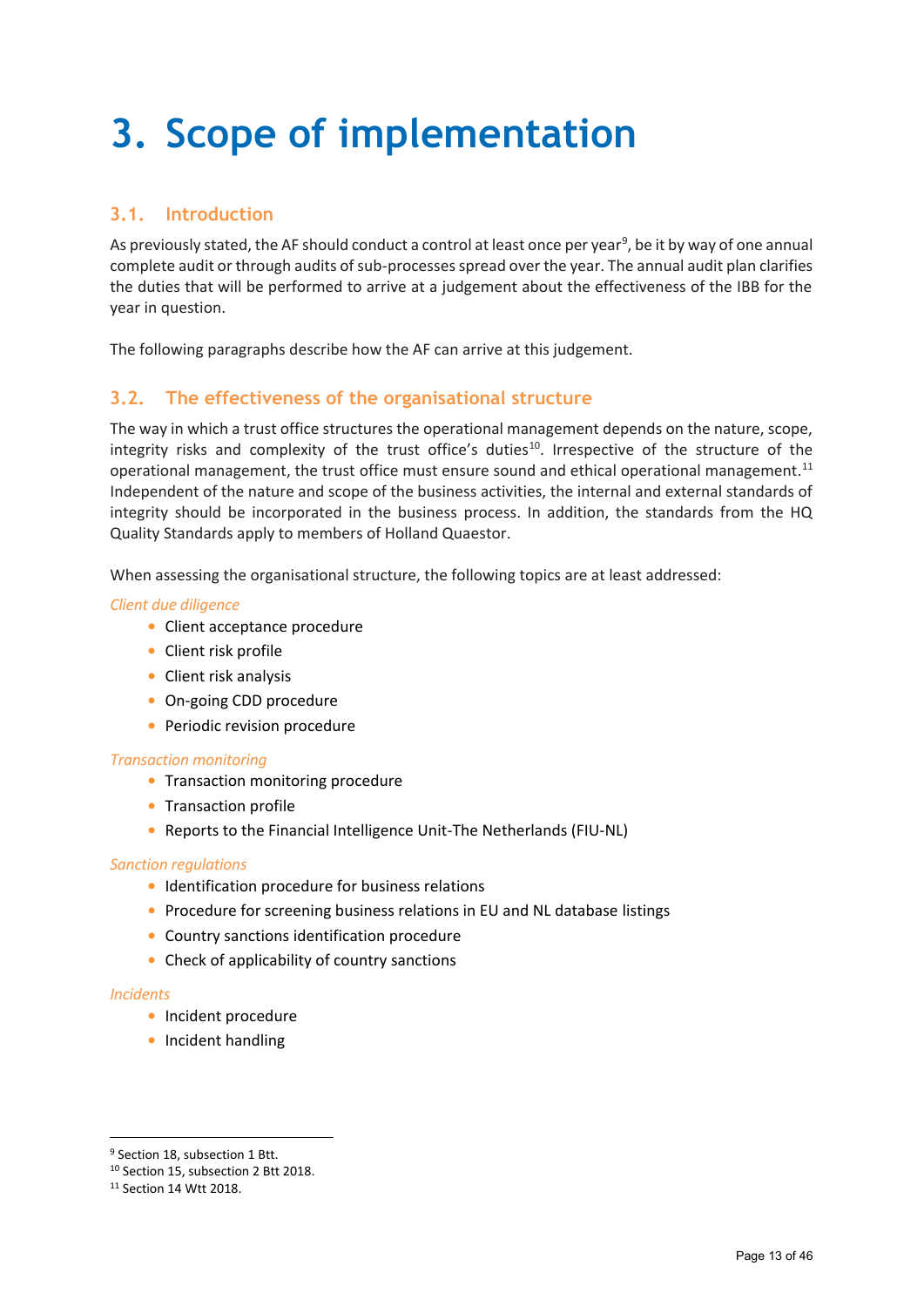# **3. Scope of implementation**

# **3.1. Introduction**

As previously stated, the AF should conduct a control at least once per year<sup>9</sup>, be it by way of one annual complete audit or through audits of sub-processes spread over the year. The annual audit plan clarifies the duties that will be performed to arrive at a judgement about the effectiveness of the IBB for the year in question.

The following paragraphs describe how the AF can arrive at this judgement.

# **3.2. The effectiveness of the organisational structure**

The way in which a trust office structures the operational management depends on the nature, scope, integrity risks and complexity of the trust office's duties<sup>10</sup>. Irrespective of the structure of the operational management, the trust office must ensure sound and ethical operational management.<sup>11</sup> Independent of the nature and scope of the business activities, the internal and external standards of integrity should be incorporated in the business process. In addition, the standards from the HQ Quality Standards apply to members of Holland Quaestor.

When assessing the organisational structure, the following topics are at least addressed:

### *Client due diligence*

- **•** Client acceptance procedure
- **•** Client risk profile
- **•** Client risk analysis
- **•** On-going CDD procedure
- **•** Periodic revision procedure

### *Transaction monitoring*

- **•** Transaction monitoring procedure
- **•** Transaction profile
- **•** Reports to the Financial Intelligence Unit-The Netherlands (FIU-NL)

### *Sanction regulations*

- **•** Identification procedure for business relations
- **•** Procedure for screening business relations in EU and NL database listings
- **•** Country sanctions identification procedure
- **•** Check of applicability of country sanctions

### *Incidents*

- **•** Incident procedure
- **•** Incident handling

<sup>&</sup>lt;sup>9</sup> Section 18, subsection 1 Btt.

<sup>&</sup>lt;sup>10</sup> Section 15, subsection 2 Btt 2018.

<sup>11</sup> Section 14 Wtt 2018.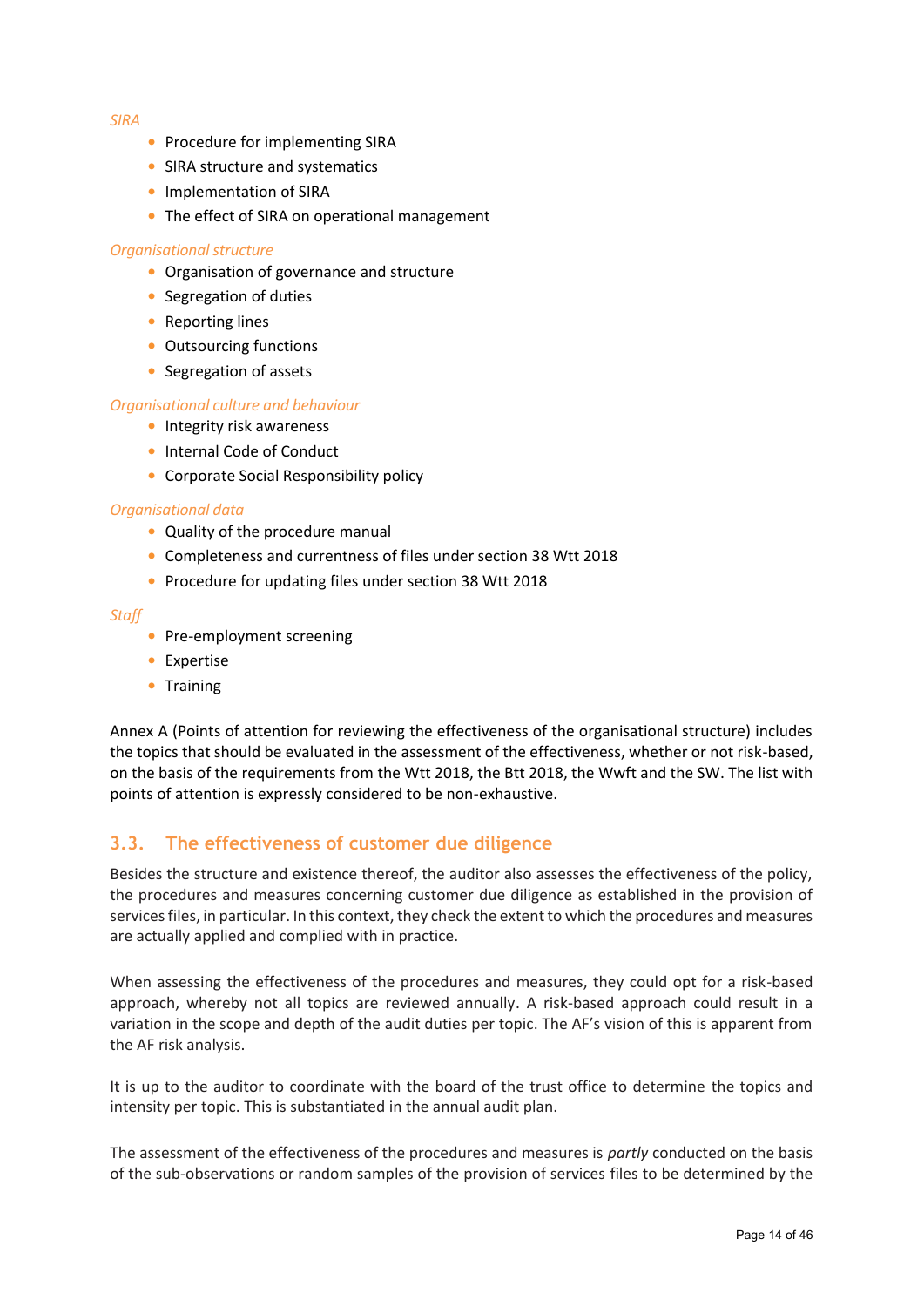#### *SIRA*

- **•** Procedure for implementing SIRA
- **•** SIRA structure and systematics
- **•** Implementation of SIRA
- **•** The effect of SIRA on operational management

### *Organisational structure*

- **•** Organisation of governance and structure
- **•** Segregation of duties
- **•** Reporting lines
- **•** Outsourcing functions
- **•** Segregation of assets

### *Organisational culture and behaviour*

- **•** Integrity risk awareness
- **•** Internal Code of Conduct
- **•** Corporate Social Responsibility policy

### *Organisational data*

- **•** Quality of the procedure manual
- **•** Completeness and currentness of files under section 38 Wtt 2018
- **•** Procedure for updating files under section 38 Wtt 2018

### *Staff*

- **•** Pre-employment screening
- **•** Expertise
- **•** Training

Annex A (Points of attention for reviewing the effectiveness of the organisational structure) includes the topics that should be evaluated in the assessment of the effectiveness, whether or not risk-based, on the basis of the requirements from the Wtt 2018, the Btt 2018, the Wwft and the SW. The list with points of attention is expressly considered to be non-exhaustive.

## **3.3. The effectiveness of customer due diligence**

Besides the structure and existence thereof, the auditor also assesses the effectiveness of the policy, the procedures and measures concerning customer due diligence as established in the provision of services files, in particular. In this context, they check the extent to which the procedures and measures are actually applied and complied with in practice.

When assessing the effectiveness of the procedures and measures, they could opt for a risk-based approach, whereby not all topics are reviewed annually. A risk-based approach could result in a variation in the scope and depth of the audit duties per topic. The AF's vision of this is apparent from the AF risk analysis.

It is up to the auditor to coordinate with the board of the trust office to determine the topics and intensity per topic. This is substantiated in the annual audit plan.

The assessment of the effectiveness of the procedures and measures is *partly* conducted on the basis of the sub-observations or random samples of the provision of services files to be determined by the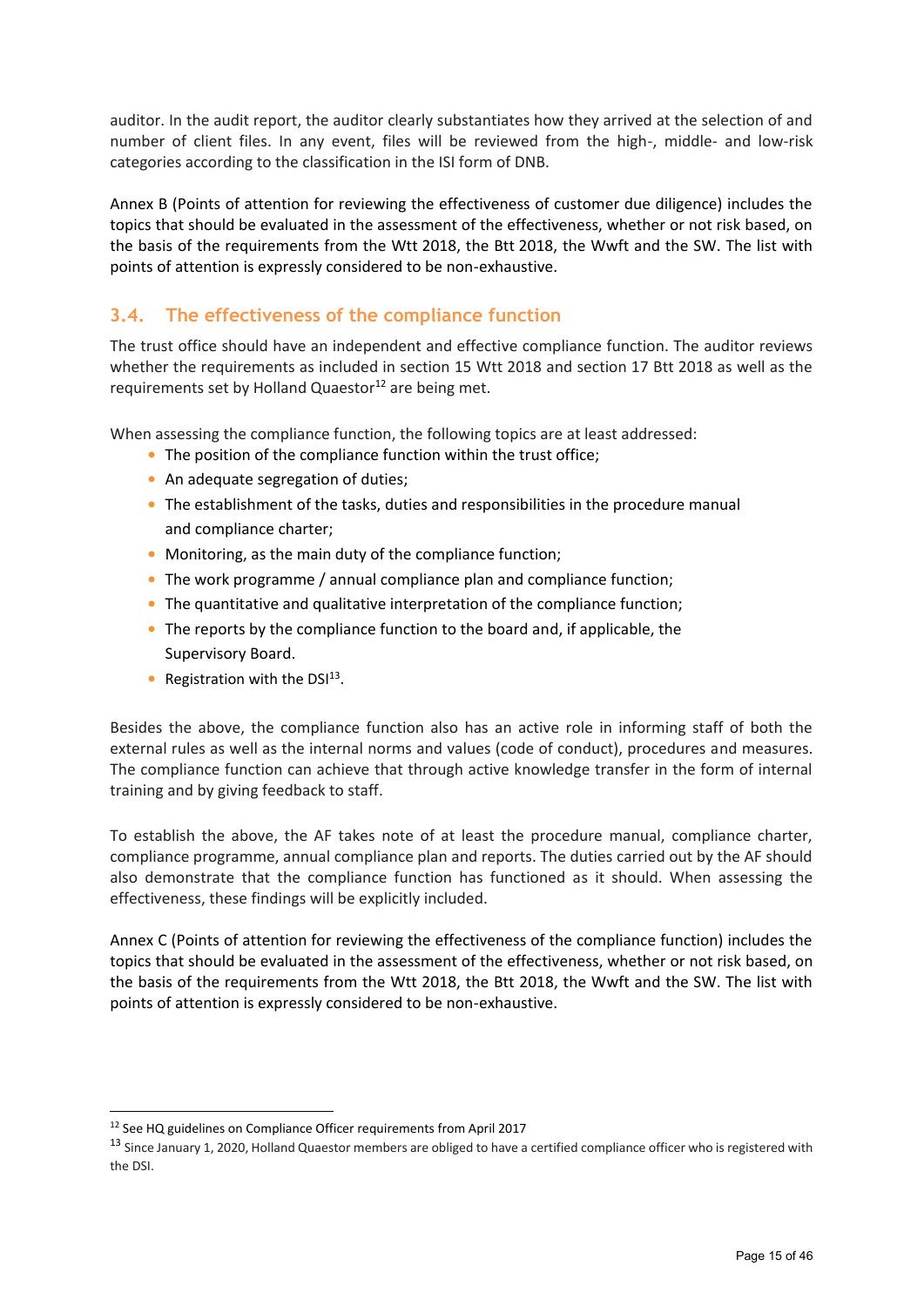auditor. In the audit report, the auditor clearly substantiates how they arrived at the selection of and number of client files. In any event, files will be reviewed from the high-, middle- and low-risk categories according to the classification in the ISI form of DNB.

Annex B (Points of attention for reviewing the effectiveness of customer due diligence) includes the topics that should be evaluated in the assessment of the effectiveness, whether or not risk based, on the basis of the requirements from the Wtt 2018, the Btt 2018, the Wwft and the SW. The list with points of attention is expressly considered to be non-exhaustive.

# **3.4. The effectiveness of the compliance function**

The trust office should have an independent and effective compliance function. The auditor reviews whether the requirements as included in section 15 Wtt 2018 and section 17 Btt 2018 as well as the requirements set by Holland Quaestor<sup>12</sup> are being met.

When assessing the compliance function, the following topics are at least addressed:

- **•** The position of the compliance function within the trust office;
- **•** An adequate segregation of duties;
- **•** The establishment of the tasks, duties and responsibilities in the procedure manual and compliance charter;
- **•** Monitoring, as the main duty of the compliance function;
- **•** The work programme / annual compliance plan and compliance function;
- **•** The quantitative and qualitative interpretation of the compliance function;
- **•** The reports by the compliance function to the board and, if applicable, the Supervisory Board.
- Registration with the DSI<sup>13</sup>.

Besides the above, the compliance function also has an active role in informing staff of both the external rules as well as the internal norms and values (code of conduct), procedures and measures. The compliance function can achieve that through active knowledge transfer in the form of internal training and by giving feedback to staff.

To establish the above, the AF takes note of at least the procedure manual, compliance charter, compliance programme, annual compliance plan and reports. The duties carried out by the AF should also demonstrate that the compliance function has functioned as it should. When assessing the effectiveness, these findings will be explicitly included.

Annex C (Points of attention for reviewing the effectiveness of the compliance function) includes the topics that should be evaluated in the assessment of the effectiveness, whether or not risk based, on the basis of the requirements from the Wtt 2018, the Btt 2018, the Wwft and the SW. The list with points of attention is expressly considered to be non-exhaustive.

<sup>&</sup>lt;sup>12</sup> See HQ guidelines on Compliance Officer requirements from April 2017

<sup>13</sup> Since January 1, 2020, Holland Quaestor members are obliged to have a certified compliance officer who is registered with the DSI.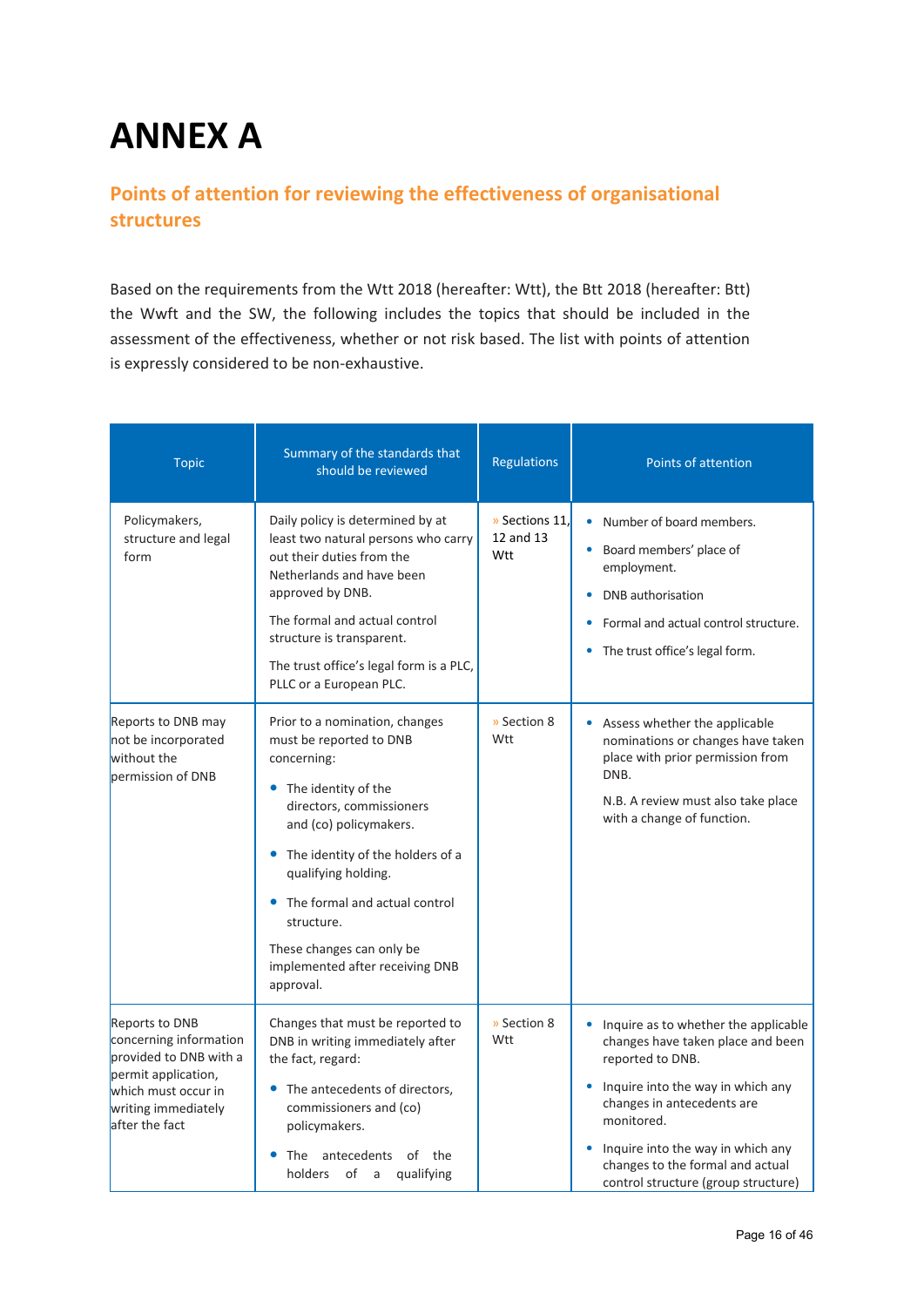# **ANNEX A**

# **Points of attention for reviewing the effectiveness of organisational structures**

Based on the requirements from the Wtt 2018 (hereafter: Wtt), the Btt 2018 (hereafter: Btt) the Wwft and the SW, the following includes the topics that should be included in the assessment of the effectiveness, whether or not risk based. The list with points of attention is expressly considered to be non-exhaustive.

| <b>Topic</b>                                                                                                                                                     | Summary of the standards that<br>should be reviewed                                                                                                                                                                                                                                                                                                                    | <b>Regulations</b>                 | Points of attention                                                                                                                                                                                                                                                                            |
|------------------------------------------------------------------------------------------------------------------------------------------------------------------|------------------------------------------------------------------------------------------------------------------------------------------------------------------------------------------------------------------------------------------------------------------------------------------------------------------------------------------------------------------------|------------------------------------|------------------------------------------------------------------------------------------------------------------------------------------------------------------------------------------------------------------------------------------------------------------------------------------------|
| Policymakers,<br>structure and legal<br>form                                                                                                                     | Daily policy is determined by at<br>least two natural persons who carry<br>out their duties from the<br>Netherlands and have been<br>approved by DNB.<br>The formal and actual control<br>structure is transparent.<br>The trust office's legal form is a PLC,<br>PLLC or a European PLC.                                                                              | » Sections 11.<br>12 and 13<br>Wtt | Number of board members.<br>$\bullet$<br>Board members' place of<br>employment.<br>DNB authorisation<br>Formal and actual control structure.<br>The trust office's legal form.                                                                                                                 |
| Reports to DNB may<br>not be incorporated<br>without the<br>permission of DNB                                                                                    | Prior to a nomination, changes<br>must be reported to DNB<br>concerning:<br>The identity of the<br>$\bullet$<br>directors, commissioners<br>and (co) policymakers.<br>The identity of the holders of a<br>$\bullet$<br>qualifying holding.<br>The formal and actual control<br>structure.<br>These changes can only be<br>implemented after receiving DNB<br>approval. | » Section 8<br>Wtt                 | • Assess whether the applicable<br>nominations or changes have taken<br>place with prior permission from<br>DNB.<br>N.B. A review must also take place<br>with a change of function.                                                                                                           |
| <b>Reports to DNB</b><br>concerning information<br>provided to DNB with a<br>permit application,<br>which must occur in<br>writing immediately<br>after the fact | Changes that must be reported to<br>DNB in writing immediately after<br>the fact, regard:<br>The antecedents of directors,<br>commissioners and (co)<br>policymakers.<br>antecedents of<br>The<br>the<br>holders of a<br>qualifying                                                                                                                                    | » Section 8<br>Wtt                 | Inquire as to whether the applicable<br>changes have taken place and been<br>reported to DNB.<br>Inquire into the way in which any<br>changes in antecedents are<br>monitored.<br>Inquire into the way in which any<br>changes to the formal and actual<br>control structure (group structure) |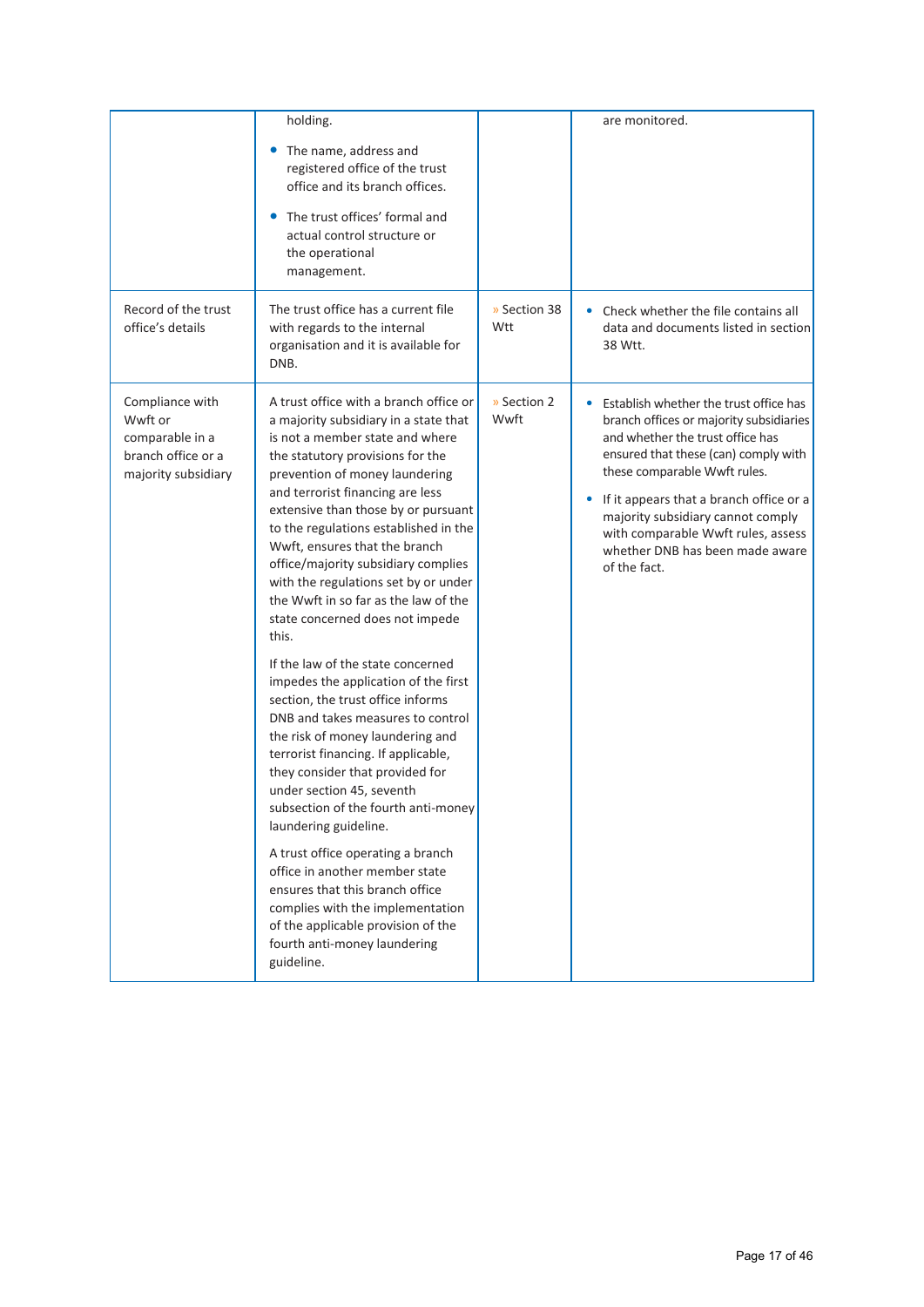| Record of the trust<br>office's details                                                    | holding.<br>The name, address and<br>registered office of the trust<br>office and its branch offices.<br>The trust offices' formal and<br>actual control structure or<br>the operational<br>management.<br>The trust office has a current file<br>with regards to the internal<br>organisation and it is available for<br>DNB.                                                                                                                                                                                                                                                                                                                                                                                                                                                                                                                                                                                                                                                                                                                                                                                       | » Section 38<br>Wtt | are monitored.<br>Check whether the file contains all<br>data and documents listed in section<br>38 Wtt.                                                                                                                                                                                                                                                               |
|--------------------------------------------------------------------------------------------|----------------------------------------------------------------------------------------------------------------------------------------------------------------------------------------------------------------------------------------------------------------------------------------------------------------------------------------------------------------------------------------------------------------------------------------------------------------------------------------------------------------------------------------------------------------------------------------------------------------------------------------------------------------------------------------------------------------------------------------------------------------------------------------------------------------------------------------------------------------------------------------------------------------------------------------------------------------------------------------------------------------------------------------------------------------------------------------------------------------------|---------------------|------------------------------------------------------------------------------------------------------------------------------------------------------------------------------------------------------------------------------------------------------------------------------------------------------------------------------------------------------------------------|
| Compliance with<br>Wwft or<br>comparable in a<br>branch office or a<br>majority subsidiary | A trust office with a branch office or<br>a majority subsidiary in a state that<br>is not a member state and where<br>the statutory provisions for the<br>prevention of money laundering<br>and terrorist financing are less<br>extensive than those by or pursuant<br>to the regulations established in the<br>Wwft, ensures that the branch<br>office/majority subsidiary complies<br>with the regulations set by or under<br>the Wwft in so far as the law of the<br>state concerned does not impede<br>this.<br>If the law of the state concerned<br>impedes the application of the first<br>section, the trust office informs<br>DNB and takes measures to control<br>the risk of money laundering and<br>terrorist financing. If applicable,<br>they consider that provided for<br>under section 45, seventh<br>subsection of the fourth anti-money<br>laundering guideline.<br>A trust office operating a branch<br>office in another member state<br>ensures that this branch office<br>complies with the implementation<br>of the applicable provision of the<br>fourth anti-money laundering<br>guideline. | » Section 2<br>Wwft | Establish whether the trust office has<br>branch offices or majority subsidiaries<br>and whether the trust office has<br>ensured that these (can) comply with<br>these comparable Wwft rules.<br>If it appears that a branch office or a<br>majority subsidiary cannot comply<br>with comparable Wwft rules, assess<br>whether DNB has been made aware<br>of the fact. |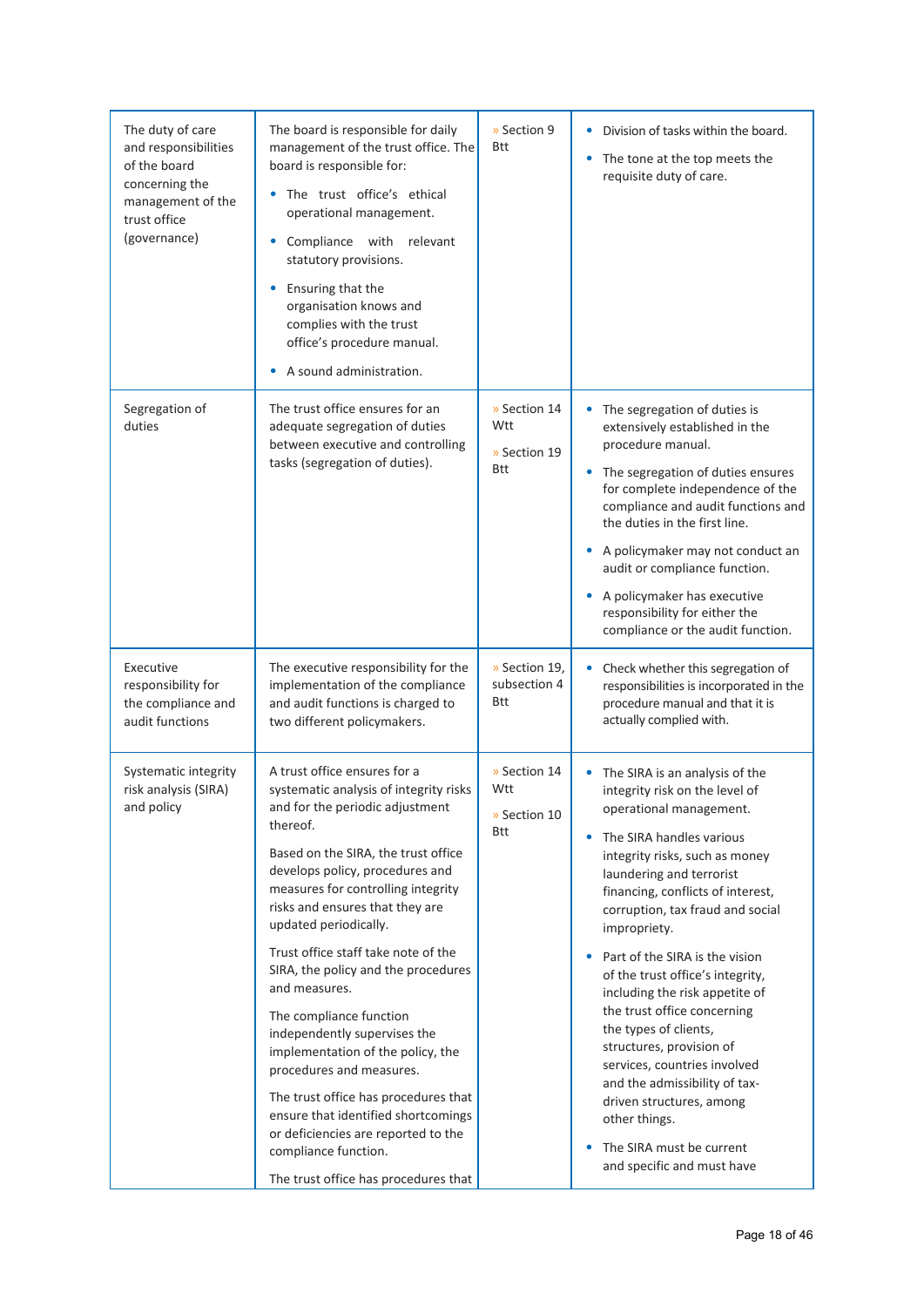| The duty of care<br>and responsibilities<br>of the board<br>concerning the<br>management of the<br>trust office<br>(governance) | The board is responsible for daily<br>management of the trust office. The<br>board is responsible for:<br>The trust office's ethical<br>operational management.<br>Compliance with<br>relevant<br>۰<br>statutory provisions.<br>Ensuring that the<br>organisation knows and<br>complies with the trust<br>office's procedure manual.<br>A sound administration.                                                                                                                                                                                                                                                                                                                                                    | » Section 9<br>Btt                         | Division of tasks within the board.<br>۰<br>The tone at the top meets the<br>۰<br>requisite duty of care.                                                                                                                                                                                                                                                                                                                                                                                                                                                                                                                                                                         |
|---------------------------------------------------------------------------------------------------------------------------------|--------------------------------------------------------------------------------------------------------------------------------------------------------------------------------------------------------------------------------------------------------------------------------------------------------------------------------------------------------------------------------------------------------------------------------------------------------------------------------------------------------------------------------------------------------------------------------------------------------------------------------------------------------------------------------------------------------------------|--------------------------------------------|-----------------------------------------------------------------------------------------------------------------------------------------------------------------------------------------------------------------------------------------------------------------------------------------------------------------------------------------------------------------------------------------------------------------------------------------------------------------------------------------------------------------------------------------------------------------------------------------------------------------------------------------------------------------------------------|
| Segregation of<br>duties                                                                                                        | The trust office ensures for an<br>adequate segregation of duties<br>between executive and controlling<br>tasks (segregation of duties).                                                                                                                                                                                                                                                                                                                                                                                                                                                                                                                                                                           | » Section 14<br>Wtt<br>» Section 19<br>Btt | The segregation of duties is<br>extensively established in the<br>procedure manual.<br>The segregation of duties ensures<br>$\bullet$<br>for complete independence of the<br>compliance and audit functions and<br>the duties in the first line.<br>A policymaker may not conduct an<br>٠<br>audit or compliance function.<br>A policymaker has executive<br>responsibility for either the<br>compliance or the audit function.                                                                                                                                                                                                                                                   |
| Executive<br>responsibility for<br>the compliance and<br>audit functions                                                        | The executive responsibility for the<br>implementation of the compliance<br>and audit functions is charged to<br>two different policymakers.                                                                                                                                                                                                                                                                                                                                                                                                                                                                                                                                                                       | » Section 19,<br>subsection 4<br>Btt       | Check whether this segregation of<br>٠<br>responsibilities is incorporated in the<br>procedure manual and that it is<br>actually complied with.                                                                                                                                                                                                                                                                                                                                                                                                                                                                                                                                   |
| Systematic integrity<br>risk analysis (SIRA)<br>and policy                                                                      | A trust office ensures for a<br>systematic analysis of integrity risks<br>and for the periodic adjustment<br>thereof.<br>Based on the SIRA, the trust office<br>develops policy, procedures and<br>measures for controlling integrity<br>risks and ensures that they are<br>updated periodically.<br>Trust office staff take note of the<br>SIRA, the policy and the procedures<br>and measures.<br>The compliance function<br>independently supervises the<br>implementation of the policy, the<br>procedures and measures.<br>The trust office has procedures that<br>ensure that identified shortcomings<br>or deficiencies are reported to the<br>compliance function.<br>The trust office has procedures that | » Section 14<br>Wtt<br>» Section 10<br>Btt | The SIRA is an analysis of the<br>٠<br>integrity risk on the level of<br>operational management.<br>The SIRA handles various<br>$\bullet$<br>integrity risks, such as money<br>laundering and terrorist<br>financing, conflicts of interest,<br>corruption, tax fraud and social<br>impropriety.<br>Part of the SIRA is the vision<br>$\bullet$<br>of the trust office's integrity,<br>including the risk appetite of<br>the trust office concerning<br>the types of clients,<br>structures, provision of<br>services, countries involved<br>and the admissibility of tax-<br>driven structures, among<br>other things.<br>The SIRA must be current<br>and specific and must have |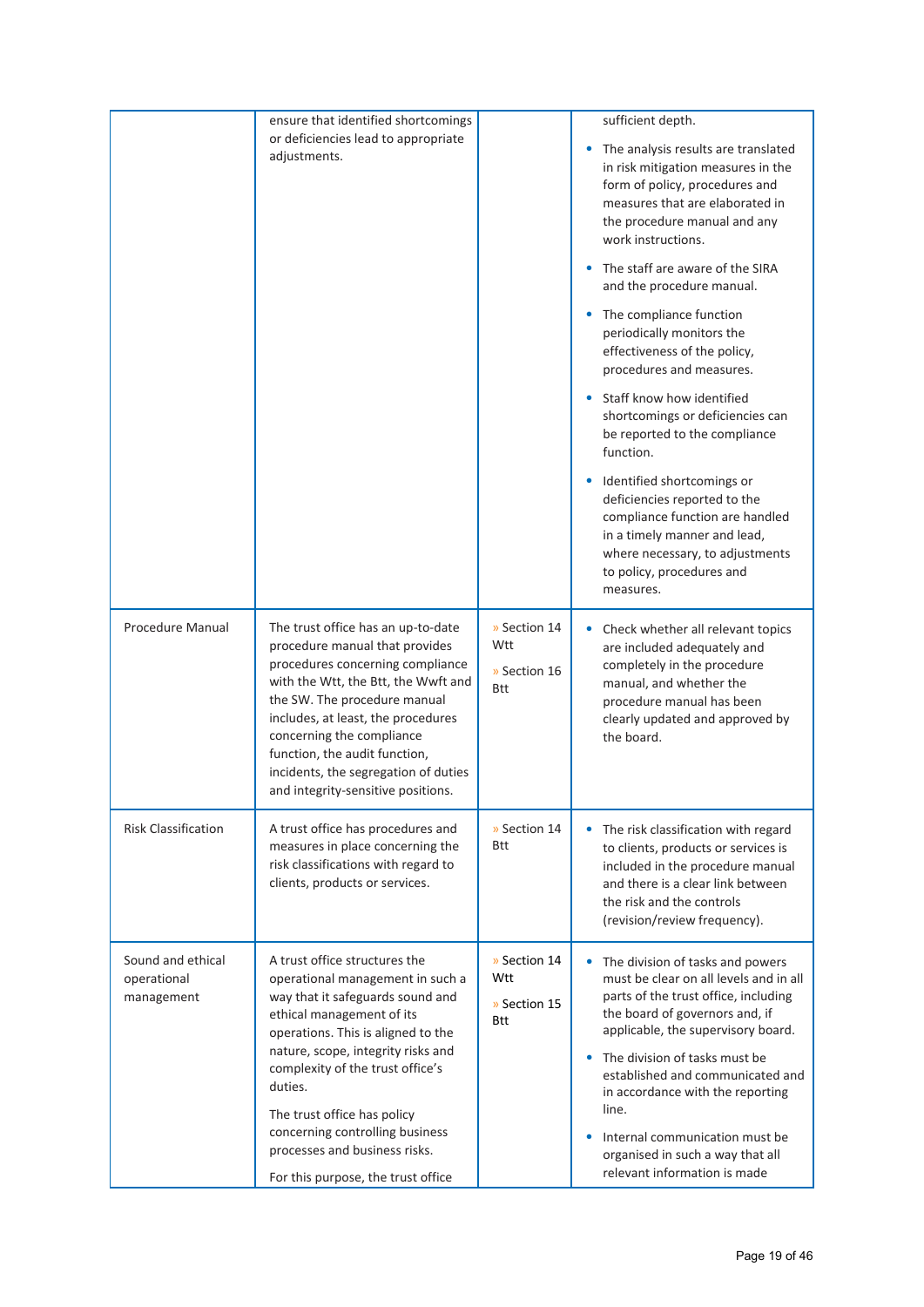|                                                | ensure that identified shortcomings<br>or deficiencies lead to appropriate<br>adjustments.                                                                                                                                                                                                                                                                                                             |                                                   | sufficient depth.<br>The analysis results are translated<br>٠<br>in risk mitigation measures in the<br>form of policy, procedures and<br>measures that are elaborated in<br>the procedure manual and any<br>work instructions.<br>The staff are aware of the SIRA<br>and the procedure manual.<br>The compliance function<br>periodically monitors the<br>effectiveness of the policy,<br>procedures and measures.<br>Staff know how identified<br>shortcomings or deficiencies can<br>be reported to the compliance<br>function.<br>Identified shortcomings or<br>deficiencies reported to the<br>compliance function are handled<br>in a timely manner and lead,<br>where necessary, to adjustments<br>to policy, procedures and<br>measures. |
|------------------------------------------------|--------------------------------------------------------------------------------------------------------------------------------------------------------------------------------------------------------------------------------------------------------------------------------------------------------------------------------------------------------------------------------------------------------|---------------------------------------------------|-------------------------------------------------------------------------------------------------------------------------------------------------------------------------------------------------------------------------------------------------------------------------------------------------------------------------------------------------------------------------------------------------------------------------------------------------------------------------------------------------------------------------------------------------------------------------------------------------------------------------------------------------------------------------------------------------------------------------------------------------|
| Procedure Manual                               | The trust office has an up-to-date<br>procedure manual that provides<br>procedures concerning compliance<br>with the Wtt, the Btt, the Wwft and<br>the SW. The procedure manual<br>includes, at least, the procedures<br>concerning the compliance<br>function, the audit function,<br>incidents, the segregation of duties<br>and integrity-sensitive positions.                                      | » Section 14<br>Wtt<br>» Section 16<br><b>Btt</b> | Check whether all relevant topics<br>۰<br>are included adequately and<br>completely in the procedure<br>manual, and whether the<br>procedure manual has been<br>clearly updated and approved by<br>the board.                                                                                                                                                                                                                                                                                                                                                                                                                                                                                                                                   |
| <b>Risk Classification</b>                     | A trust office has procedures and<br>measures in place concerning the<br>risk classifications with regard to<br>clients, products or services.                                                                                                                                                                                                                                                         | » Section 14<br>Btt                               | The risk classification with regard<br>$\bullet$<br>to clients, products or services is<br>included in the procedure manual<br>and there is a clear link between<br>the risk and the controls<br>(revision/review frequency).                                                                                                                                                                                                                                                                                                                                                                                                                                                                                                                   |
| Sound and ethical<br>operational<br>management | A trust office structures the<br>operational management in such a<br>way that it safeguards sound and<br>ethical management of its<br>operations. This is aligned to the<br>nature, scope, integrity risks and<br>complexity of the trust office's<br>duties.<br>The trust office has policy<br>concerning controlling business<br>processes and business risks.<br>For this purpose, the trust office | » Section 14<br>Wtt<br>» Section 15<br>Btt        | The division of tasks and powers<br>must be clear on all levels and in all<br>parts of the trust office, including<br>the board of governors and, if<br>applicable, the supervisory board.<br>The division of tasks must be<br>established and communicated and<br>in accordance with the reporting<br>line.<br>Internal communication must be<br>organised in such a way that all<br>relevant information is made                                                                                                                                                                                                                                                                                                                              |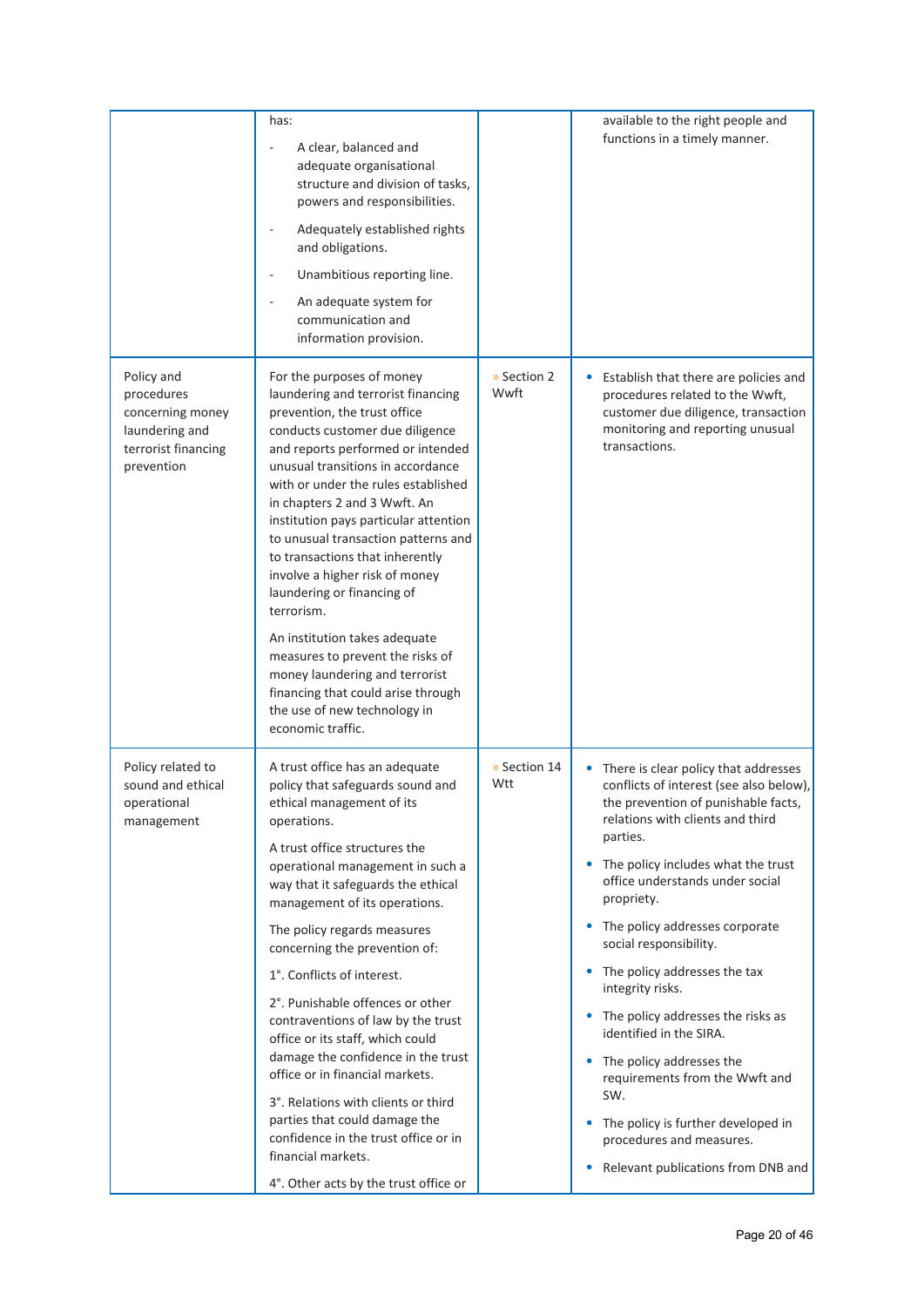|                                                                                                     | has:<br>A clear, balanced and<br>adequate organisational<br>structure and division of tasks,<br>powers and responsibilities.<br>Adequately established rights<br>and obligations.<br>Unambitious reporting line.<br>An adequate system for<br>communication and<br>information provision.                                                                                                                                                                                                                                                                                                                                                                                                                                      |                     | available to the right people and<br>functions in a timely manner.                                                                                                                                                                                                                                                                                                                                                                                                                                                                                                                                                                                                      |
|-----------------------------------------------------------------------------------------------------|--------------------------------------------------------------------------------------------------------------------------------------------------------------------------------------------------------------------------------------------------------------------------------------------------------------------------------------------------------------------------------------------------------------------------------------------------------------------------------------------------------------------------------------------------------------------------------------------------------------------------------------------------------------------------------------------------------------------------------|---------------------|-------------------------------------------------------------------------------------------------------------------------------------------------------------------------------------------------------------------------------------------------------------------------------------------------------------------------------------------------------------------------------------------------------------------------------------------------------------------------------------------------------------------------------------------------------------------------------------------------------------------------------------------------------------------------|
| Policy and<br>procedures<br>concerning money<br>laundering and<br>terrorist financing<br>prevention | For the purposes of money<br>laundering and terrorist financing<br>prevention, the trust office<br>conducts customer due diligence<br>and reports performed or intended<br>unusual transitions in accordance<br>with or under the rules established<br>in chapters 2 and 3 Wwft. An<br>institution pays particular attention<br>to unusual transaction patterns and<br>to transactions that inherently<br>involve a higher risk of money<br>laundering or financing of<br>terrorism.<br>An institution takes adequate<br>measures to prevent the risks of<br>money laundering and terrorist<br>financing that could arise through<br>the use of new technology in<br>economic traffic.                                         | » Section 2<br>Wwft | Establish that there are policies and<br>$\bullet$<br>procedures related to the Wwft,<br>customer due diligence, transaction<br>monitoring and reporting unusual<br>transactions.                                                                                                                                                                                                                                                                                                                                                                                                                                                                                       |
| Policy related to<br>sound and ethical<br>operational<br>management                                 | A trust office has an adequate<br>policy that safeguards sound and<br>ethical management of its<br>operations.<br>A trust office structures the<br>operational management in such a<br>way that it safeguards the ethical<br>management of its operations.<br>The policy regards measures<br>concerning the prevention of:<br>1°. Conflicts of interest.<br>2°. Punishable offences or other<br>contraventions of law by the trust<br>office or its staff, which could<br>damage the confidence in the trust<br>office or in financial markets.<br>3°. Relations with clients or third<br>parties that could damage the<br>confidence in the trust office or in<br>financial markets.<br>4°. Other acts by the trust office or | » Section 14<br>Wtt | There is clear policy that addresses<br>$\bullet$<br>conflicts of interest (see also below),<br>the prevention of punishable facts,<br>relations with clients and third<br>parties.<br>The policy includes what the trust<br>٠<br>office understands under social<br>propriety.<br>The policy addresses corporate<br>٠<br>social responsibility.<br>• The policy addresses the tax<br>integrity risks.<br>• The policy addresses the risks as<br>identified in the SIRA.<br>The policy addresses the<br>$\bullet$<br>requirements from the Wwft and<br>SW.<br>The policy is further developed in<br>٠<br>procedures and measures.<br>Relevant publications from DNB and |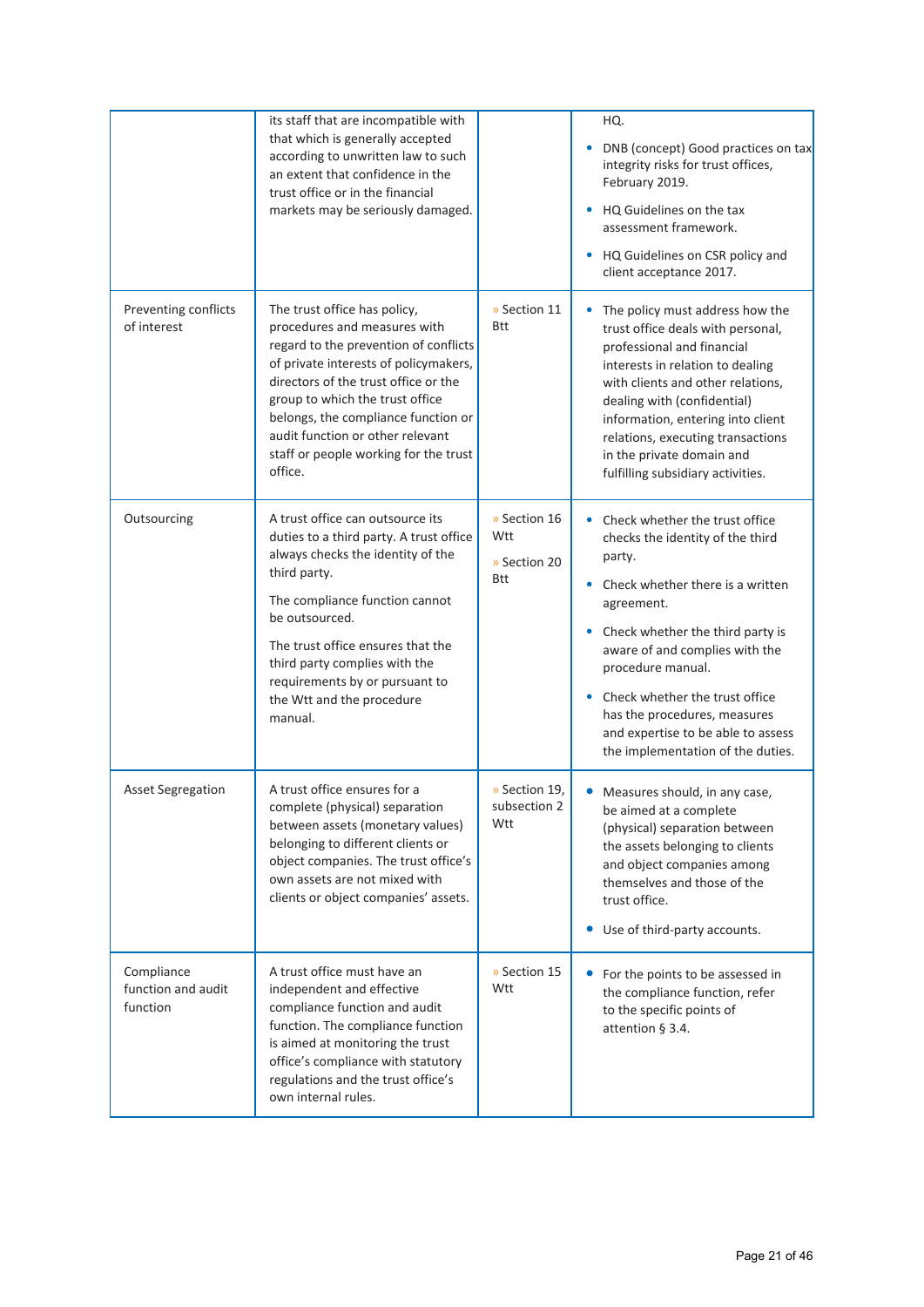|                                              | its staff that are incompatible with<br>that which is generally accepted<br>according to unwritten law to such<br>an extent that confidence in the<br>trust office or in the financial<br>markets may be seriously damaged.                                                                                                                              |                                                   | HQ.<br>DNB (concept) Good practices on tax<br>integrity risks for trust offices,<br>February 2019.<br>HQ Guidelines on the tax<br>assessment framework.<br>HQ Guidelines on CSR policy and<br>client acceptance 2017.                                                                                                                                                  |
|----------------------------------------------|----------------------------------------------------------------------------------------------------------------------------------------------------------------------------------------------------------------------------------------------------------------------------------------------------------------------------------------------------------|---------------------------------------------------|------------------------------------------------------------------------------------------------------------------------------------------------------------------------------------------------------------------------------------------------------------------------------------------------------------------------------------------------------------------------|
| Preventing conflicts<br>of interest          | The trust office has policy,<br>procedures and measures with<br>regard to the prevention of conflicts<br>of private interests of policymakers,<br>directors of the trust office or the<br>group to which the trust office<br>belongs, the compliance function or<br>audit function or other relevant<br>staff or people working for the trust<br>office. | » Section 11<br><b>Btt</b>                        | The policy must address how the<br>trust office deals with personal,<br>professional and financial<br>interests in relation to dealing<br>with clients and other relations,<br>dealing with (confidential)<br>information, entering into client<br>relations, executing transactions<br>in the private domain and<br>fulfilling subsidiary activities.                 |
| Outsourcing                                  | A trust office can outsource its<br>duties to a third party. A trust office<br>always checks the identity of the<br>third party.<br>The compliance function cannot<br>be outsourced.<br>The trust office ensures that the<br>third party complies with the<br>requirements by or pursuant to<br>the Wtt and the procedure<br>manual.                     | » Section 16<br>Wtt<br>» Section 20<br><b>Btt</b> | Check whether the trust office<br>checks the identity of the third<br>party.<br>Check whether there is a written<br>agreement.<br>Check whether the third party is<br>aware of and complies with the<br>procedure manual.<br>Check whether the trust office<br>has the procedures, measures<br>and expertise to be able to assess<br>the implementation of the duties. |
| <b>Asset Segregation</b>                     | A trust office ensures for a<br>complete (physical) separation<br>between assets (monetary values)<br>belonging to different clients or<br>object companies. The trust office's<br>own assets are not mixed with<br>clients or object companies' assets.                                                                                                 | » Section 19,<br>subsection 2<br>Wtt              | • Measures should, in any case,<br>be aimed at a complete<br>(physical) separation between<br>the assets belonging to clients<br>and object companies among<br>themselves and those of the<br>trust office.<br>Use of third-party accounts.<br>$\bullet$                                                                                                               |
| Compliance<br>function and audit<br>function | A trust office must have an<br>independent and effective<br>compliance function and audit<br>function. The compliance function<br>is aimed at monitoring the trust<br>office's compliance with statutory<br>regulations and the trust office's<br>own internal rules.                                                                                    | » Section 15<br>Wtt                               | For the points to be assessed in<br>$\bullet$<br>the compliance function, refer<br>to the specific points of<br>attention $§$ 3.4.                                                                                                                                                                                                                                     |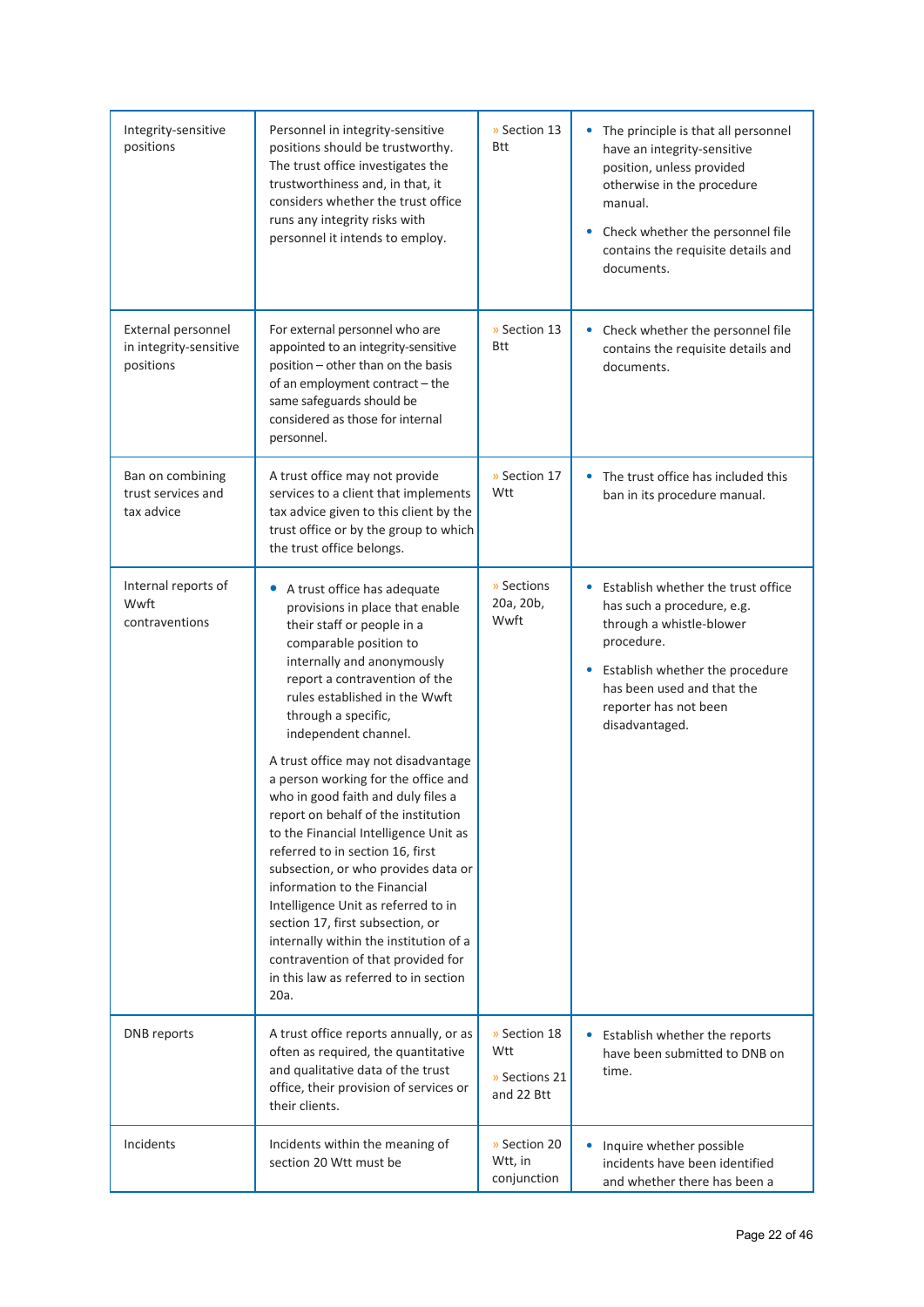| Integrity-sensitive<br>positions                          | Personnel in integrity-sensitive<br>positions should be trustworthy.<br>The trust office investigates the<br>trustworthiness and, in that, it<br>considers whether the trust office<br>runs any integrity risks with<br>personnel it intends to employ.                                                                                                                                                                                                                                                                                                                                                                                                                                                                                                                                                       | » Section 13<br><b>Btt</b>                         | The principle is that all personnel<br>٠<br>have an integrity-sensitive<br>position, unless provided<br>otherwise in the procedure<br>manual.<br>Check whether the personnel file<br>٠<br>contains the requisite details and<br>documents. |
|-----------------------------------------------------------|---------------------------------------------------------------------------------------------------------------------------------------------------------------------------------------------------------------------------------------------------------------------------------------------------------------------------------------------------------------------------------------------------------------------------------------------------------------------------------------------------------------------------------------------------------------------------------------------------------------------------------------------------------------------------------------------------------------------------------------------------------------------------------------------------------------|----------------------------------------------------|--------------------------------------------------------------------------------------------------------------------------------------------------------------------------------------------------------------------------------------------|
| External personnel<br>in integrity-sensitive<br>positions | For external personnel who are<br>appointed to an integrity-sensitive<br>position - other than on the basis<br>of an employment contract - the<br>same safeguards should be<br>considered as those for internal<br>personnel.                                                                                                                                                                                                                                                                                                                                                                                                                                                                                                                                                                                 | » Section 13<br>Btt                                | • Check whether the personnel file<br>contains the requisite details and<br>documents.                                                                                                                                                     |
| Ban on combining<br>trust services and<br>tax advice      | A trust office may not provide<br>services to a client that implements<br>tax advice given to this client by the<br>trust office or by the group to which<br>the trust office belongs.                                                                                                                                                                                                                                                                                                                                                                                                                                                                                                                                                                                                                        | » Section 17<br>Wtt                                | The trust office has included this<br>٠<br>ban in its procedure manual.                                                                                                                                                                    |
| Internal reports of<br>Wwft<br>contraventions             | A trust office has adequate<br>$\bullet$<br>provisions in place that enable<br>their staff or people in a<br>comparable position to<br>internally and anonymously<br>report a contravention of the<br>rules established in the Wwft<br>through a specific,<br>independent channel.<br>A trust office may not disadvantage<br>a person working for the office and<br>who in good faith and duly files a<br>report on behalf of the institution<br>to the Financial Intelligence Unit as<br>referred to in section 16, first<br>subsection, or who provides data or<br>information to the Financial<br>Intelligence Unit as referred to in<br>section 17, first subsection, or<br>internally within the institution of a<br>contravention of that provided for<br>in this law as referred to in section<br>20a. | » Sections<br>20a, 20b,<br>Wwft                    | Establish whether the trust office<br>has such a procedure, e.g.<br>through a whistle-blower<br>procedure.<br>Establish whether the procedure<br>$\bullet$<br>has been used and that the<br>reporter has not been<br>disadvantaged.        |
| DNB reports                                               | A trust office reports annually, or as<br>often as required, the quantitative<br>and qualitative data of the trust<br>office, their provision of services or<br>their clients.                                                                                                                                                                                                                                                                                                                                                                                                                                                                                                                                                                                                                                | » Section 18<br>Wtt<br>» Sections 21<br>and 22 Btt | Establish whether the reports<br>have been submitted to DNB on<br>time.                                                                                                                                                                    |
| Incidents                                                 | Incidents within the meaning of<br>section 20 Wtt must be                                                                                                                                                                                                                                                                                                                                                                                                                                                                                                                                                                                                                                                                                                                                                     | » Section 20<br>Wtt, in<br>conjunction             | Inquire whether possible<br>٠<br>incidents have been identified<br>and whether there has been a                                                                                                                                            |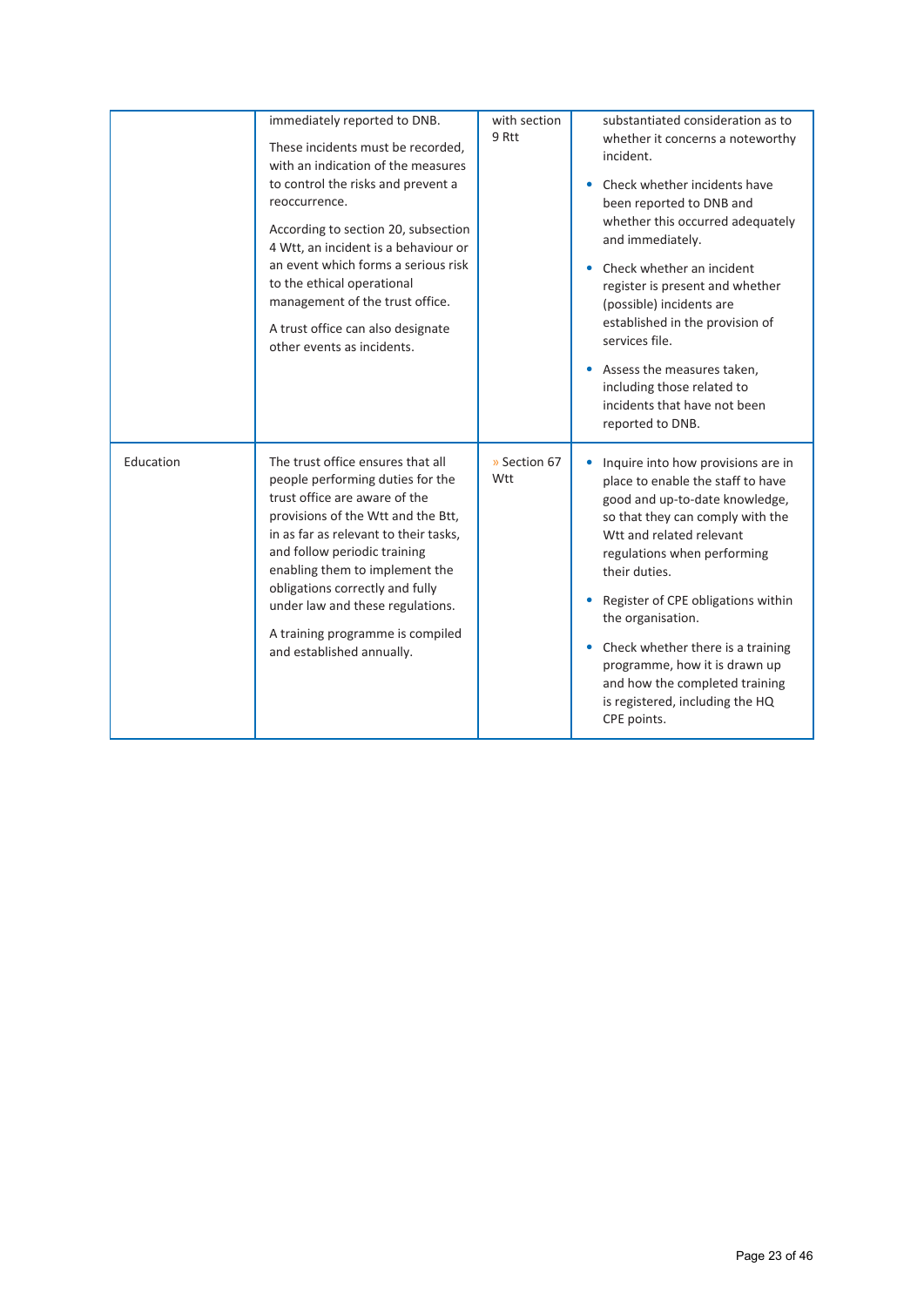|           | immediately reported to DNB.<br>These incidents must be recorded,<br>with an indication of the measures<br>to control the risks and prevent a<br>reoccurrence.<br>According to section 20, subsection<br>4 Wtt, an incident is a behaviour or<br>an event which forms a serious risk<br>to the ethical operational<br>management of the trust office.<br>A trust office can also designate<br>other events as incidents. | with section<br>9 Rtt | substantiated consideration as to<br>whether it concerns a noteworthy<br>incident.<br>Check whether incidents have<br>been reported to DNB and<br>whether this occurred adequately<br>and immediately.<br>Check whether an incident<br>register is present and whether<br>(possible) incidents are<br>established in the provision of<br>services file.<br>• Assess the measures taken,<br>including those related to<br>incidents that have not been<br>reported to DNB. |
|-----------|--------------------------------------------------------------------------------------------------------------------------------------------------------------------------------------------------------------------------------------------------------------------------------------------------------------------------------------------------------------------------------------------------------------------------|-----------------------|---------------------------------------------------------------------------------------------------------------------------------------------------------------------------------------------------------------------------------------------------------------------------------------------------------------------------------------------------------------------------------------------------------------------------------------------------------------------------|
| Education | The trust office ensures that all<br>people performing duties for the<br>trust office are aware of the<br>provisions of the Wtt and the Btt,<br>in as far as relevant to their tasks,<br>and follow periodic training<br>enabling them to implement the<br>obligations correctly and fully<br>under law and these regulations.<br>A training programme is compiled<br>and established annually.                          | » Section 67<br>Wtt   | Inquire into how provisions are in<br>place to enable the staff to have<br>good and up-to-date knowledge,<br>so that they can comply with the<br>Wtt and related relevant<br>regulations when performing<br>their duties.<br>Register of CPE obligations within<br>the organisation.<br>Check whether there is a training<br>programme, how it is drawn up<br>and how the completed training<br>is registered, including the HQ<br>CPE points.                            |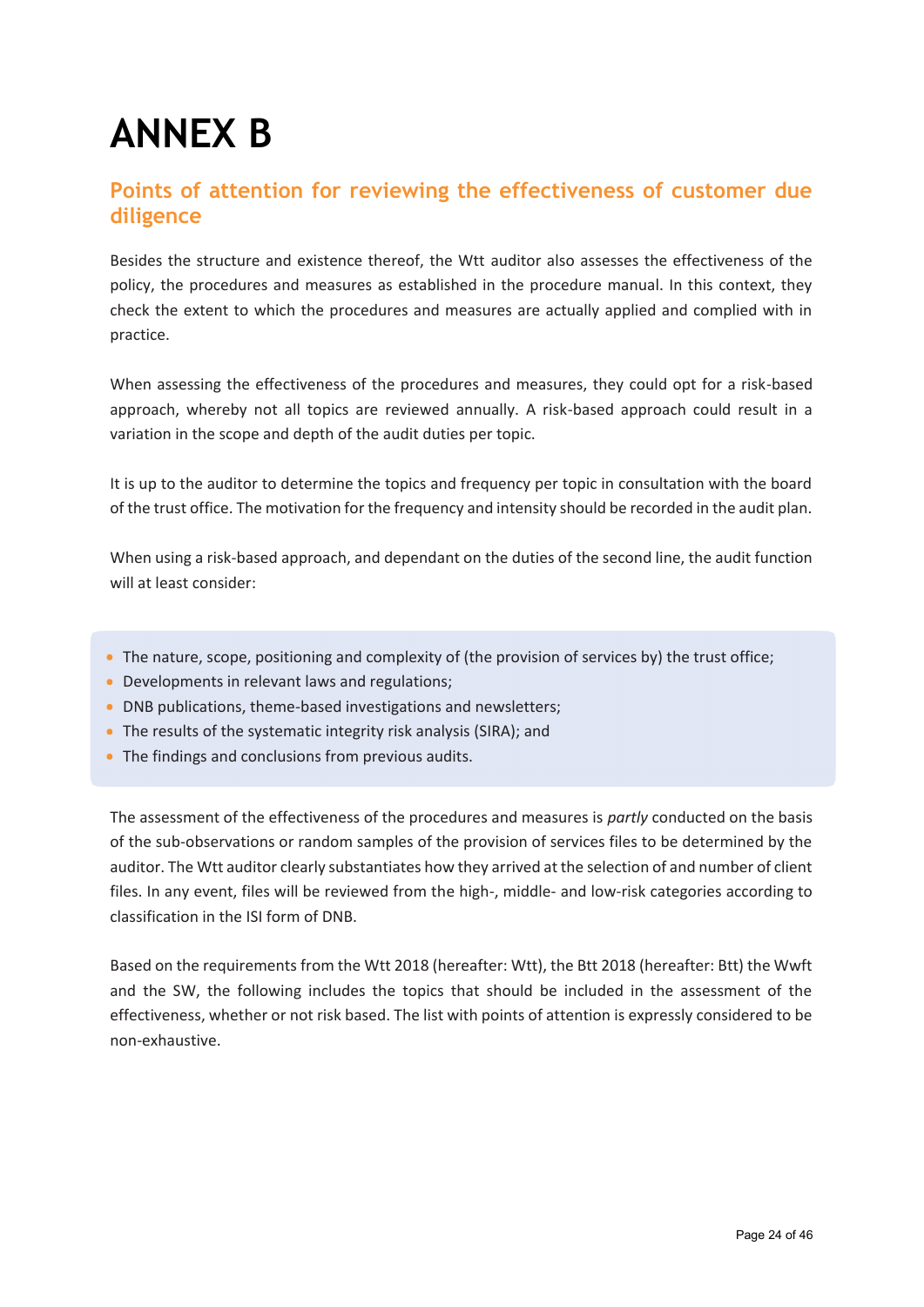# **ANNEX B**

# **Points of attention for reviewing the effectiveness of customer due diligence**

Besides the structure and existence thereof, the Wtt auditor also assesses the effectiveness of the policy, the procedures and measures as established in the procedure manual. In this context, they check the extent to which the procedures and measures are actually applied and complied with in practice.

When assessing the effectiveness of the procedures and measures, they could opt for a risk-based approach, whereby not all topics are reviewed annually. A risk-based approach could result in a variation in the scope and depth of the audit duties per topic.

It is up to the auditor to determine the topics and frequency per topic in consultation with the board of the trust office. The motivation for the frequency and intensity should be recorded in the audit plan.

When using a risk-based approach, and dependant on the duties of the second line, the audit function will at least consider:

- The nature, scope, positioning and complexity of (the provision of services by) the trust office;
- Developments in relevant laws and regulations;
- DNB publications, theme-based investigations and newsletters;
- The results of the systematic integrity risk analysis (SIRA); and
- The findings and conclusions from previous audits.

The assessment of the effectiveness of the procedures and measures is *partly* conducted on the basis of the sub-observations or random samples of the provision of services files to be determined by the auditor. The Wtt auditor clearly substantiates how they arrived at the selection of and number of client files. In any event, files will be reviewed from the high-, middle- and low-risk categories according to classification in the ISI form of DNB.

Based on the requirements from the Wtt 2018 (hereafter: Wtt), the Btt 2018 (hereafter: Btt) the Wwft and the SW, the following includes the topics that should be included in the assessment of the effectiveness, whether or not risk based. The list with points of attention is expressly considered to be non-exhaustive.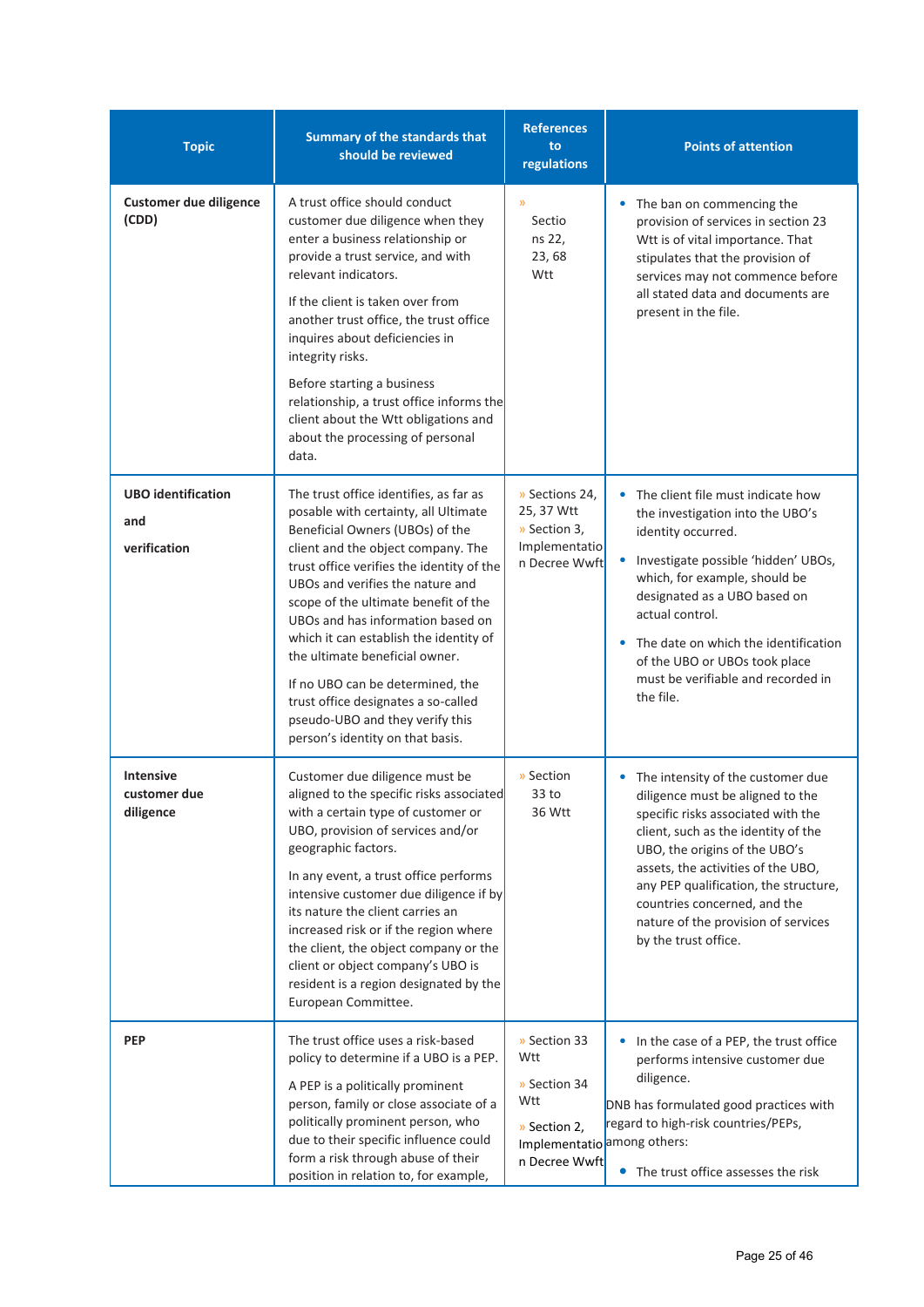| <b>Topic</b>                                     | <b>Summary of the standards that</b><br>should be reviewed                                                                                                                                                                                                                                                                                                                                                                                                                                                                                          | <b>References</b><br>to<br>regulations                                                                     | <b>Points of attention</b>                                                                                                                                                                                                                                                                                                                                          |
|--------------------------------------------------|-----------------------------------------------------------------------------------------------------------------------------------------------------------------------------------------------------------------------------------------------------------------------------------------------------------------------------------------------------------------------------------------------------------------------------------------------------------------------------------------------------------------------------------------------------|------------------------------------------------------------------------------------------------------------|---------------------------------------------------------------------------------------------------------------------------------------------------------------------------------------------------------------------------------------------------------------------------------------------------------------------------------------------------------------------|
| <b>Customer due diligence</b><br>(CDD)           | A trust office should conduct<br>customer due diligence when they<br>enter a business relationship or<br>provide a trust service, and with<br>relevant indicators.<br>If the client is taken over from<br>another trust office, the trust office<br>inquires about deficiencies in<br>integrity risks.<br>Before starting a business<br>relationship, a trust office informs the<br>client about the Wtt obligations and<br>about the processing of personal<br>data.                                                                               | $\mathcal{Y}$<br>Sectio<br>ns 22,<br>23,68<br>Wtt                                                          | The ban on commencing the<br>$\bullet$<br>provision of services in section 23<br>Wtt is of vital importance. That<br>stipulates that the provision of<br>services may not commence before<br>all stated data and documents are<br>present in the file.                                                                                                              |
| <b>UBO identification</b><br>and<br>verification | The trust office identifies, as far as<br>posable with certainty, all Ultimate<br>Beneficial Owners (UBOs) of the<br>client and the object company. The<br>trust office verifies the identity of the<br>UBOs and verifies the nature and<br>scope of the ultimate benefit of the<br>UBOs and has information based on<br>which it can establish the identity of<br>the ultimate beneficial owner.<br>If no UBO can be determined, the<br>trust office designates a so-called<br>pseudo-UBO and they verify this<br>person's identity on that basis. | » Sections 24,<br>25, 37 Wtt<br>» Section 3,<br>Implementatio<br>n Decree Wwft                             | • The client file must indicate how<br>the investigation into the UBO's<br>identity occurred.<br>Investigate possible 'hidden' UBOs,<br>$\bullet$<br>which, for example, should be<br>designated as a UBO based on<br>actual control.<br>The date on which the identification<br>of the UBO or UBOs took place<br>must be verifiable and recorded in<br>the file.   |
| <b>Intensive</b><br>customer due<br>diligence    | Customer due diligence must be<br>aligned to the specific risks associated<br>with a certain type of customer or<br>UBO, provision of services and/or<br>geographic factors.<br>In any event, a trust office performs<br>intensive customer due diligence if by<br>its nature the client carries an<br>increased risk or if the region where<br>the client, the object company or the<br>client or object company's UBO is<br>resident is a region designated by the<br>European Committee.                                                         | » Section<br>33 to<br>36 Wtt                                                                               | • The intensity of the customer due<br>diligence must be aligned to the<br>specific risks associated with the<br>client, such as the identity of the<br>UBO, the origins of the UBO's<br>assets, the activities of the UBO,<br>any PEP qualification, the structure,<br>countries concerned, and the<br>nature of the provision of services<br>by the trust office. |
| <b>PEP</b>                                       | The trust office uses a risk-based<br>policy to determine if a UBO is a PEP.<br>A PEP is a politically prominent<br>person, family or close associate of a<br>politically prominent person, who<br>due to their specific influence could<br>form a risk through abuse of their<br>position in relation to, for example,                                                                                                                                                                                                                             | » Section 33<br>Wtt<br>» Section 34<br>Wtt<br>» Section 2,<br>Implementatio among others:<br>n Decree Wwft | In the case of a PEP, the trust office<br>$\bullet$<br>performs intensive customer due<br>diligence.<br>DNB has formulated good practices with<br>regard to high-risk countries/PEPs,<br>• The trust office assesses the risk                                                                                                                                       |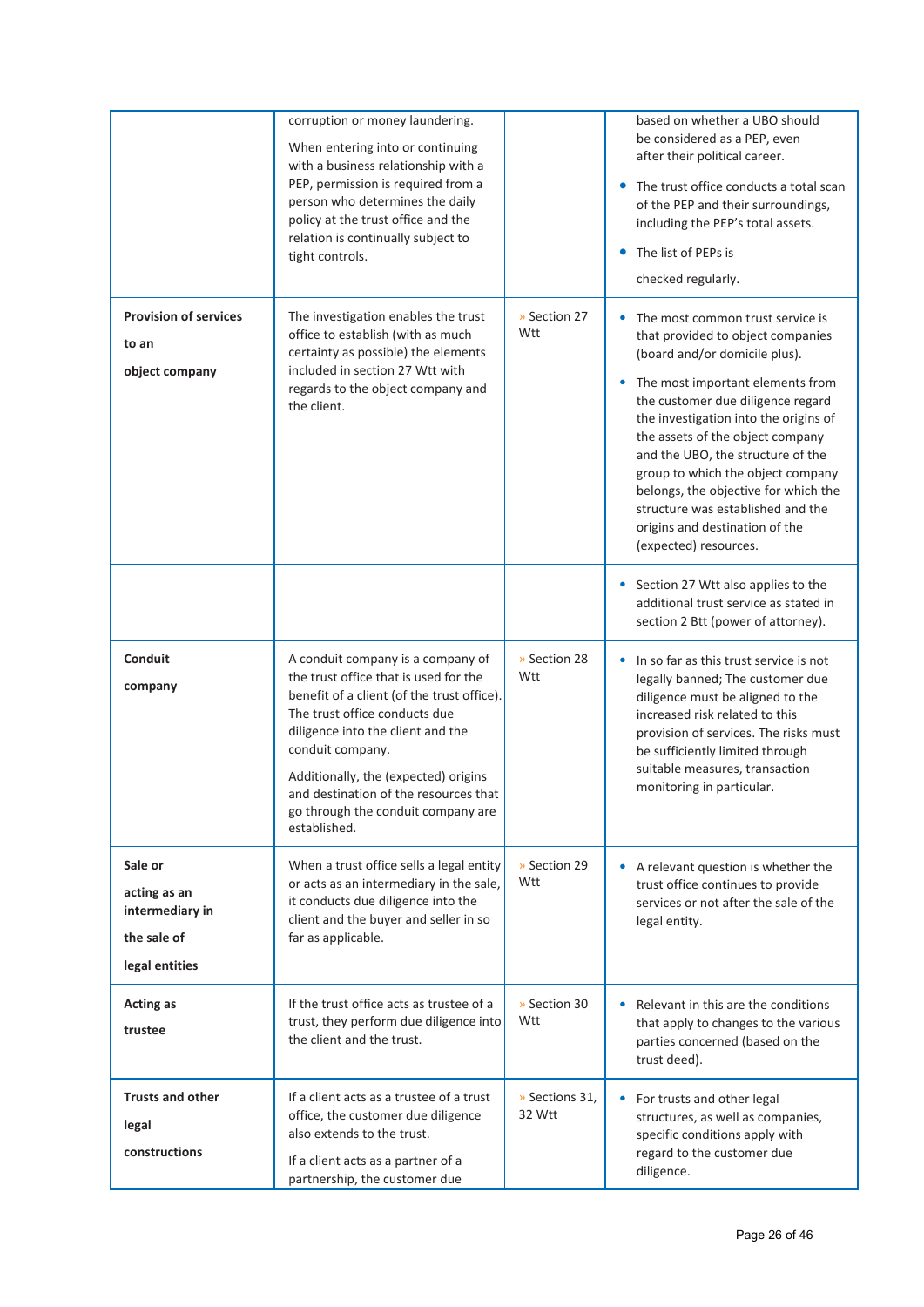|                                                                             | corruption or money laundering.<br>When entering into or continuing<br>with a business relationship with a<br>PEP, permission is required from a<br>person who determines the daily<br>policy at the trust office and the<br>relation is continually subject to<br>tight controls.                                                                        |                          | based on whether a UBO should<br>be considered as a PEP, even<br>after their political career.<br>The trust office conducts a total scan<br>of the PEP and their surroundings,<br>including the PEP's total assets.<br>The list of PEPs is<br>checked regularly.                                                                                                                                                                                                                                         |
|-----------------------------------------------------------------------------|-----------------------------------------------------------------------------------------------------------------------------------------------------------------------------------------------------------------------------------------------------------------------------------------------------------------------------------------------------------|--------------------------|----------------------------------------------------------------------------------------------------------------------------------------------------------------------------------------------------------------------------------------------------------------------------------------------------------------------------------------------------------------------------------------------------------------------------------------------------------------------------------------------------------|
| <b>Provision of services</b><br>to an<br>object company                     | The investigation enables the trust<br>office to establish (with as much<br>certainty as possible) the elements<br>included in section 27 Wtt with<br>regards to the object company and<br>the client.                                                                                                                                                    | » Section 27<br>Wtt      | The most common trust service is<br>$\bullet$<br>that provided to object companies<br>(board and/or domicile plus).<br>The most important elements from<br>$\bullet$<br>the customer due diligence regard<br>the investigation into the origins of<br>the assets of the object company<br>and the UBO, the structure of the<br>group to which the object company<br>belongs, the objective for which the<br>structure was established and the<br>origins and destination of the<br>(expected) resources. |
|                                                                             |                                                                                                                                                                                                                                                                                                                                                           |                          | Section 27 Wtt also applies to the<br>additional trust service as stated in<br>section 2 Btt (power of attorney).                                                                                                                                                                                                                                                                                                                                                                                        |
| Conduit<br>company                                                          | A conduit company is a company of<br>the trust office that is used for the<br>benefit of a client (of the trust office).<br>The trust office conducts due<br>diligence into the client and the<br>conduit company.<br>Additionally, the (expected) origins<br>and destination of the resources that<br>go through the conduit company are<br>established. | » Section 28<br>Wtt      | In so far as this trust service is not<br>$\bullet$<br>legally banned; The customer due<br>diligence must be aligned to the<br>increased risk related to this<br>provision of services. The risks must<br>be sufficiently limited through<br>suitable measures, transaction<br>monitoring in particular.                                                                                                                                                                                                 |
| Sale or<br>acting as an<br>intermediary in<br>the sale of<br>legal entities | When a trust office sells a legal entity<br>or acts as an intermediary in the sale,<br>it conducts due diligence into the<br>client and the buyer and seller in so<br>far as applicable.                                                                                                                                                                  | » Section 29<br>Wtt      | A relevant question is whether the<br>$\bullet$<br>trust office continues to provide<br>services or not after the sale of the<br>legal entity.                                                                                                                                                                                                                                                                                                                                                           |
| <b>Acting as</b><br>trustee                                                 | If the trust office acts as trustee of a<br>trust, they perform due diligence into<br>the client and the trust.                                                                                                                                                                                                                                           | » Section 30<br>Wtt      | Relevant in this are the conditions<br>$\bullet$<br>that apply to changes to the various<br>parties concerned (based on the<br>trust deed).                                                                                                                                                                                                                                                                                                                                                              |
| <b>Trusts and other</b><br>legal<br>constructions                           | If a client acts as a trustee of a trust<br>office, the customer due diligence<br>also extends to the trust.<br>If a client acts as a partner of a<br>partnership, the customer due                                                                                                                                                                       | » Sections 31,<br>32 Wtt | For trusts and other legal<br>$\bullet$<br>structures, as well as companies,<br>specific conditions apply with<br>regard to the customer due<br>diligence.                                                                                                                                                                                                                                                                                                                                               |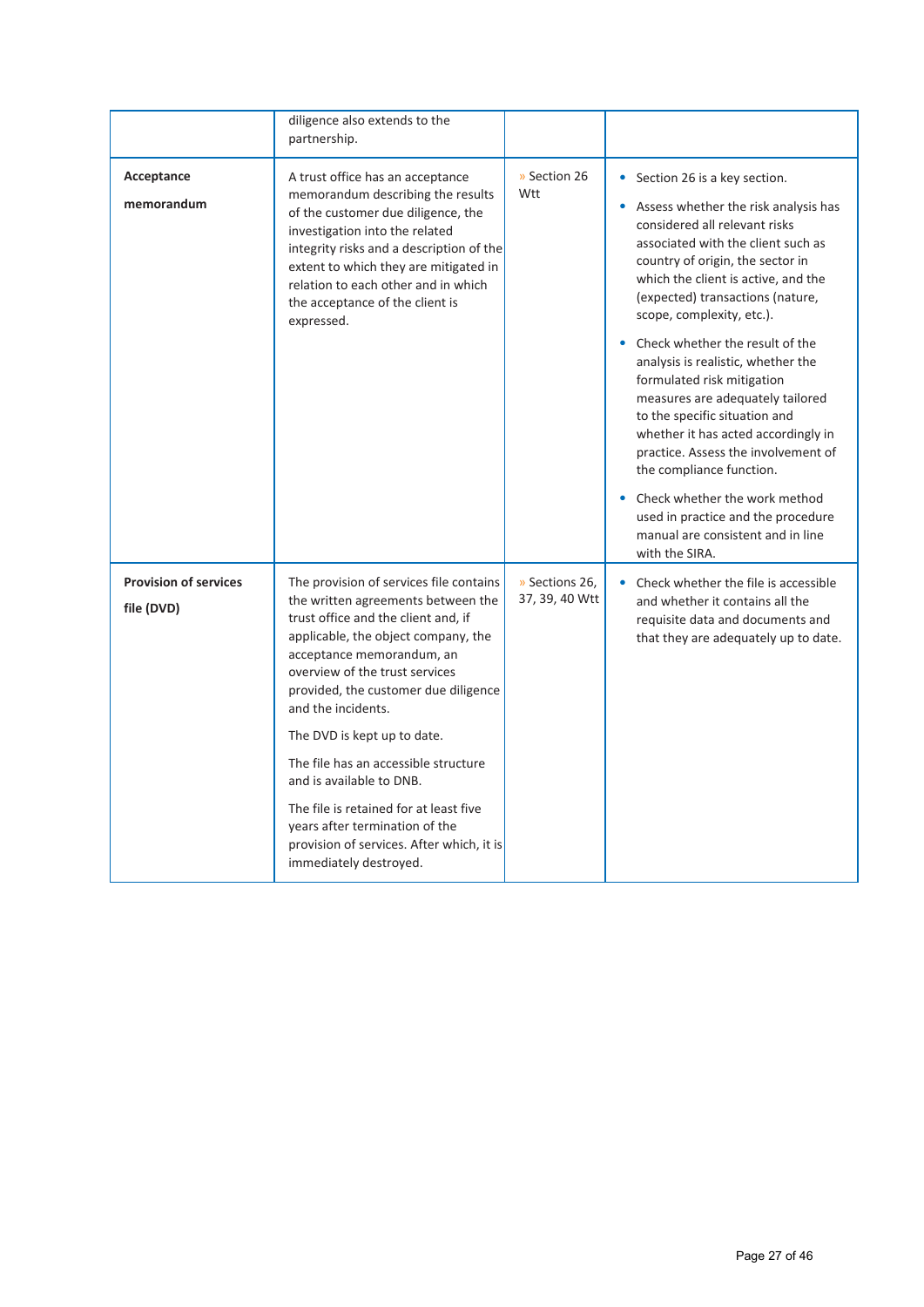|                                            | diligence also extends to the<br>partnership.                                                                                                                                                                                                                                                                                                                                                                                                                                                                                                  |                                  |                                                                                                                                                                                                                                                                                                                                                                                                                                                                                                                                                                                                                                                          |
|--------------------------------------------|------------------------------------------------------------------------------------------------------------------------------------------------------------------------------------------------------------------------------------------------------------------------------------------------------------------------------------------------------------------------------------------------------------------------------------------------------------------------------------------------------------------------------------------------|----------------------------------|----------------------------------------------------------------------------------------------------------------------------------------------------------------------------------------------------------------------------------------------------------------------------------------------------------------------------------------------------------------------------------------------------------------------------------------------------------------------------------------------------------------------------------------------------------------------------------------------------------------------------------------------------------|
| Acceptance<br>memorandum                   | A trust office has an acceptance<br>memorandum describing the results<br>of the customer due diligence, the<br>investigation into the related<br>integrity risks and a description of the<br>extent to which they are mitigated in<br>relation to each other and in which<br>the acceptance of the client is<br>expressed.                                                                                                                                                                                                                     | » Section 26<br>Wtt              | • Section 26 is a key section.<br>• Assess whether the risk analysis has<br>considered all relevant risks<br>associated with the client such as<br>country of origin, the sector in<br>which the client is active, and the<br>(expected) transactions (nature,<br>scope, complexity, etc.).<br>Check whether the result of the<br>analysis is realistic, whether the<br>formulated risk mitigation<br>measures are adequately tailored<br>to the specific situation and<br>whether it has acted accordingly in<br>practice. Assess the involvement of<br>the compliance function.<br>Check whether the work method<br>used in practice and the procedure |
|                                            |                                                                                                                                                                                                                                                                                                                                                                                                                                                                                                                                                |                                  | manual are consistent and in line<br>with the SIRA.                                                                                                                                                                                                                                                                                                                                                                                                                                                                                                                                                                                                      |
| <b>Provision of services</b><br>file (DVD) | The provision of services file contains<br>the written agreements between the<br>trust office and the client and, if<br>applicable, the object company, the<br>acceptance memorandum, an<br>overview of the trust services<br>provided, the customer due diligence<br>and the incidents.<br>The DVD is kept up to date.<br>The file has an accessible structure<br>and is available to DNB.<br>The file is retained for at least five<br>years after termination of the<br>provision of services. After which, it is<br>immediately destroyed. | » Sections 26,<br>37, 39, 40 Wtt | • Check whether the file is accessible<br>and whether it contains all the<br>requisite data and documents and<br>that they are adequately up to date.                                                                                                                                                                                                                                                                                                                                                                                                                                                                                                    |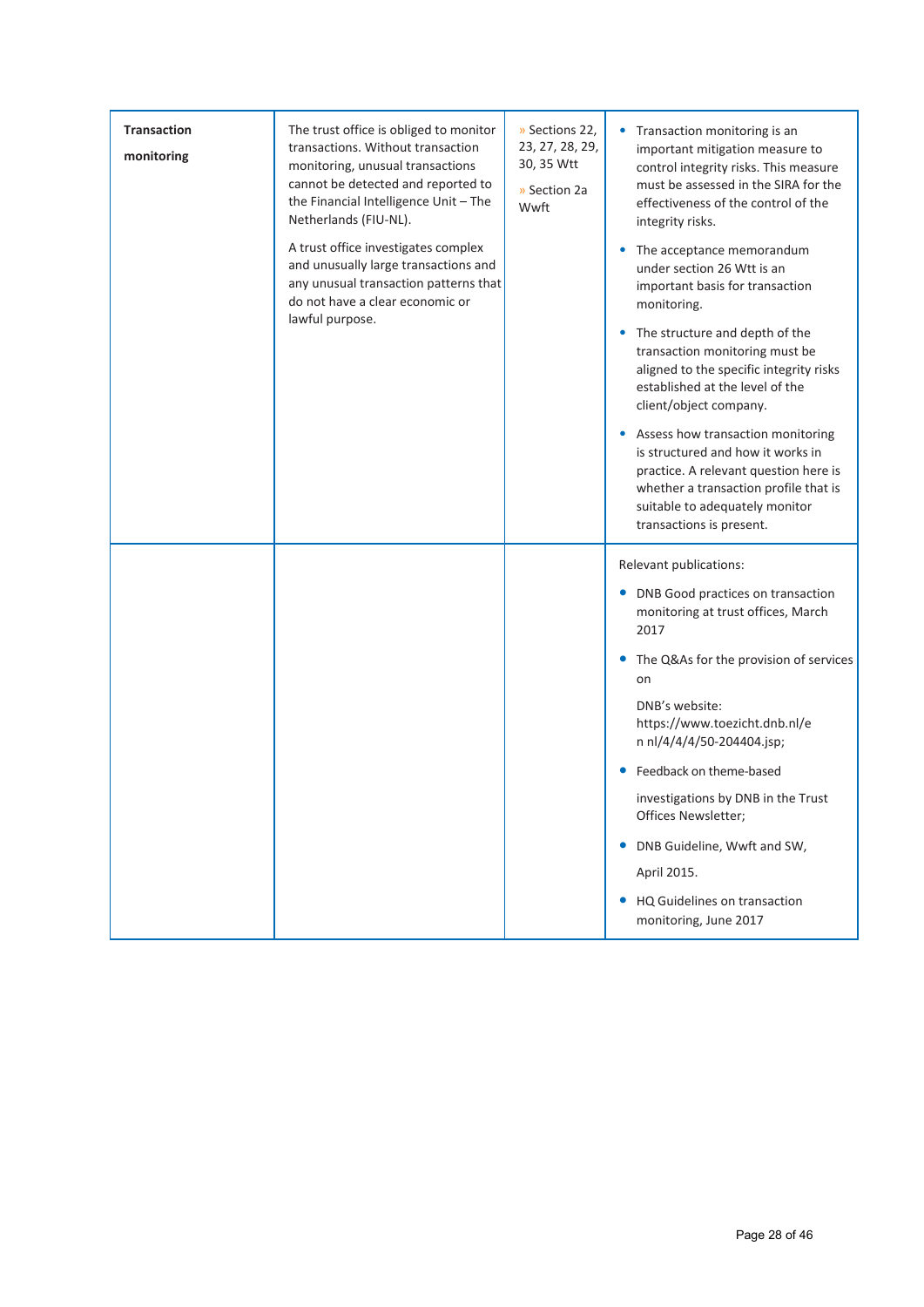| <b>Transaction</b><br>monitoring | The trust office is obliged to monitor<br>transactions. Without transaction<br>monitoring, unusual transactions<br>cannot be detected and reported to<br>the Financial Intelligence Unit - The<br>Netherlands (FIU-NL).<br>A trust office investigates complex<br>and unusually large transactions and<br>any unusual transaction patterns that<br>do not have a clear economic or<br>lawful purpose. | » Sections 22,<br>23, 27, 28, 29,<br>30, 35 Wtt<br>» Section 2a<br>Wwft | Transaction monitoring is an<br>$\bullet$<br>important mitigation measure to<br>control integrity risks. This measure<br>must be assessed in the SIRA for the<br>effectiveness of the control of the<br>integrity risks.<br>The acceptance memorandum<br>under section 26 Wtt is an<br>important basis for transaction<br>monitoring.<br>• The structure and depth of the<br>transaction monitoring must be<br>aligned to the specific integrity risks<br>established at the level of the<br>client/object company.<br>• Assess how transaction monitoring<br>is structured and how it works in<br>practice. A relevant question here is<br>whether a transaction profile that is<br>suitable to adequately monitor<br>transactions is present. |
|----------------------------------|-------------------------------------------------------------------------------------------------------------------------------------------------------------------------------------------------------------------------------------------------------------------------------------------------------------------------------------------------------------------------------------------------------|-------------------------------------------------------------------------|-------------------------------------------------------------------------------------------------------------------------------------------------------------------------------------------------------------------------------------------------------------------------------------------------------------------------------------------------------------------------------------------------------------------------------------------------------------------------------------------------------------------------------------------------------------------------------------------------------------------------------------------------------------------------------------------------------------------------------------------------|
|                                  |                                                                                                                                                                                                                                                                                                                                                                                                       |                                                                         | Relevant publications:<br>• DNB Good practices on transaction<br>monitoring at trust offices, March<br>2017<br>The Q&As for the provision of services<br>on<br>DNB's website:<br>https://www.toezicht.dnb.nl/e<br>n nl/4/4/4/50-204404.jsp;<br>Feedback on theme-based<br>investigations by DNB in the Trust<br>Offices Newsletter;<br>• DNB Guideline, Wwft and SW,<br>April 2015.<br>• HQ Guidelines on transaction<br>monitoring, June 2017                                                                                                                                                                                                                                                                                                  |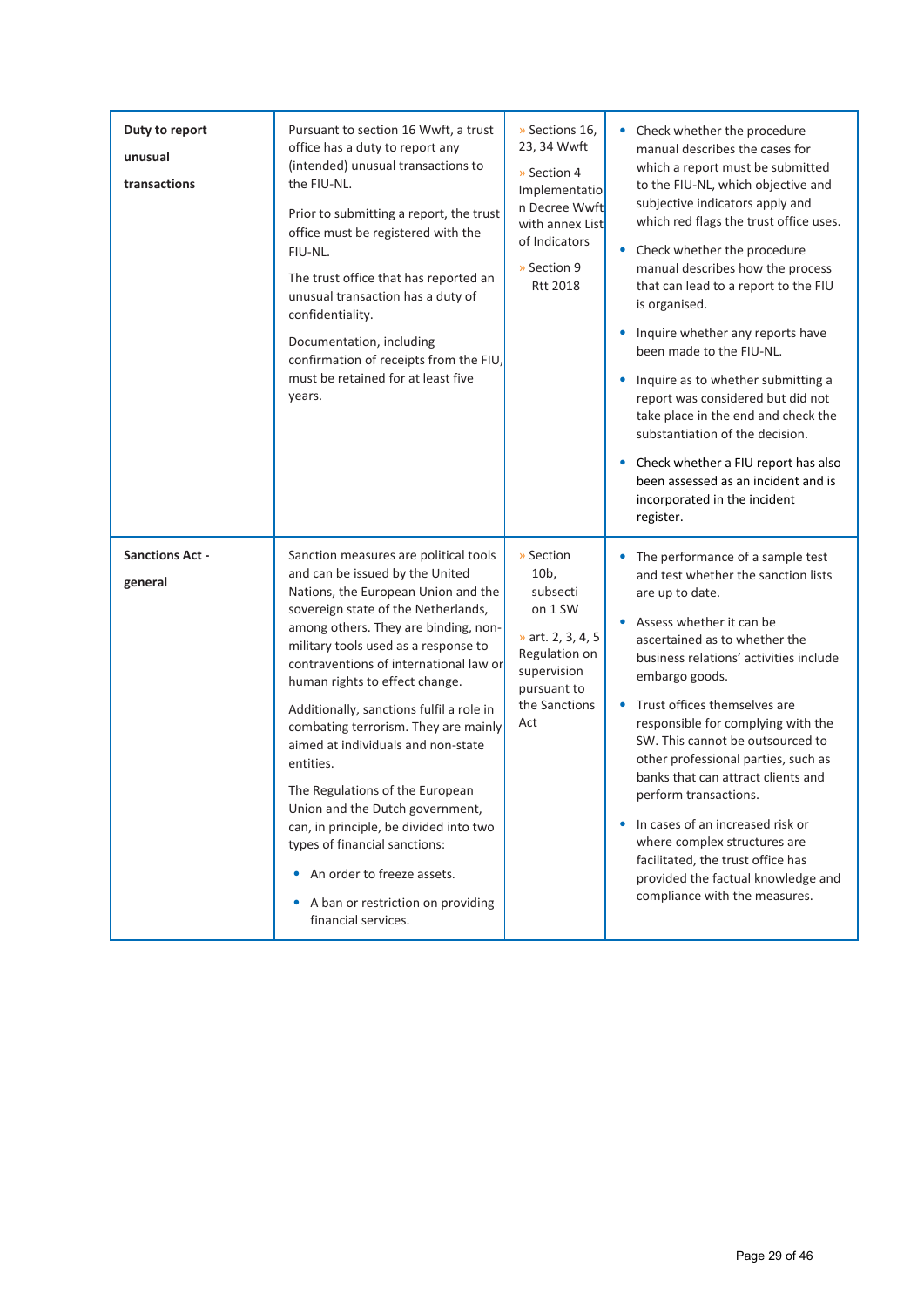| Duty to report<br>unusual<br>transactions | Pursuant to section 16 Wwft, a trust<br>office has a duty to report any<br>(intended) unusual transactions to<br>the FIU-NL.<br>Prior to submitting a report, the trust<br>office must be registered with the<br>FIU-NL.<br>The trust office that has reported an<br>unusual transaction has a duty of<br>confidentiality.<br>Documentation, including<br>confirmation of receipts from the FIU,<br>must be retained for at least five<br>years.                                                                                                                                                                                                                                                               | » Sections 16,<br>23, 34 Wwft<br>» Section 4<br>Implementatio<br>n Decree Wwft<br>with annex List<br>of Indicators<br>» Section 9<br><b>Rtt 2018</b> | Check whether the procedure<br>٠<br>manual describes the cases for<br>which a report must be submitted<br>to the FIU-NL, which objective and<br>subjective indicators apply and<br>which red flags the trust office uses.<br>Check whether the procedure<br>۰<br>manual describes how the process<br>that can lead to a report to the FIU<br>is organised.<br>Inquire whether any reports have<br>۰<br>been made to the FIU-NL.<br>Inquire as to whether submitting a<br>report was considered but did not<br>take place in the end and check the<br>substantiation of the decision.<br>Check whether a FIU report has also<br>٠<br>been assessed as an incident and is<br>incorporated in the incident<br>register. |
|-------------------------------------------|----------------------------------------------------------------------------------------------------------------------------------------------------------------------------------------------------------------------------------------------------------------------------------------------------------------------------------------------------------------------------------------------------------------------------------------------------------------------------------------------------------------------------------------------------------------------------------------------------------------------------------------------------------------------------------------------------------------|------------------------------------------------------------------------------------------------------------------------------------------------------|----------------------------------------------------------------------------------------------------------------------------------------------------------------------------------------------------------------------------------------------------------------------------------------------------------------------------------------------------------------------------------------------------------------------------------------------------------------------------------------------------------------------------------------------------------------------------------------------------------------------------------------------------------------------------------------------------------------------|
| <b>Sanctions Act -</b><br>general         | Sanction measures are political tools<br>and can be issued by the United<br>Nations, the European Union and the<br>sovereign state of the Netherlands,<br>among others. They are binding, non-<br>military tools used as a response to<br>contraventions of international law or<br>human rights to effect change.<br>Additionally, sanctions fulfil a role in<br>combating terrorism. They are mainly<br>aimed at individuals and non-state<br>entities.<br>The Regulations of the European<br>Union and the Dutch government,<br>can, in principle, be divided into two<br>types of financial sanctions:<br>An order to freeze assets.<br>۰<br>A ban or restriction on providing<br>٠<br>financial services. | » Section<br>10 <sub>b</sub><br>subsecti<br>on 1 SW<br>» art. 2, 3, 4, 5<br>Regulation on<br>supervision<br>pursuant to<br>the Sanctions<br>Act      | The performance of a sample test<br>and test whether the sanction lists<br>are up to date.<br>Assess whether it can be<br>ascertained as to whether the<br>business relations' activities include<br>embargo goods.<br>Trust offices themselves are<br>responsible for complying with the<br>SW. This cannot be outsourced to<br>other professional parties, such as<br>banks that can attract clients and<br>perform transactions.<br>In cases of an increased risk or<br>where complex structures are<br>facilitated, the trust office has<br>provided the factual knowledge and<br>compliance with the measures.                                                                                                  |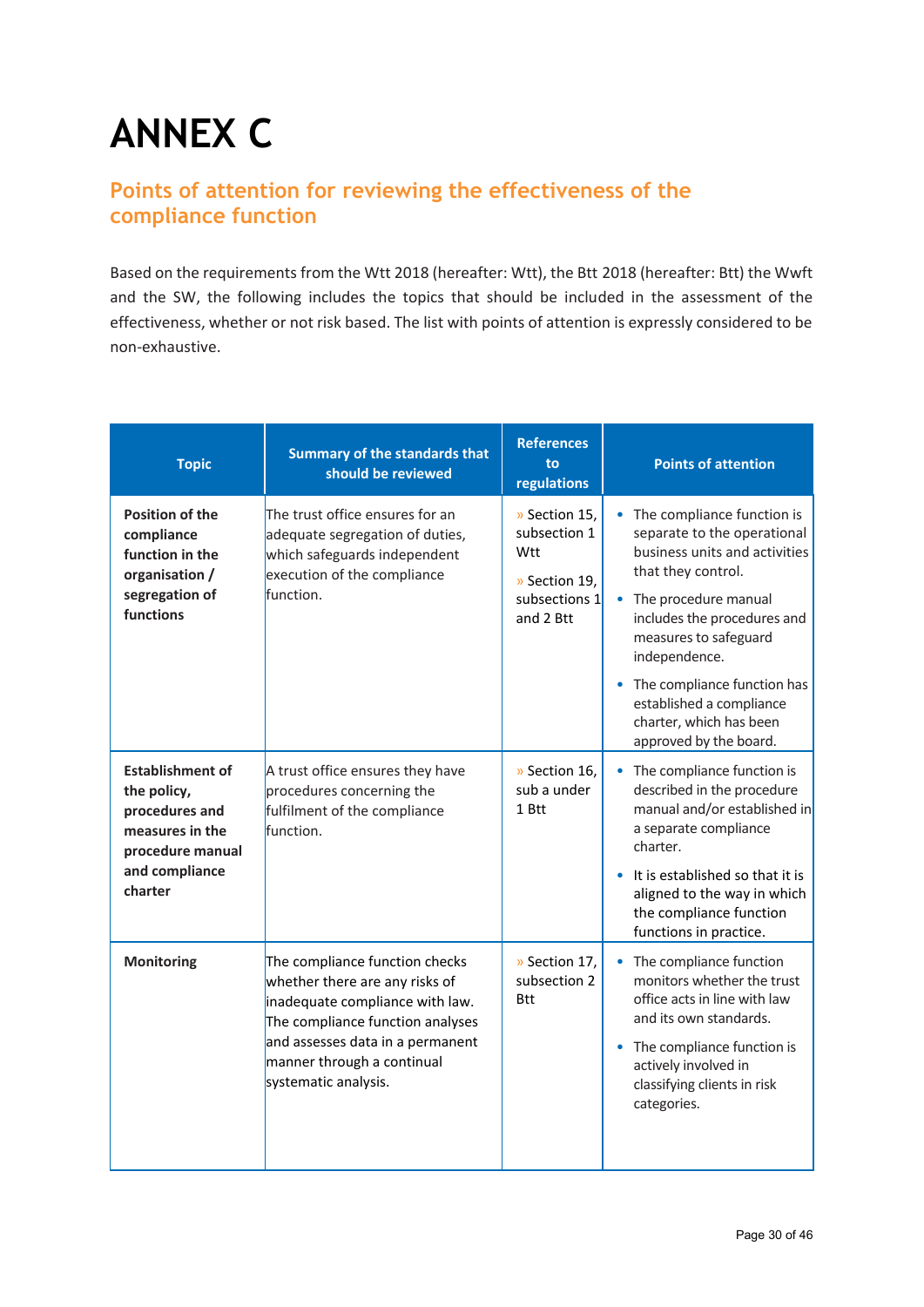# **ANNEX C**

# **Points of attention for reviewing the effectiveness of the compliance function**

Based on the requirements from the Wtt 2018 (hereafter: Wtt), the Btt 2018 (hereafter: Btt) the Wwft and the SW, the following includes the topics that should be included in the assessment of the effectiveness, whether or not risk based. The list with points of attention is expressly considered to be non-exhaustive.

| <b>Topic</b>                                                                                                                 | <b>Summary of the standards that</b><br>should be reviewed                                                                                                                                                                        | <b>References</b><br>to<br>regulations                                              | <b>Points of attention</b>                                                                                                                                                                                                                                                                                                            |
|------------------------------------------------------------------------------------------------------------------------------|-----------------------------------------------------------------------------------------------------------------------------------------------------------------------------------------------------------------------------------|-------------------------------------------------------------------------------------|---------------------------------------------------------------------------------------------------------------------------------------------------------------------------------------------------------------------------------------------------------------------------------------------------------------------------------------|
| <b>Position of the</b><br>compliance<br>function in the<br>organisation /<br>segregation of<br>functions                     | The trust office ensures for an<br>adequate segregation of duties,<br>which safeguards independent<br>execution of the compliance<br>function.                                                                                    | » Section 15,<br>subsection 1<br>Wtt<br>» Section 19,<br>subsections 1<br>and 2 Btt | The compliance function is<br>separate to the operational<br>business units and activities<br>that they control.<br>• The procedure manual<br>includes the procedures and<br>measures to safeguard<br>independence.<br>• The compliance function has<br>established a compliance<br>charter, which has been<br>approved by the board. |
| <b>Establishment of</b><br>the policy,<br>procedures and<br>measures in the<br>procedure manual<br>and compliance<br>charter | A trust office ensures they have<br>procedures concerning the<br>fulfilment of the compliance<br>function.                                                                                                                        | » Section 16,<br>sub a under<br>1 Btt                                               | The compliance function is<br>$\bullet$<br>described in the procedure<br>manual and/or established in<br>a separate compliance<br>charter.<br>It is established so that it is<br>aligned to the way in which<br>the compliance function<br>functions in practice.                                                                     |
| Monitoring                                                                                                                   | The compliance function checks<br>whether there are any risks of<br>inadequate compliance with law.<br>The compliance function analyses<br>and assesses data in a permanent<br>manner through a continual<br>systematic analysis. | » Section 17,<br>subsection 2<br><b>Btt</b>                                         | The compliance function<br>monitors whether the trust<br>office acts in line with law<br>and its own standards.<br>• The compliance function is<br>actively involved in<br>classifying clients in risk<br>categories.                                                                                                                 |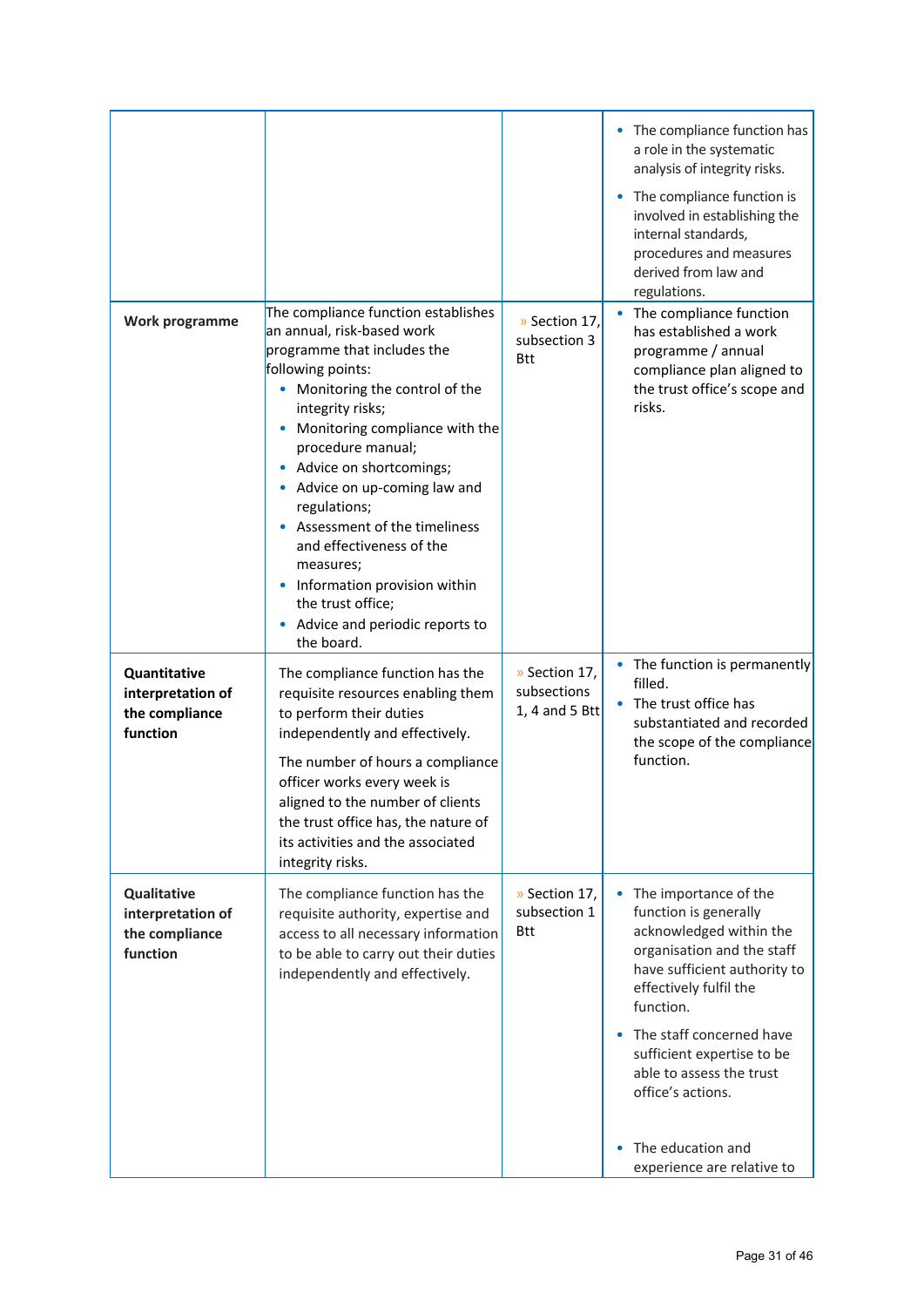|                                                                 |                                                                                                                                                                                                                                                                                                                                                                                                                                                                                                   |                                                | The compliance function has<br>a role in the systematic<br>analysis of integrity risks.<br>The compliance function is<br>involved in establishing the<br>internal standards,<br>procedures and measures<br>derived from law and<br>regulations.                                                                                              |
|-----------------------------------------------------------------|---------------------------------------------------------------------------------------------------------------------------------------------------------------------------------------------------------------------------------------------------------------------------------------------------------------------------------------------------------------------------------------------------------------------------------------------------------------------------------------------------|------------------------------------------------|----------------------------------------------------------------------------------------------------------------------------------------------------------------------------------------------------------------------------------------------------------------------------------------------------------------------------------------------|
| Work programme                                                  | The compliance function establishes<br>an annual, risk-based work<br>programme that includes the<br>following points:<br>• Monitoring the control of the<br>integrity risks;<br>Monitoring compliance with the<br>procedure manual;<br>• Advice on shortcomings;<br>• Advice on up-coming law and<br>regulations;<br>• Assessment of the timeliness<br>and effectiveness of the<br>measures;<br>Information provision within<br>the trust office;<br>Advice and periodic reports to<br>the board. | » Section 17,<br>subsection 3<br>Btt           | The compliance function<br>has established a work<br>programme / annual<br>compliance plan aligned to<br>the trust office's scope and<br>risks.                                                                                                                                                                                              |
| Quantitative<br>interpretation of<br>the compliance<br>function | The compliance function has the<br>requisite resources enabling them<br>to perform their duties<br>independently and effectively.<br>The number of hours a compliance<br>officer works every week is<br>aligned to the number of clients<br>the trust office has, the nature of<br>its activities and the associated<br>integrity risks.                                                                                                                                                          | » Section 17,<br>subsections<br>1, 4 and 5 Btt | • The function is permanently<br>filled.<br>The trust office has<br>substantiated and recorded<br>the scope of the compliance<br>function.                                                                                                                                                                                                   |
| Qualitative<br>interpretation of<br>the compliance<br>function  | The compliance function has the<br>requisite authority, expertise and<br>access to all necessary information<br>to be able to carry out their duties<br>independently and effectively.                                                                                                                                                                                                                                                                                                            | » Section 17,<br>subsection 1<br><b>Btt</b>    | The importance of the<br>function is generally<br>acknowledged within the<br>organisation and the staff<br>have sufficient authority to<br>effectively fulfil the<br>function.<br>The staff concerned have<br>sufficient expertise to be<br>able to assess the trust<br>office's actions.<br>The education and<br>experience are relative to |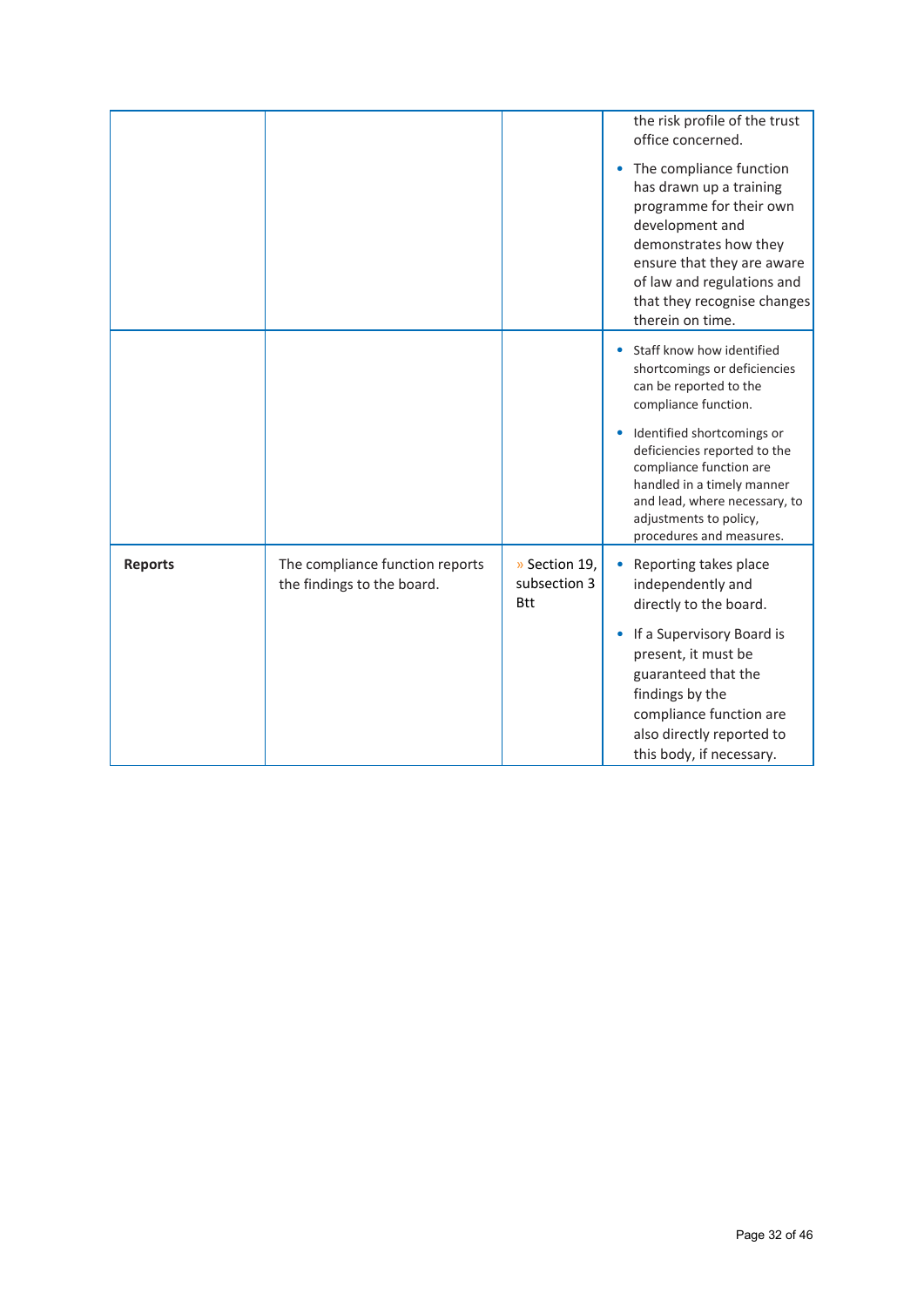|                |                                                               |                                             | the risk profile of the trust<br>office concerned.<br>The compliance function<br>has drawn up a training<br>programme for their own<br>development and<br>demonstrates how they<br>ensure that they are aware<br>of law and regulations and<br>that they recognise changes<br>therein on time.                            |
|----------------|---------------------------------------------------------------|---------------------------------------------|---------------------------------------------------------------------------------------------------------------------------------------------------------------------------------------------------------------------------------------------------------------------------------------------------------------------------|
|                |                                                               |                                             | Staff know how identified<br>shortcomings or deficiencies<br>can be reported to the<br>compliance function.<br>Identified shortcomings or<br>deficiencies reported to the<br>compliance function are<br>handled in a timely manner<br>and lead, where necessary, to<br>adjustments to policy,<br>procedures and measures. |
| <b>Reports</b> | The compliance function reports<br>the findings to the board. | » Section 19,<br>subsection 3<br><b>Btt</b> | Reporting takes place<br>independently and<br>directly to the board.<br>If a Supervisory Board is<br>present, it must be<br>guaranteed that the<br>findings by the<br>compliance function are<br>also directly reported to<br>this body, if necessary.                                                                    |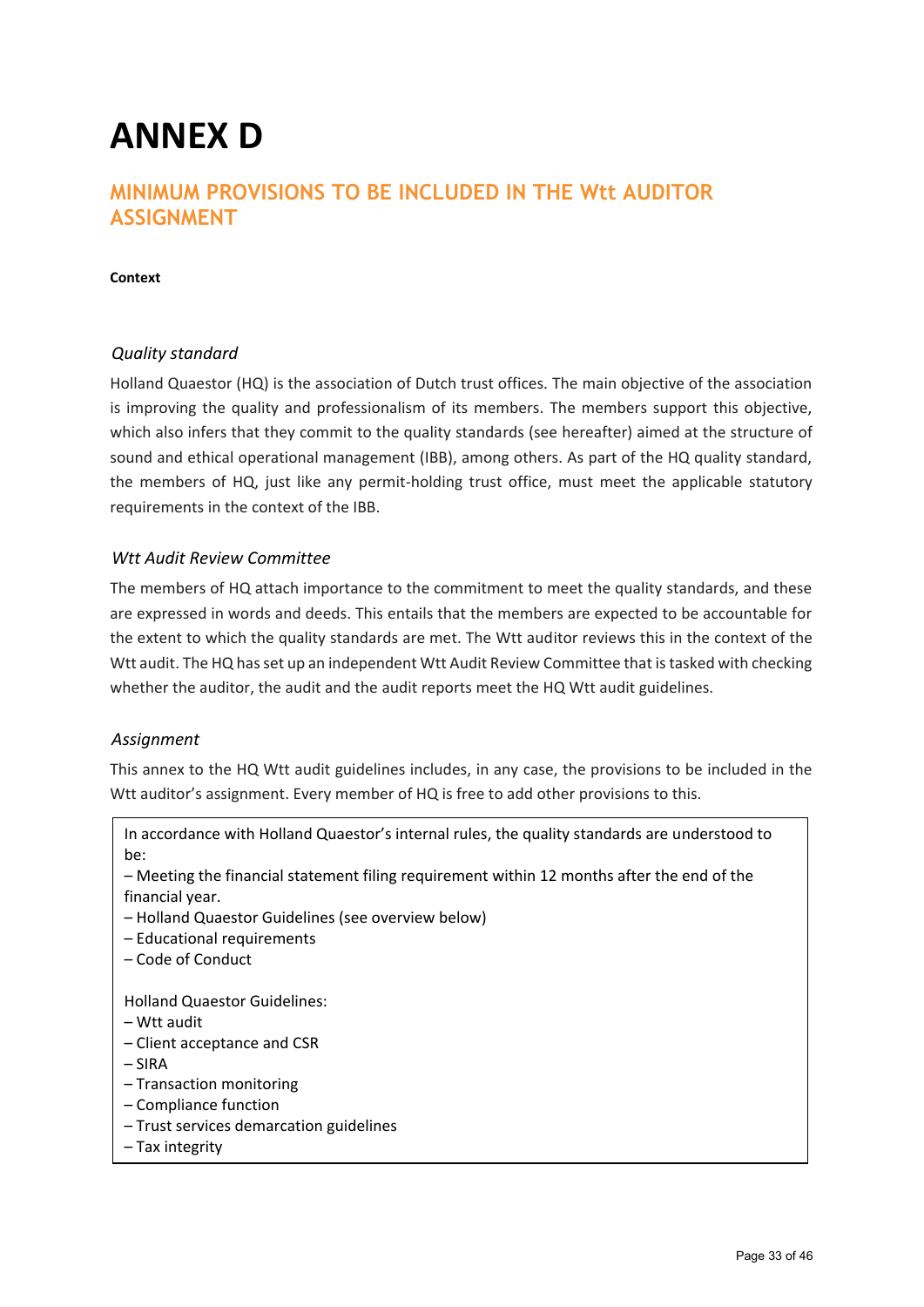# **ANNEX D**

# **MINIMUM PROVISIONS TO BE INCLUDED IN THE Wtt AUDITOR ASSIGNMENT**

#### **Context**

## *Quality standard*

Holland Quaestor (HQ) is the association of Dutch trust offices. The main objective of the association is improving the quality and professionalism of its members. The members support this objective, which also infers that they commit to the quality standards (see hereafter) aimed at the structure of sound and ethical operational management (IBB), among others. As part of the HQ quality standard, the members of HQ, just like any permit-holding trust office, must meet the applicable statutory requirements in the context of the IBB.

## *Wtt Audit Review Committee*

The members of HQ attach importance to the commitment to meet the quality standards, and these are expressed in words and deeds. This entails that the members are expected to be accountable for the extent to which the quality standards are met. The Wtt auditor reviews this in the context of the Wtt audit. The HQ has set up an independent Wtt Audit Review Committee that is tasked with checking whether the auditor, the audit and the audit reports meet the HQ Wtt audit guidelines.

## *Assignment*

This annex to the HQ Wtt audit guidelines includes, in any case, the provisions to be included in the Wtt auditor's assignment. Every member of HQ is free to add other provisions to this.

In accordance with Holland Quaestor's internal rules, the quality standards are understood to be:

– Meeting the financial statement filing requirement within 12 months after the end of the financial year.

- Holland Quaestor Guidelines (see overview below)
- Educational requirements
- Code of Conduct

Holland Quaestor Guidelines:

- Wtt audit
- Client acceptance and CSR
- SIRA
- Transaction monitoring
- Compliance function
- Trust services demarcation guidelines
- Tax integrity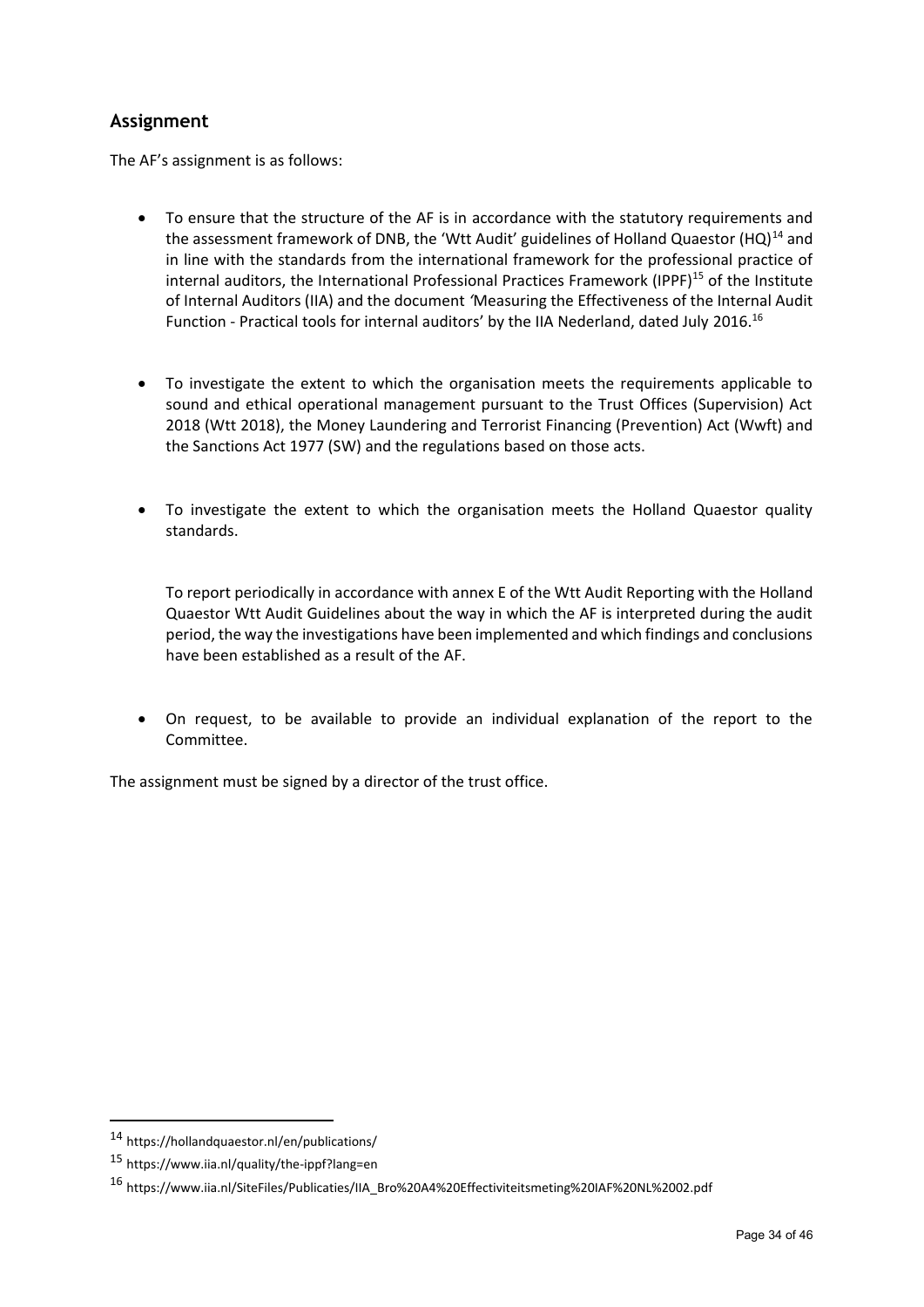## **Assignment**

The AF's assignment is as follows:

- To ensure that the structure of the AF is in accordance with the statutory requirements and the assessment framework of DNB, the 'Wtt Audit' guidelines of Holland Quaestor (HQ)<sup>14</sup> and in line with the standards from the international framework for the professional practice of internal auditors, the International Professional Practices Framework (IPPF)<sup>15</sup> of the Institute of Internal Auditors (IIA) and the document *'*Measuring the Effectiveness of the Internal Audit Function - Practical tools for internal auditors' by the IIA Nederland, dated July 2016.<sup>16</sup>
- To investigate the extent to which the organisation meets the requirements applicable to sound and ethical operational management pursuant to the Trust Offices (Supervision) Act 2018 (Wtt 2018), the Money Laundering and Terrorist Financing (Prevention) Act (Wwft) and the Sanctions Act 1977 (SW) and the regulations based on those acts.
- To investigate the extent to which the organisation meets the Holland Quaestor quality standards.

To report periodically in accordance with annex E of the Wtt Audit Reporting with the Holland Quaestor Wtt Audit Guidelines about the way in which the AF is interpreted during the audit period, the way the investigations have been implemented and which findings and conclusions have been established as a result of the AF.

 On request, to be available to provide an individual explanation of the report to the Committee.

The assignment must be signed by a director of the trust office.

<sup>14</sup> https://hollandquaestor.nl/en/publications/

<sup>15</sup> https://www.iia.nl/quality/the-ippf?lang=en

<sup>16</sup> https://www.iia.nl/SiteFiles/Publicaties/IIA\_Bro%20A4%20Effectiviteitsmeting%20IAF%20NL%2002.pdf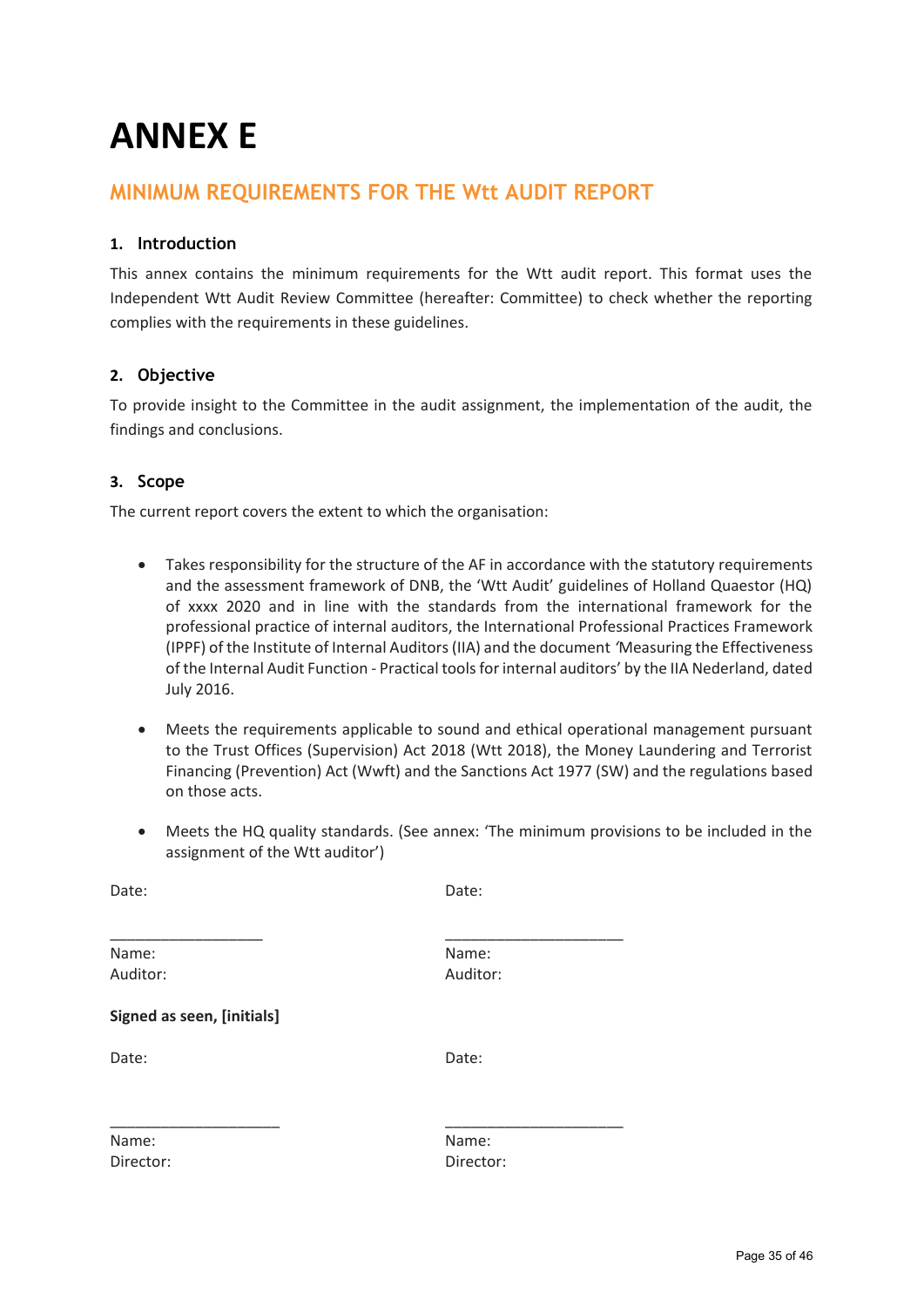# **ANNEX E**

# **MINIMUM REQUIREMENTS FOR THE Wtt AUDIT REPORT**

## **1. Introduction**

This annex contains the minimum requirements for the Wtt audit report. This format uses the Independent Wtt Audit Review Committee (hereafter: Committee) to check whether the reporting complies with the requirements in these guidelines.

## **2. Objective**

To provide insight to the Committee in the audit assignment, the implementation of the audit, the findings and conclusions.

## **3. Scope**

The current report covers the extent to which the organisation:

- Takes responsibility for the structure of the AF in accordance with the statutory requirements and the assessment framework of DNB, the 'Wtt Audit' guidelines of Holland Quaestor (HQ) of xxxx 2020 and in line with the standards from the international framework for the professional practice of internal auditors, the International Professional Practices Framework (IPPF) of the Institute of Internal Auditors (IIA) and the document *'*Measuring the Effectiveness of the Internal Audit Function - Practical tools for internal auditors' by the IIA Nederland, dated July 2016.
- Meets the requirements applicable to sound and ethical operational management pursuant to the Trust Offices (Supervision) Act 2018 (Wtt 2018), the Money Laundering and Terrorist Financing (Prevention) Act (Wwft) and the Sanctions Act 1977 (SW) and the regulations based on those acts.
- Meets the HQ quality standards. (See annex: 'The minimum provisions to be included in the assignment of the Wtt auditor')

| Date:                      | Date:             |  |
|----------------------------|-------------------|--|
| Name:<br>Auditor:          | Name:<br>Auditor: |  |
| Signed as seen, [initials] |                   |  |
| Date:                      | Date:             |  |
| Name:                      | Name:             |  |

Director: Director: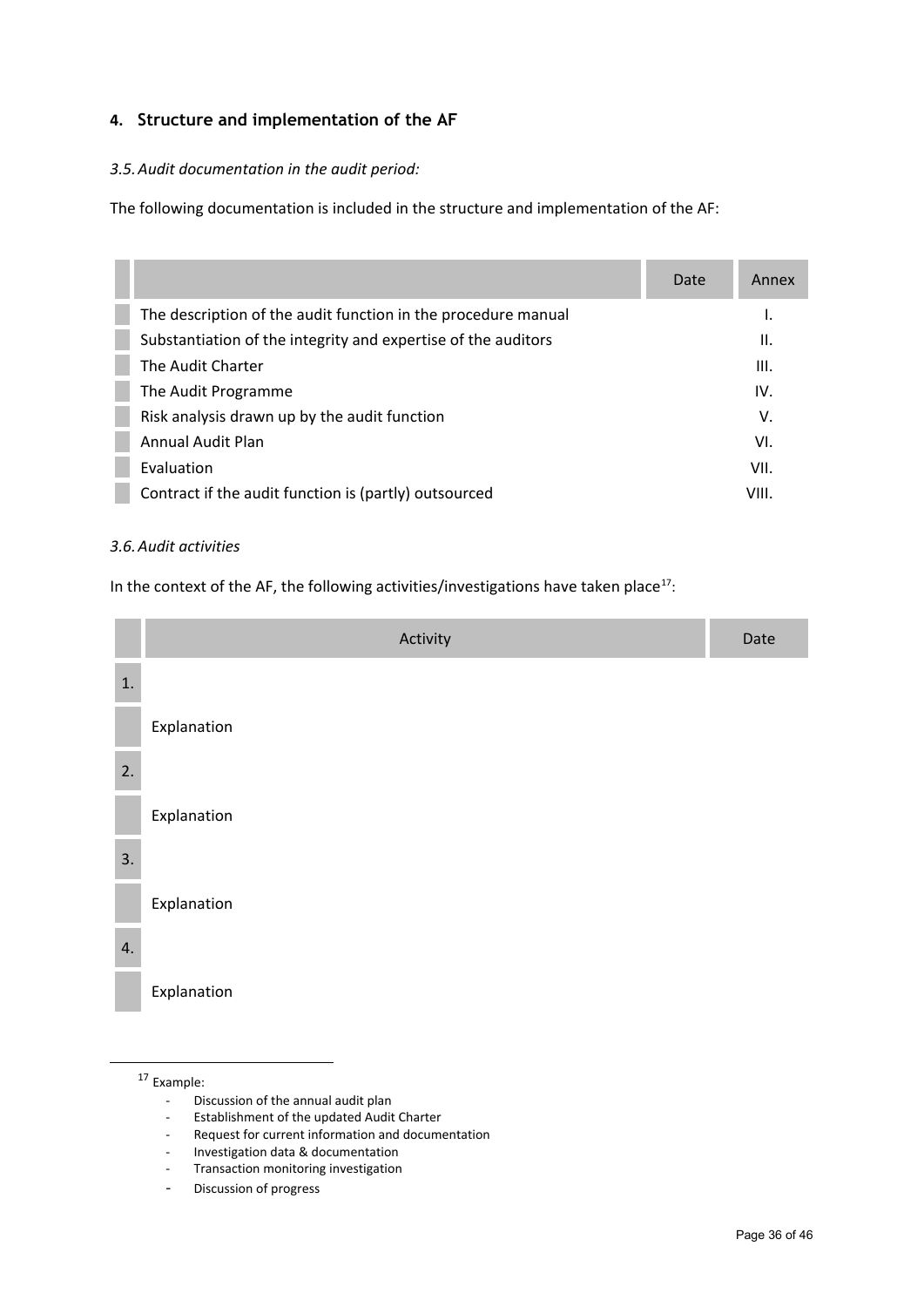## **4. Structure and implementation of the AF**

### *3.5.Audit documentation in the audit period:*

The following documentation is included in the structure and implementation of the AF:

|                                                               | Date | Annex |
|---------------------------------------------------------------|------|-------|
| The description of the audit function in the procedure manual |      |       |
| Substantiation of the integrity and expertise of the auditors |      | H.    |
| The Audit Charter                                             |      | III.  |
| The Audit Programme                                           |      | IV.   |
| Risk analysis drawn up by the audit function                  |      | V.    |
| Annual Audit Plan                                             |      | VI.   |
| Evaluation                                                    |      | VII.  |
| Contract if the audit function is (partly) outsourced         |      | VIII. |

### *3.6.Audit activities*

In the context of the AF, the following activities/investigations have taken place<sup>17</sup>:



<sup>17</sup> Example:

- Discussion of the annual audit plan
- Establishment of the updated Audit Charter
- Request for current information and documentation
- Investigation data & documentation
- Transaction monitoring investigation
- Discussion of progress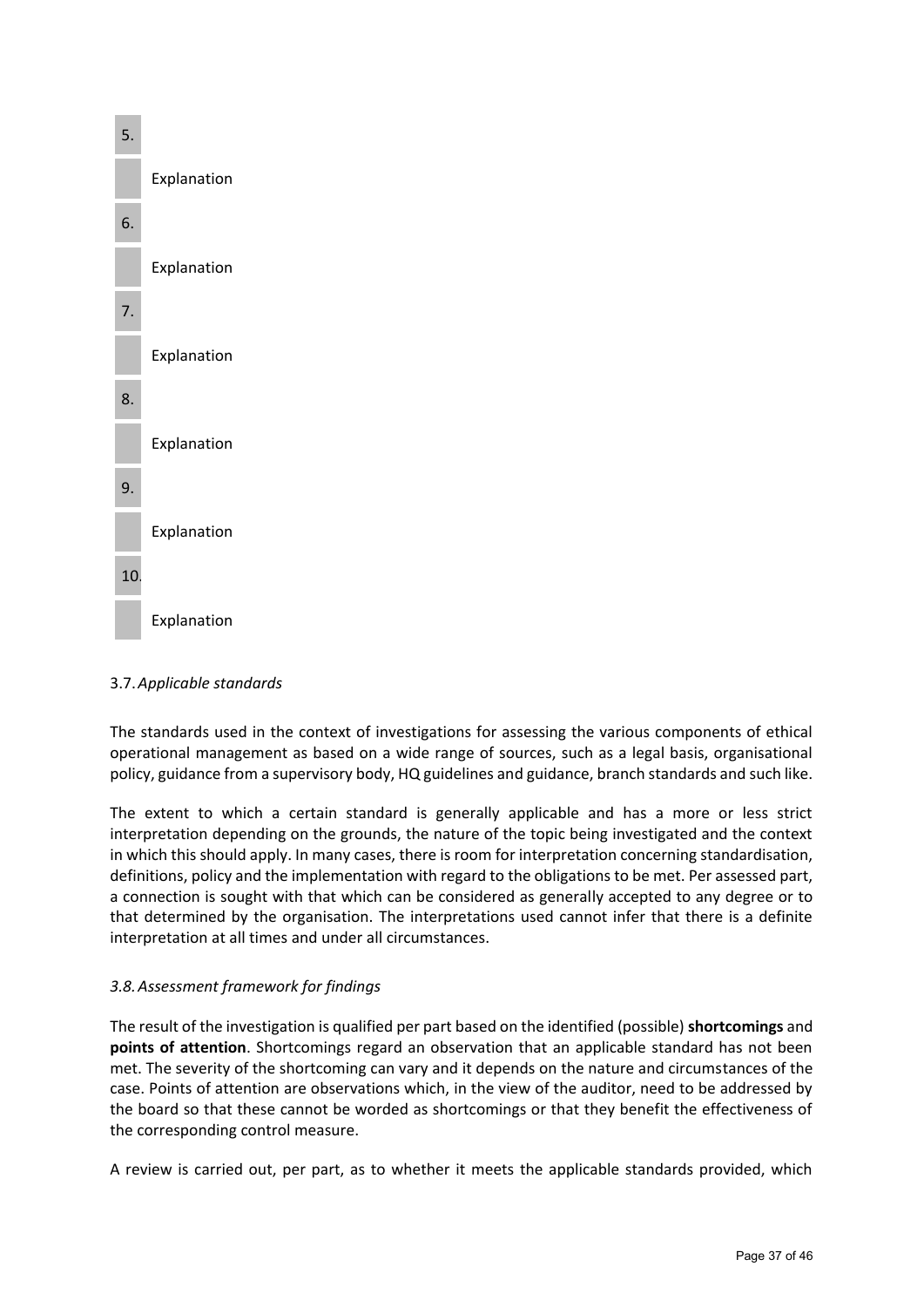

3.7.*Applicable standards*

The standards used in the context of investigations for assessing the various components of ethical operational management as based on a wide range of sources, such as a legal basis, organisational policy, guidance from a supervisory body, HQ guidelines and guidance, branch standards and such like.

The extent to which a certain standard is generally applicable and has a more or less strict interpretation depending on the grounds, the nature of the topic being investigated and the context in which this should apply. In many cases, there is room for interpretation concerning standardisation, definitions, policy and the implementation with regard to the obligations to be met. Per assessed part, a connection is sought with that which can be considered as generally accepted to any degree or to that determined by the organisation. The interpretations used cannot infer that there is a definite interpretation at all times and under all circumstances.

## *3.8.Assessment framework for findings*

The result of the investigation is qualified per part based on the identified (possible) **shortcomings** and **points of attention**. Shortcomings regard an observation that an applicable standard has not been met. The severity of the shortcoming can vary and it depends on the nature and circumstances of the case. Points of attention are observations which, in the view of the auditor, need to be addressed by the board so that these cannot be worded as shortcomings or that they benefit the effectiveness of the corresponding control measure.

A review is carried out, per part, as to whether it meets the applicable standards provided, which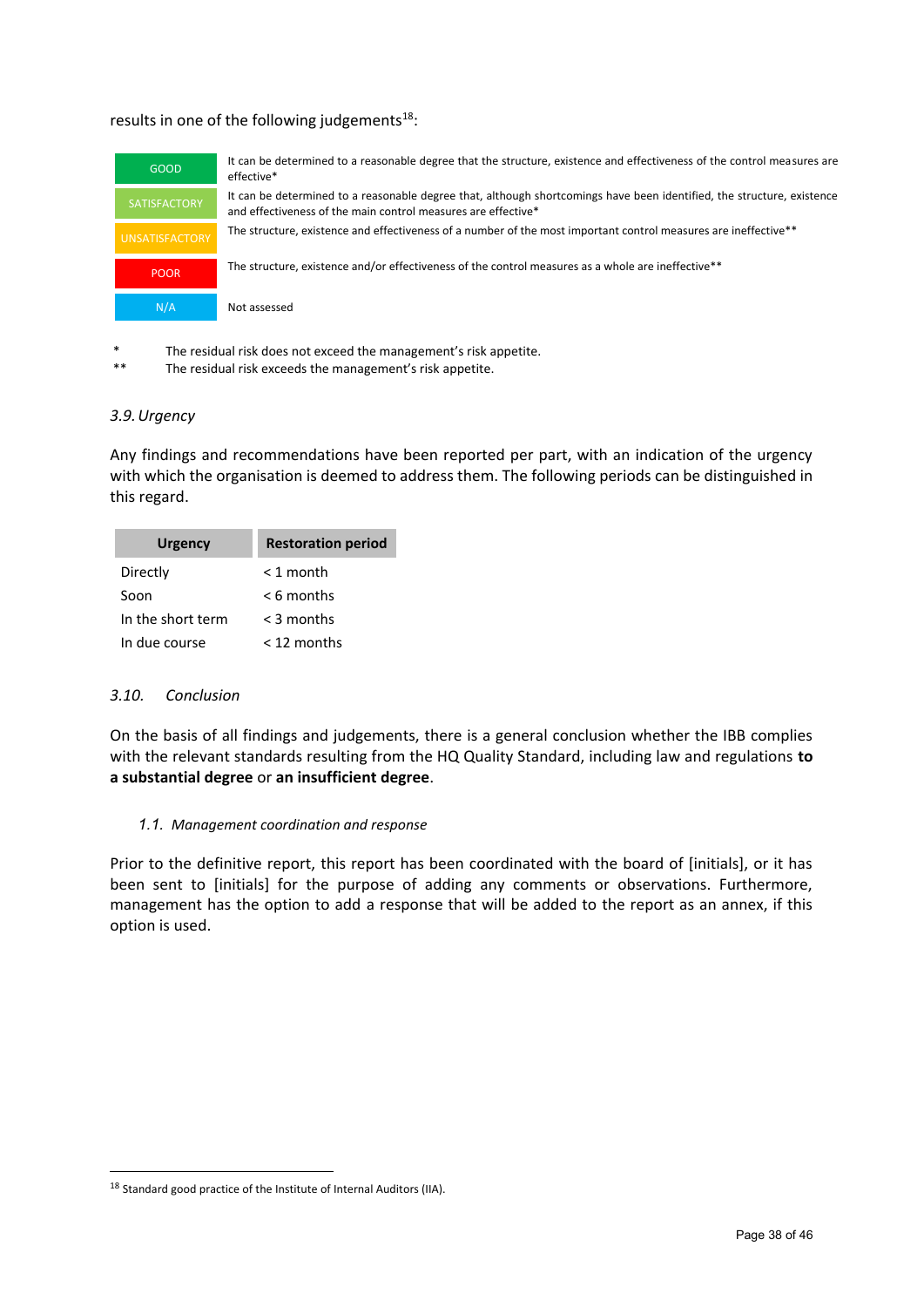## results in one of the following judgements<sup>18</sup>:

- It can be determined to a reasonable degree that the structure, existence and effectiveness of the control measures are effective\* SATISFACTORY It can be determined to a reasonable degree that, although shortcomings have been identified, the structure, existence and effectiveness of the main control measures are effective\* UNSATISFACTORY The structure, existence and effectiveness of a number of the most important control measures are ineffective\*\* POOR The structure, existence and/or effectiveness of the control measures as a whole are ineffective\*\* N/A Not assessed
- The residual risk does not exceed the management's risk appetite.
- The residual risk exceeds the management's risk appetite.

#### *3.9.Urgency*

Any findings and recommendations have been reported per part, with an indication of the urgency with which the organisation is deemed to address them. The following periods can be distinguished in this regard.

| <b>Urgency</b>    | <b>Restoration period</b> |  |  |
|-------------------|---------------------------|--|--|
| Directly          | $<$ 1 month               |  |  |
| Soon              | $<$ 6 months              |  |  |
| In the short term | $<$ 3 months              |  |  |
| In due course     | $<$ 12 months             |  |  |

#### *3.10. Conclusion*

On the basis of all findings and judgements, there is a general conclusion whether the IBB complies with the relevant standards resulting from the HQ Quality Standard, including law and regulations **to a substantial degree** or **an insufficient degree**.

#### *1.1. Management coordination and response*

Prior to the definitive report, this report has been coordinated with the board of [initials], or it has been sent to [initials] for the purpose of adding any comments or observations. Furthermore, management has the option to add a response that will be added to the report as an annex, if this option is used.

<sup>&</sup>lt;sup>18</sup> Standard good practice of the Institute of Internal Auditors (IIA).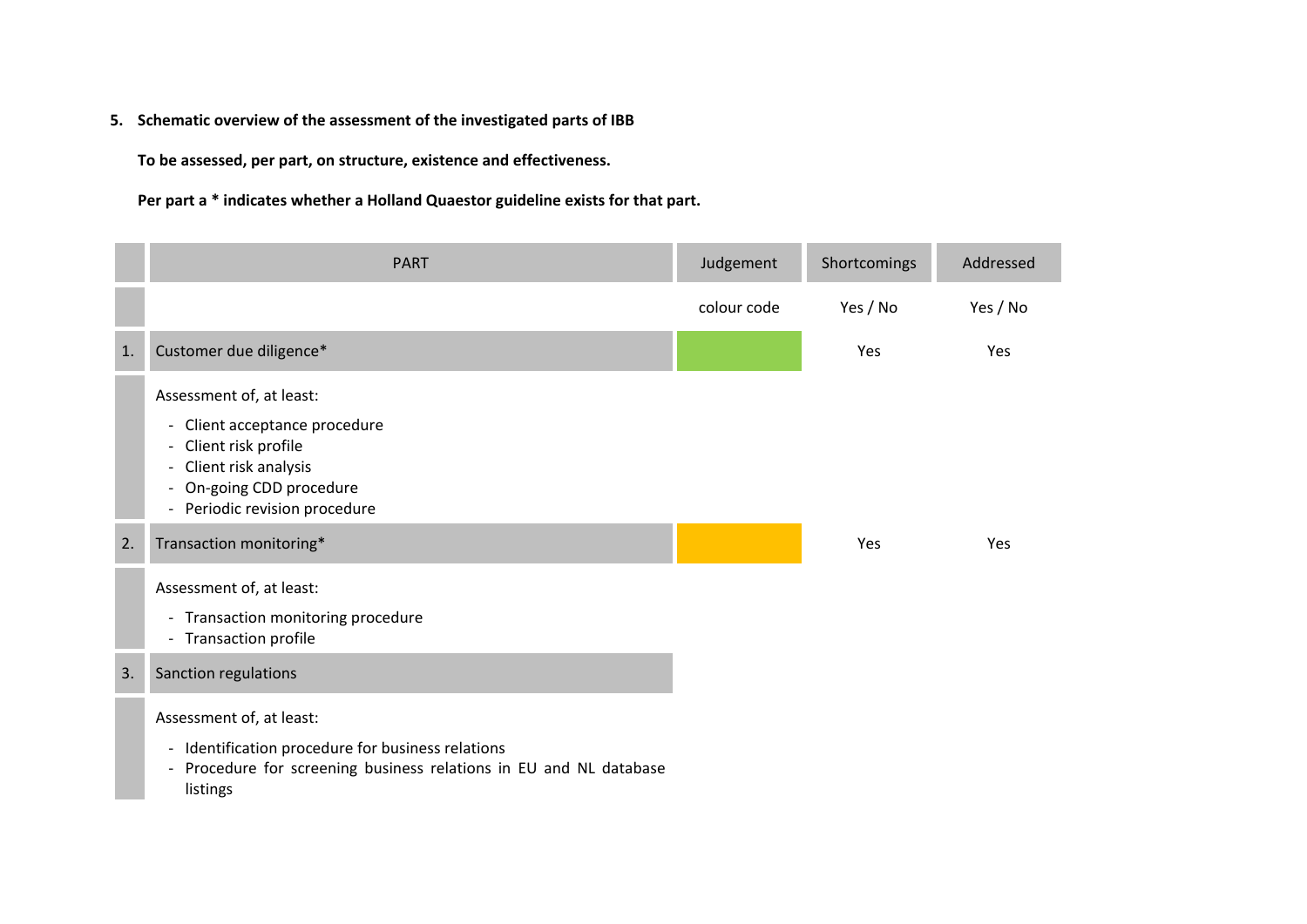**5. Schematic overview of the assessment of the investigated parts of IBB**

**To be assessed, per part, on structure, existence and effectiveness.**

**Per part a \* indicates whether a Holland Quaestor guideline exists for that part.**

|    | <b>PART</b>                                                                                                                                                                                                                                                             | Judgement   | Shortcomings | Addressed  |
|----|-------------------------------------------------------------------------------------------------------------------------------------------------------------------------------------------------------------------------------------------------------------------------|-------------|--------------|------------|
|    |                                                                                                                                                                                                                                                                         | colour code | Yes / No     | Yes / No   |
| 1. | Customer due diligence*                                                                                                                                                                                                                                                 |             | Yes          | Yes        |
|    | Assessment of, at least:<br>Client acceptance procedure<br>$\overline{\phantom{a}}$<br>Client risk profile<br>$\overline{\phantom{a}}$<br>Client risk analysis<br>$\overline{\phantom{a}}$<br>On-going CDD procedure<br>$\blacksquare$<br>- Periodic revision procedure |             |              |            |
| 2. | Transaction monitoring*                                                                                                                                                                                                                                                 |             | Yes          | <b>Yes</b> |
|    | Assessment of, at least:<br>- Transaction monitoring procedure<br>- Transaction profile                                                                                                                                                                                 |             |              |            |
| 3. | Sanction regulations                                                                                                                                                                                                                                                    |             |              |            |
|    | Assessment of, at least:<br>Identification procedure for business relations<br>$\blacksquare$<br>Procedure for screening business relations in EU and NL database<br>$\overline{\phantom{a}}$<br>listings                                                               |             |              |            |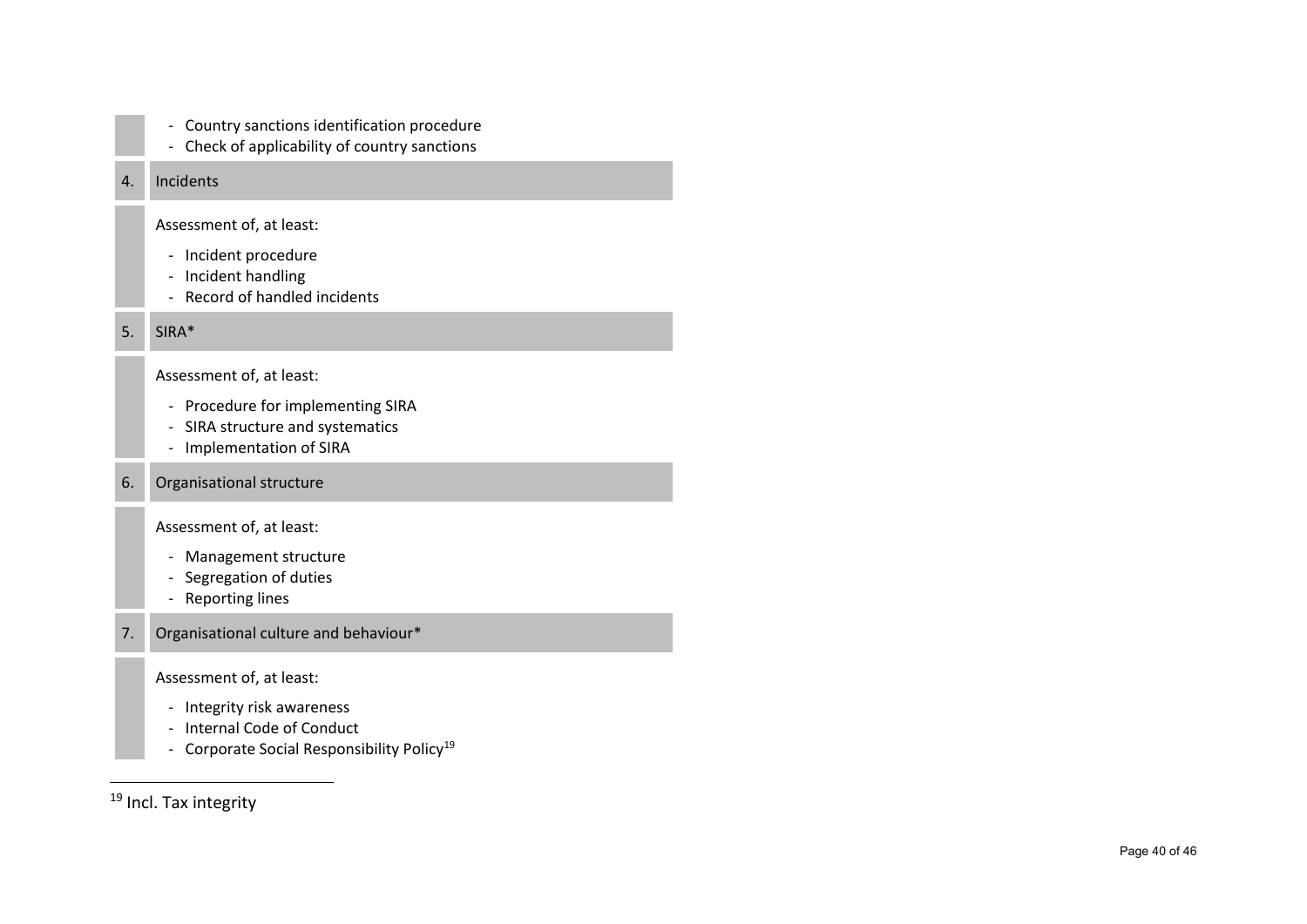- Country sanctions identification procedure
- Check of applicability of country sanctions

4. Incidents

### Assessment of, at least:

- Incident procedure
- Incident handling
- Record of handled incidents

5. SIRA\*

#### Assessment of, at least:

- Procedure for implementing SIRA
- SIRA structure and systematics
- Implementation of SIRA
- 6. Organisational structure

#### Assessment of, at least:

- Management structure
- Segregation of duties
- Reporting lines
- 7. Organisational culture and behaviour\*

### Assessment of, at least:

- Integrity risk awareness
- Internal Code of Conduct
- Corporate Social Responsibility Policy<sup>19</sup>

## <sup>19</sup> Incl. Tax integrity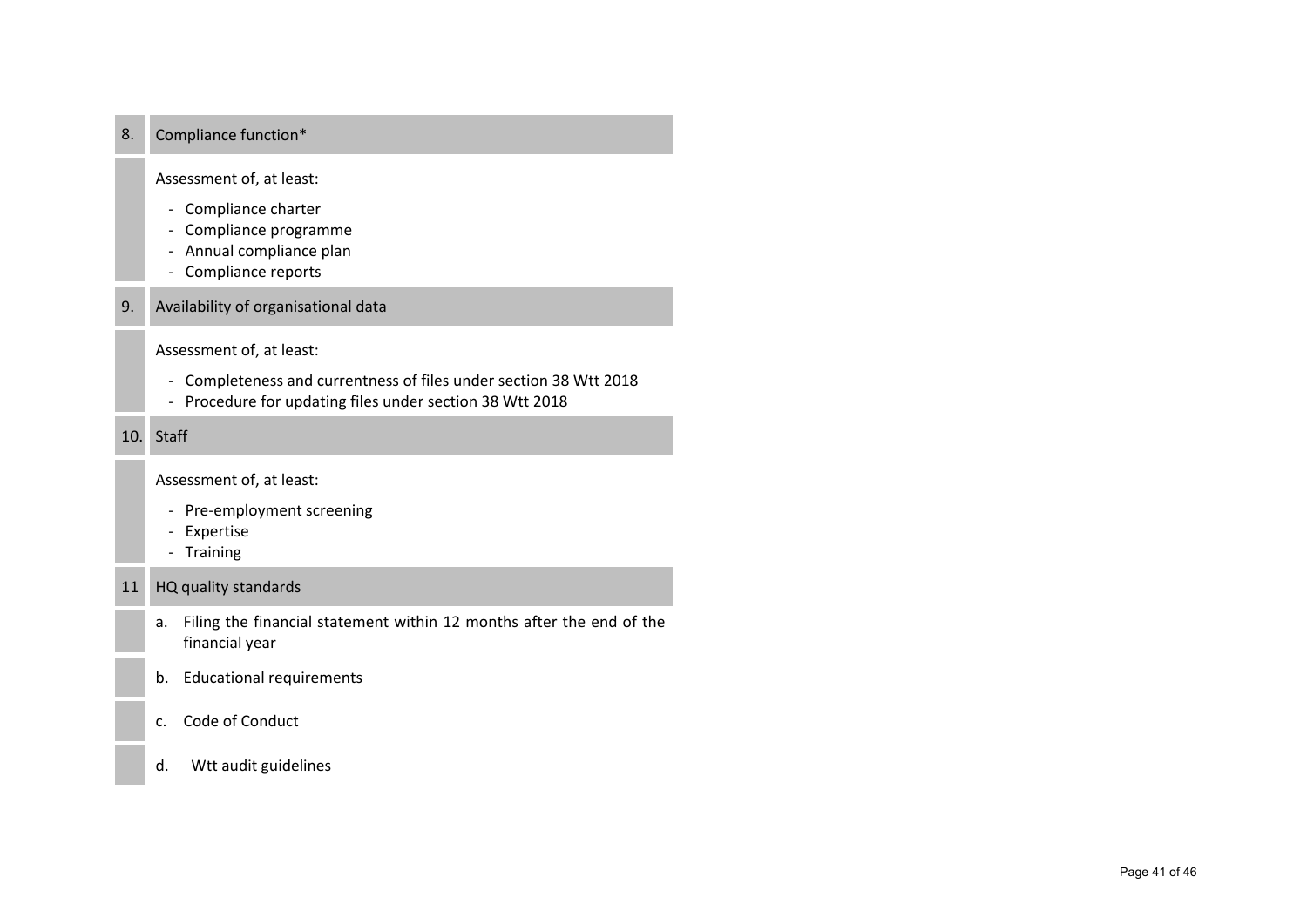## 8. Compliance function\*

Assessment of, at least:

- Compliance charter
- Compliance programme
- Annual compliance plan
- Compliance reports

9. Availability of organisational data

Assessment of, at least:

- Completeness and currentness of files under section 38 Wtt 2018
- Procedure for updating files under section 38 Wtt 2018

10. Staff

Assessment of, at least:

- Pre-employment screening
- Expertise
- Training

11 HQ quality standards

- a. Filing the financial statement within 12 months after the end of the financial year
- b. Educational requirements
- c. Code of Conduct
- d. Wtt audit guidelines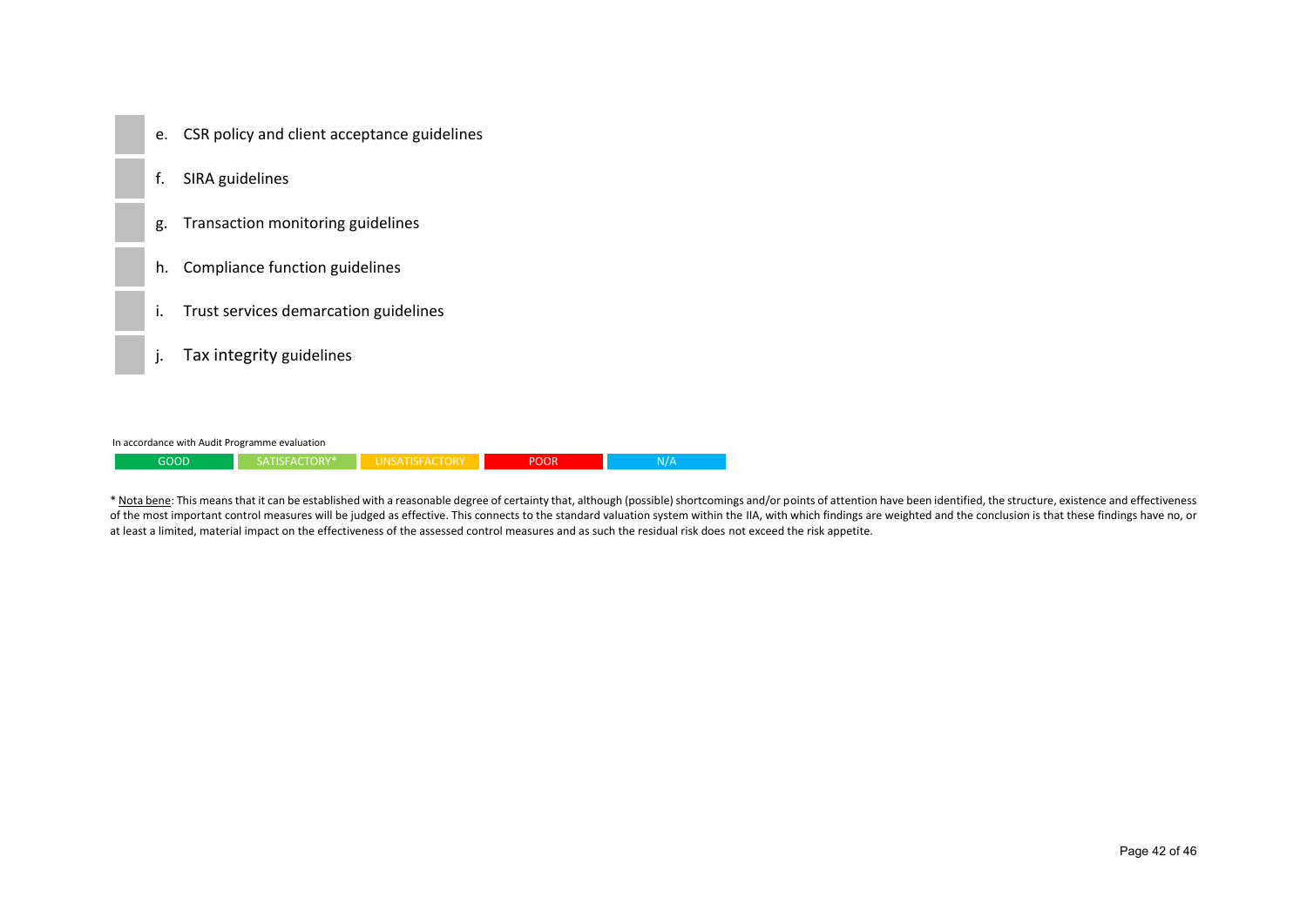- e. CSR policy and client acceptance guidelines
- f. SIRA guidelines
- g. Transaction monitoring guidelines
- h. Compliance function guidelines
- i. Trust services demarcation guidelines
- j. Tax integrity guidelines

In accordance with Audit Programme evaluation

GOOD SATISFACTORY\* UNSATISFACTORY POOR N/A

\* Nota bene: This means that it can be established with a reasonable degree of certainty that, although (possible) shortcomings and/or points of attention have been identified, the structure, existence and effectiveness of the most important control measures will be judged as effective. This connects to the standard valuation system within the IIA, with which findings are weighted and the conclusion is that these findings have no, or at least a limited, material impact on the effectiveness of the assessed control measures and as such the residual risk does not exceed the risk appetite.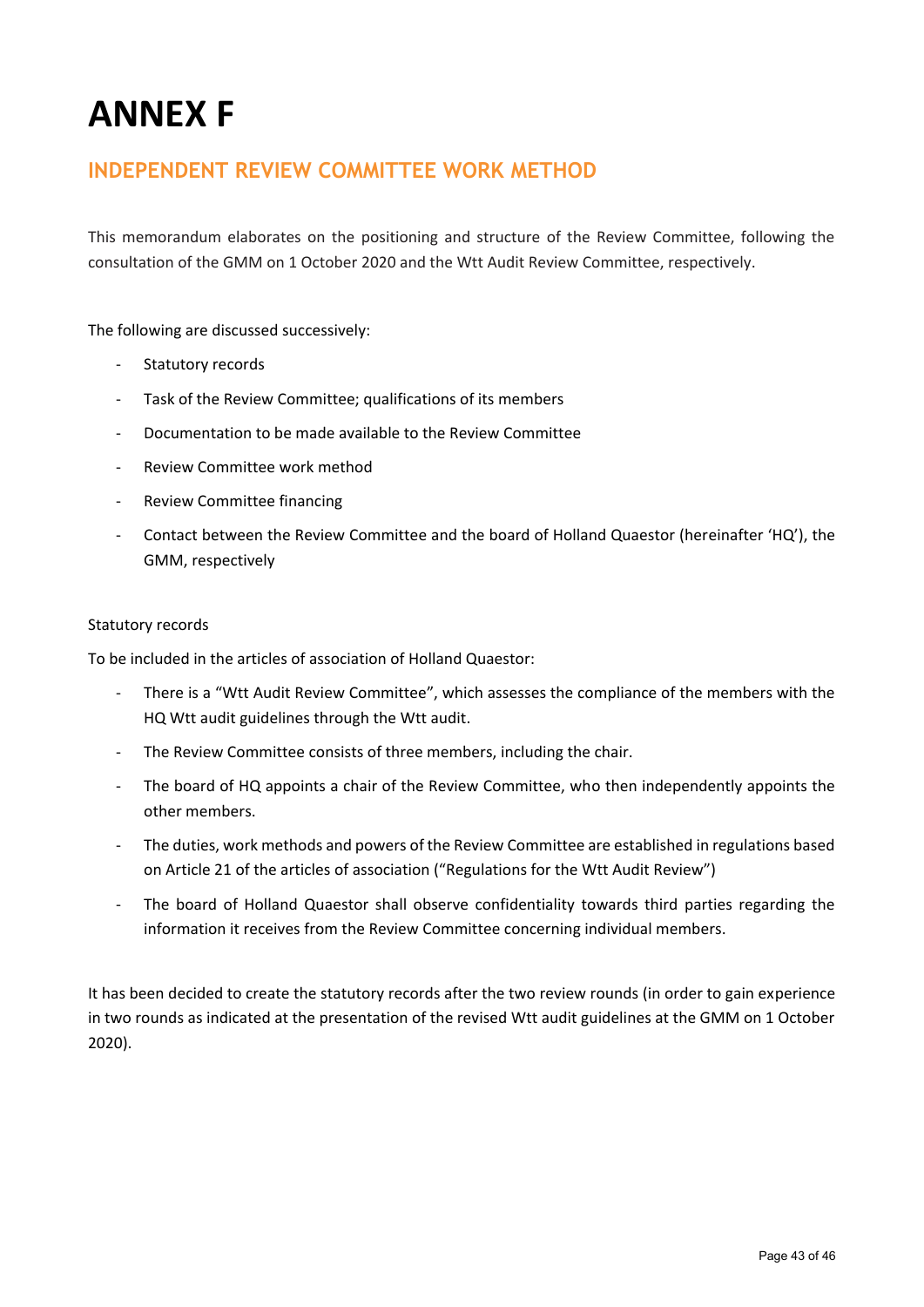# **ANNEX F**

# **INDEPENDENT REVIEW COMMITTEE WORK METHOD**

This memorandum elaborates on the positioning and structure of the Review Committee, following the consultation of the GMM on 1 October 2020 and the Wtt Audit Review Committee, respectively.

The following are discussed successively:

- Statutory records
- Task of the Review Committee; qualifications of its members
- Documentation to be made available to the Review Committee
- Review Committee work method
- Review Committee financing
- Contact between the Review Committee and the board of Holland Quaestor (hereinafter 'HQ'), the GMM, respectively

### Statutory records

To be included in the articles of association of Holland Quaestor:

- There is a "Wtt Audit Review Committee", which assesses the compliance of the members with the HQ Wtt audit guidelines through the Wtt audit.
- The Review Committee consists of three members, including the chair.
- The board of HQ appoints a chair of the Review Committee, who then independently appoints the other members.
- The duties, work methods and powers of the Review Committee are established in regulations based on Article 21 of the articles of association ("Regulations for the Wtt Audit Review")
- The board of Holland Quaestor shall observe confidentiality towards third parties regarding the information it receives from the Review Committee concerning individual members.

It has been decided to create the statutory records after the two review rounds (in order to gain experience in two rounds as indicated at the presentation of the revised Wtt audit guidelines at the GMM on 1 October 2020).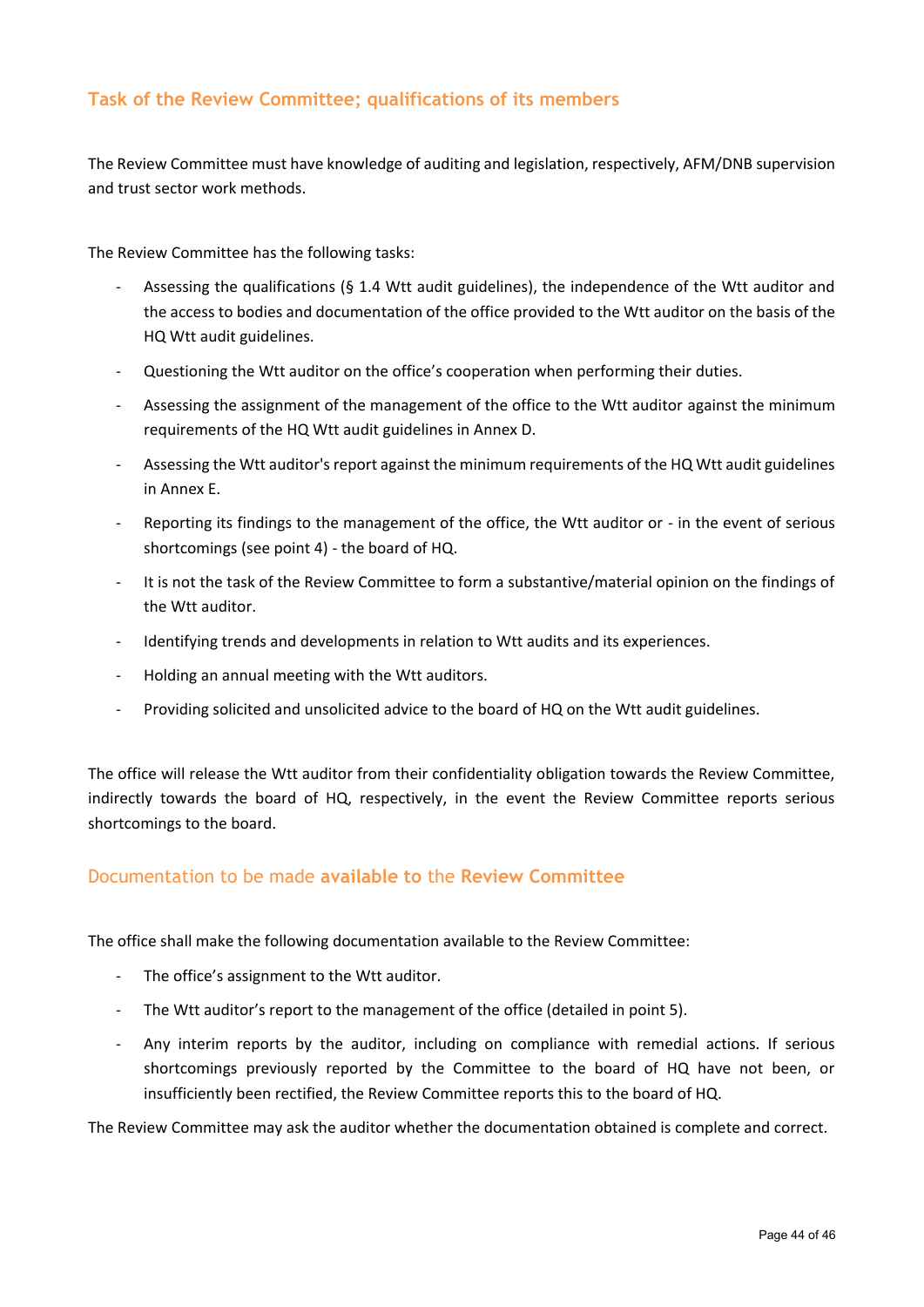# **Task of the Review Committee; qualifications of its members**

The Review Committee must have knowledge of auditing and legislation, respectively, AFM/DNB supervision and trust sector work methods.

The Review Committee has the following tasks:

- Assessing the qualifications (§ 1.4 Wtt audit guidelines), the independence of the Wtt auditor and the access to bodies and documentation of the office provided to the Wtt auditor on the basis of the HQ Wtt audit guidelines.
- Questioning the Wtt auditor on the office's cooperation when performing their duties.
- Assessing the assignment of the management of the office to the Wtt auditor against the minimum requirements of the HQ Wtt audit guidelines in Annex D.
- Assessing the Wtt auditor's report against the minimum requirements of the HQ Wtt audit guidelines in Annex E.
- Reporting its findings to the management of the office, the Wtt auditor or in the event of serious shortcomings (see point 4) - the board of HQ.
- It is not the task of the Review Committee to form a substantive/material opinion on the findings of the Wtt auditor.
- Identifying trends and developments in relation to Wtt audits and its experiences.
- Holding an annual meeting with the Wtt auditors.
- Providing solicited and unsolicited advice to the board of HQ on the Wtt audit guidelines.

The office will release the Wtt auditor from their confidentiality obligation towards the Review Committee, indirectly towards the board of HQ, respectively, in the event the Review Committee reports serious shortcomings to the board.

## Documentation to be made **available to** the **Review Committee**

The office shall make the following documentation available to the Review Committee:

- The office's assignment to the Wtt auditor.
- The Wtt auditor's report to the management of the office (detailed in point 5).
- Any interim reports by the auditor, including on compliance with remedial actions. If serious shortcomings previously reported by the Committee to the board of HQ have not been, or insufficiently been rectified, the Review Committee reports this to the board of HQ.

The Review Committee may ask the auditor whether the documentation obtained is complete and correct.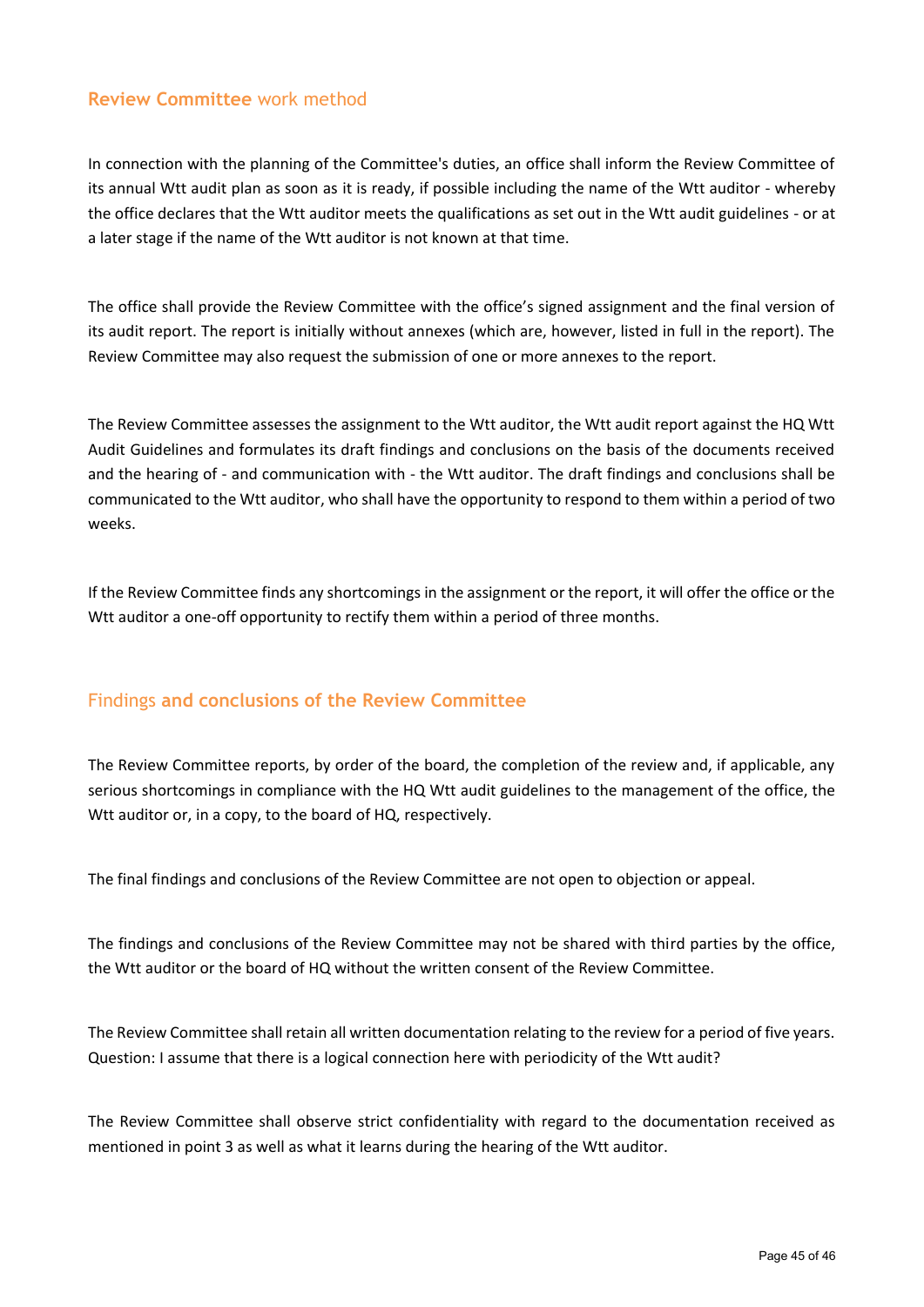## **Review Committee** work method

In connection with the planning of the Committee's duties, an office shall inform the Review Committee of its annual Wtt audit plan as soon as it is ready, if possible including the name of the Wtt auditor - whereby the office declares that the Wtt auditor meets the qualifications as set out in the Wtt audit guidelines - or at a later stage if the name of the Wtt auditor is not known at that time.

The office shall provide the Review Committee with the office's signed assignment and the final version of its audit report. The report is initially without annexes (which are, however, listed in full in the report). The Review Committee may also request the submission of one or more annexes to the report.

The Review Committee assesses the assignment to the Wtt auditor, the Wtt audit report against the HQ Wtt Audit Guidelines and formulates its draft findings and conclusions on the basis of the documents received and the hearing of - and communication with - the Wtt auditor. The draft findings and conclusions shall be communicated to the Wtt auditor, who shall have the opportunity to respond to them within a period of two weeks.

If the Review Committee finds any shortcomings in the assignment or the report, it will offer the office or the Wtt auditor a one-off opportunity to rectify them within a period of three months.

## Findings **and conclusions of the Review Committee**

The Review Committee reports, by order of the board, the completion of the review and, if applicable, any serious shortcomings in compliance with the HQ Wtt audit guidelines to the management of the office, the Wtt auditor or, in a copy, to the board of HQ, respectively.

The final findings and conclusions of the Review Committee are not open to objection or appeal.

The findings and conclusions of the Review Committee may not be shared with third parties by the office, the Wtt auditor or the board of HQ without the written consent of the Review Committee.

The Review Committee shall retain all written documentation relating to the review for a period of five years. Question: I assume that there is a logical connection here with periodicity of the Wtt audit?

The Review Committee shall observe strict confidentiality with regard to the documentation received as mentioned in point 3 as well as what it learns during the hearing of the Wtt auditor.